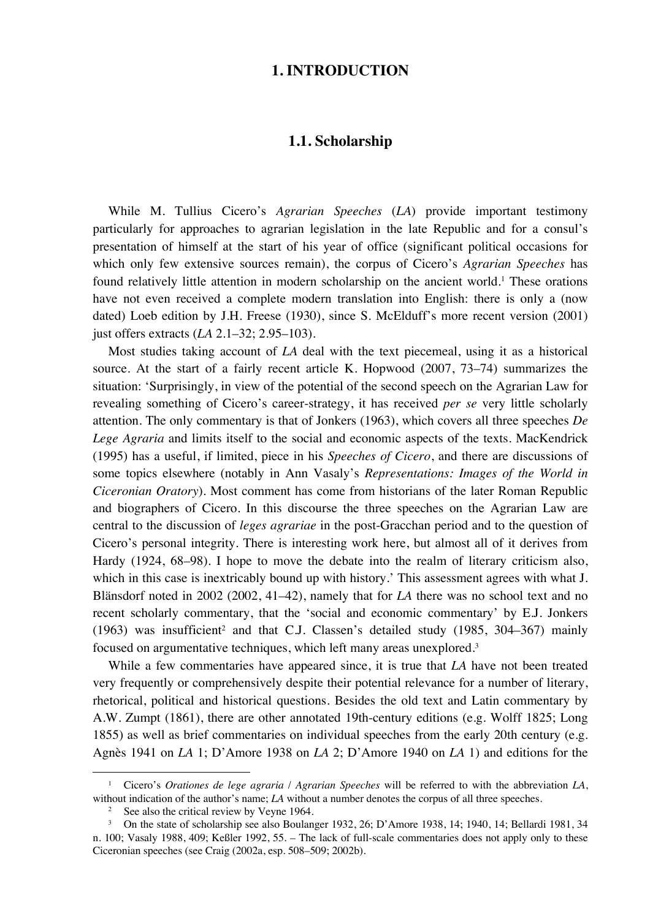#### **1. INTRODUCTION**

## **1.1. Scholarship**

While M. Tullius Cicero's *Agrarian Speeches* (*LA*) provide important testimony particularly for approaches to agrarian legislation in the late Republic and for a consul's presentation of himself at the start of his year of office (significant political occasions for which only few extensive sources remain), the corpus of Cicero's *Agrarian Speeches* has found relatively little attention in modern scholarship on the ancient world.<sup>1</sup> These orations have not even received a complete modern translation into English: there is only a (now dated) Loeb edition by J.H. Freese (1930), since S. McElduff's more recent version (2001) just offers extracts (*LA* 2.1–32; 2.95–103).

Most studies taking account of *LA* deal with the text piecemeal, using it as a historical source. At the start of a fairly recent article K. Hopwood (2007, 73–74) summarizes the situation: 'Surprisingly, in view of the potential of the second speech on the Agrarian Law for revealing something of Cicero's career-strategy, it has received *per se* very little scholarly attention. The only commentary is that of Jonkers (1963), which covers all three speeches *De Lege Agraria* and limits itself to the social and economic aspects of the texts. MacKendrick (1995) has a useful, if limited, piece in his *Speeches of Cicero*, and there are discussions of some topics elsewhere (notably in Ann Vasaly's *Representations: Images of the World in Ciceronian Oratory*). Most comment has come from historians of the later Roman Republic and biographers of Cicero. In this discourse the three speeches on the Agrarian Law are central to the discussion of *leges agrariae* in the post-Gracchan period and to the question of Cicero's personal integrity. There is interesting work here, but almost all of it derives from Hardy (1924, 68–98). I hope to move the debate into the realm of literary criticism also, which in this case is inextricably bound up with history.' This assessment agrees with what J. Blänsdorf noted in 2002 (2002, 41–42), namely that for *LA* there was no school text and no recent scholarly commentary, that the 'social and economic commentary' by E.J. Jonkers  $(1963)$  was insufficient<sup>2</sup> and that C.J. Classen's detailed study  $(1985, 304-367)$  mainly focused on argumentative techniques, which left many areas unexplored.3

While a few commentaries have appeared since, it is true that *LA* have not been treated very frequently or comprehensively despite their potential relevance for a number of literary, rhetorical, political and historical questions. Besides the old text and Latin commentary by A.W. Zumpt (1861), there are other annotated 19th-century editions (e.g. Wolff 1825; Long 1855) as well as brief commentaries on individual speeches from the early 20th century (e.g. Agnès 1941 on *LA* 1; D'Amore 1938 on *LA* 2; D'Amore 1940 on *LA* 1) and editions for the

<sup>1</sup> Cicero's *Orationes de lege agraria* / *Agrarian Speeches* will be referred to with the abbreviation *LA*, without indication of the author's name; *LA* without a number denotes the corpus of all three speeches.

<sup>&</sup>lt;sup>2</sup> See also the critical review by Veyne 1964.

<sup>3</sup> On the state of scholarship see also Boulanger 1932, 26; D'Amore 1938, 14; 1940, 14; Bellardi 1981, 34 n. 100; Vasaly 1988, 409; Keßler 1992, 55. – The lack of full-scale commentaries does not apply only to these Ciceronian speeches (see Craig (2002a, esp. 508–509; 2002b).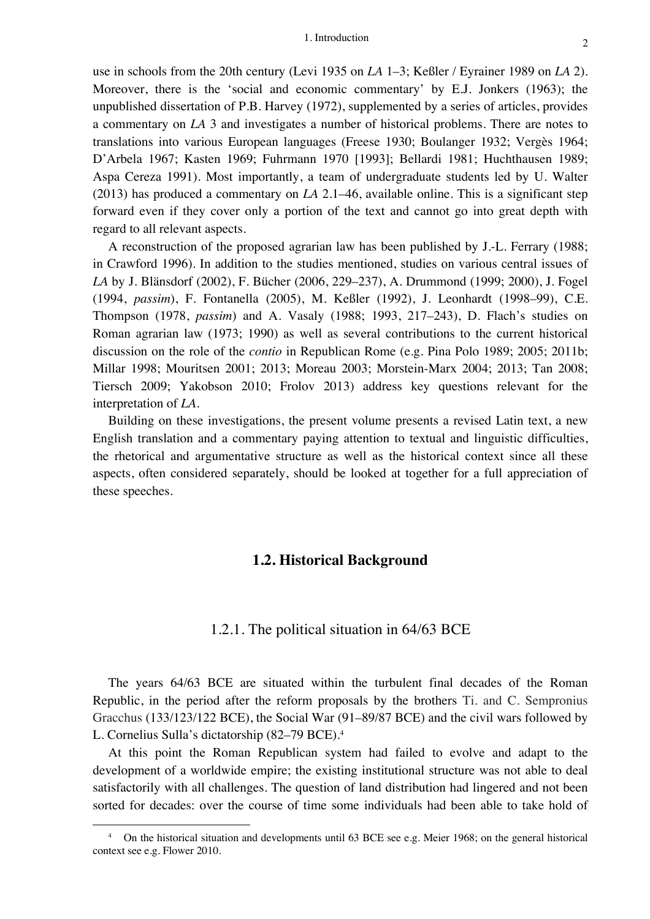use in schools from the 20th century (Levi 1935 on *LA* 1–3; Keßler / Eyrainer 1989 on *LA* 2). Moreover, there is the 'social and economic commentary' by E.J. Jonkers (1963); the unpublished dissertation of P.B. Harvey (1972), supplemented by a series of articles, provides a commentary on *LA* 3 and investigates a number of historical problems. There are notes to translations into various European languages (Freese 1930; Boulanger 1932; Vergès 1964; D'Arbela 1967; Kasten 1969; Fuhrmann 1970 [1993]; Bellardi 1981; Huchthausen 1989; Aspa Cereza 1991). Most importantly, a team of undergraduate students led by U. Walter (2013) has produced a commentary on *LA* 2.1–46, available online. This is a significant step forward even if they cover only a portion of the text and cannot go into great depth with regard to all relevant aspects.

A reconstruction of the proposed agrarian law has been published by J.-L. Ferrary (1988; in Crawford 1996). In addition to the studies mentioned, studies on various central issues of *LA* by J. Blänsdorf (2002), F. Bücher (2006, 229–237), A. Drummond (1999; 2000), J. Fogel (1994, *passim*), F. Fontanella (2005), M. Keßler (1992), J. Leonhardt (1998–99), C.E. Thompson (1978, *passim*) and A. Vasaly (1988; 1993, 217–243), D. Flach's studies on Roman agrarian law (1973; 1990) as well as several contributions to the current historical discussion on the role of the *contio* in Republican Rome (e.g. Pina Polo 1989; 2005; 2011b; Millar 1998; Mouritsen 2001; 2013; Moreau 2003; Morstein-Marx 2004; 2013; Tan 2008; Tiersch 2009; Yakobson 2010; Frolov 2013) address key questions relevant for the interpretation of *LA*.

Building on these investigations, the present volume presents a revised Latin text, a new English translation and a commentary paying attention to textual and linguistic difficulties, the rhetorical and argumentative structure as well as the historical context since all these aspects, often considered separately, should be looked at together for a full appreciation of these speeches.

#### **1.2. Historical Background**

#### 1.2.1. The political situation in 64/63 BCE

The years 64/63 BCE are situated within the turbulent final decades of the Roman Republic, in the period after the reform proposals by the brothers Ti. and C. Sempronius Gracchus (133/123/122 BCE), the Social War (91–89/87 BCE) and the civil wars followed by L. Cornelius Sulla's dictatorship (82–79 BCE). 4

At this point the Roman Republican system had failed to evolve and adapt to the development of a worldwide empire; the existing institutional structure was not able to deal satisfactorily with all challenges. The question of land distribution had lingered and not been sorted for decades: over the course of time some individuals had been able to take hold of

<sup>&</sup>lt;sup>4</sup> On the historical situation and developments until 63 BCE see e.g. Meier 1968; on the general historical context see e.g. Flower 2010.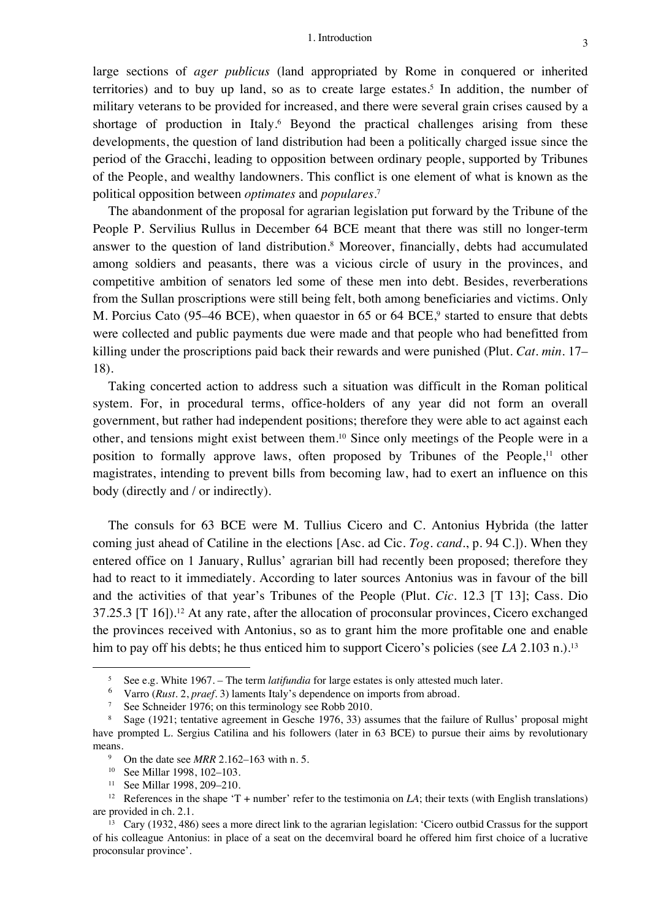large sections of *ager publicus* (land appropriated by Rome in conquered or inherited territories) and to buy up land, so as to create large estates. <sup>5</sup> In addition, the number of military veterans to be provided for increased, and there were several grain crises caused by a shortage of production in Italy. <sup>6</sup> Beyond the practical challenges arising from these developments, the question of land distribution had been a politically charged issue since the period of the Gracchi, leading to opposition between ordinary people, supported by Tribunes of the People, and wealthy landowners. This conflict is one element of what is known as the political opposition between *optimates* and *populares*. 7

The abandonment of the proposal for agrarian legislation put forward by the Tribune of the People P. Servilius Rullus in December 64 BCE meant that there was still no longer-term answer to the question of land distribution. <sup>8</sup> Moreover, financially, debts had accumulated among soldiers and peasants, there was a vicious circle of usury in the provinces, and competitive ambition of senators led some of these men into debt. Besides, reverberations from the Sullan proscriptions were still being felt, both among beneficiaries and victims. Only M. Porcius Cato (95–46 BCE), when quaestor in 65 or 64 BCE,<sup>9</sup> started to ensure that debts were collected and public payments due were made and that people who had benefitted from killing under the proscriptions paid back their rewards and were punished (Plut. *Cat. min.* 17– 18).

Taking concerted action to address such a situation was difficult in the Roman political system. For, in procedural terms, office-holders of any year did not form an overall government, but rather had independent positions; therefore they were able to act against each other, and tensions might exist between them. <sup>10</sup> Since only meetings of the People were in a position to formally approve laws, often proposed by Tribunes of the People,<sup>11</sup> other magistrates, intending to prevent bills from becoming law, had to exert an influence on this body (directly and / or indirectly).

The consuls for 63 BCE were M. Tullius Cicero and C. Antonius Hybrida (the latter coming just ahead of Catiline in the elections [Asc. ad Cic. *Tog. cand.*, p. 94 C.]). When they entered office on 1 January, Rullus' agrarian bill had recently been proposed; therefore they had to react to it immediately. According to later sources Antonius was in favour of the bill and the activities of that year's Tribunes of the People (Plut. *Cic.* 12.3 [T 13]; Cass. Dio 37.25.3 [T 16]).12 At any rate, after the allocation of proconsular provinces, Cicero exchanged the provinces received with Antonius, so as to grant him the more profitable one and enable him to pay off his debts; he thus enticed him to support Cicero's policies (see *LA* 2.103 n.).<sup>13</sup>

<sup>&</sup>lt;sup>5</sup> See e.g. White 1967. – The term *latifundia* for large estates is only attested much later.<br><sup>6</sup> Verro (*Bust*, 2, presf, 3) lamonta Italy's dependence on imports from shrood

<sup>6</sup> Varro (*Rust.* 2, *praef.* 3) laments Italy's dependence on imports from abroad*.*

<sup>&</sup>lt;sup>7</sup> See Schneider 1976; on this terminology see Robb 2010.

<sup>8</sup> Sage (1921; tentative agreement in Gesche 1976, 33) assumes that the failure of Rullus' proposal might have prompted L. Sergius Catilina and his followers (later in 63 BCE) to pursue their aims by revolutionary means.

<sup>9</sup> On the date see *MRR* 2.162–163 with n. 5.

<sup>10</sup> See Millar 1998, 102–103.

<sup>11</sup> See Millar 1998, 209–210.

<sup>&</sup>lt;sup>12</sup> References in the shape  $T +$  number' refer to the testimonia on *LA*; their texts (with English translations) are provided in ch. 2.1.

<sup>&</sup>lt;sup>13</sup> Cary (1932, 486) sees a more direct link to the agrarian legislation: 'Cicero outbid Crassus for the support of his colleague Antonius: in place of a seat on the decemviral board he offered him first choice of a lucrative proconsular province'.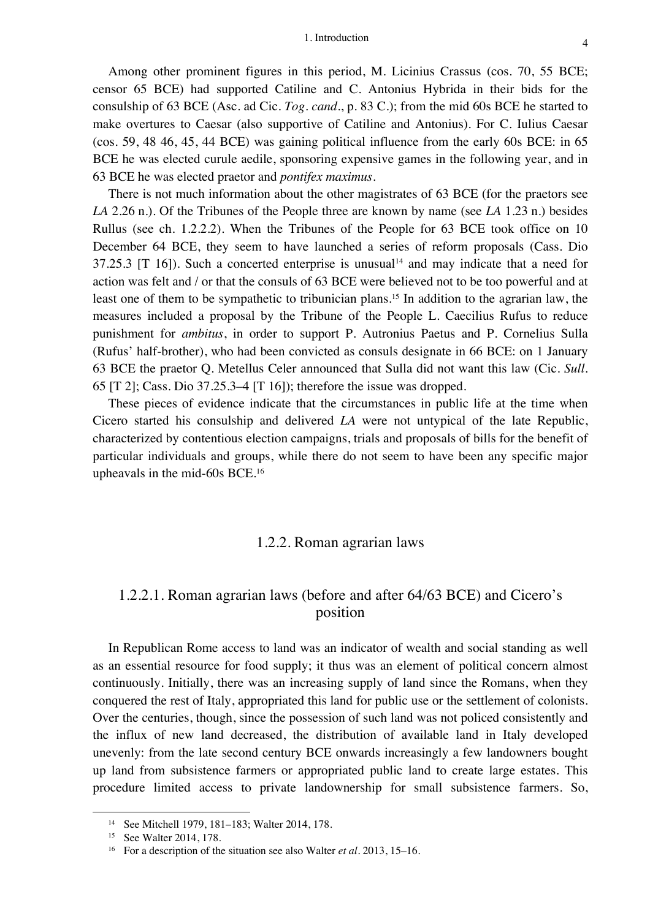Among other prominent figures in this period, M. Licinius Crassus (cos. 70, 55 BCE; censor 65 BCE) had supported Catiline and C. Antonius Hybrida in their bids for the consulship of 63 BCE (Asc. ad Cic. *Tog. cand.*, p. 83 C.); from the mid 60s BCE he started to make overtures to Caesar (also supportive of Catiline and Antonius). For C. Iulius Caesar (cos. 59, 48 46, 45, 44 BCE) was gaining political influence from the early 60s BCE: in 65 BCE he was elected curule aedile, sponsoring expensive games in the following year, and in 63 BCE he was elected praetor and *pontifex maximus*.

There is not much information about the other magistrates of 63 BCE (for the praetors see *LA* 2.26 n.). Of the Tribunes of the People three are known by name (see *LA* 1.23 n.) besides Rullus (see ch. 1.2.2.2). When the Tribunes of the People for 63 BCE took office on 10 December 64 BCE, they seem to have launched a series of reform proposals (Cass. Dio 37.25.3  $[T \ 16]$ ). Such a concerted enterprise is unusual<sup>14</sup> and may indicate that a need for action was felt and / or that the consuls of 63 BCE were believed not to be too powerful and at least one of them to be sympathetic to tribunician plans. <sup>15</sup> In addition to the agrarian law, the measures included a proposal by the Tribune of the People L. Caecilius Rufus to reduce punishment for *ambitus*, in order to support P. Autronius Paetus and P. Cornelius Sulla (Rufus' half-brother), who had been convicted as consuls designate in 66 BCE: on 1 January 63 BCE the praetor Q. Metellus Celer announced that Sulla did not want this law (Cic. *Sull.* 65 [T 2]; Cass. Dio 37.25.3–4 [T 16]); therefore the issue was dropped.

These pieces of evidence indicate that the circumstances in public life at the time when Cicero started his consulship and delivered *LA* were not untypical of the late Republic, characterized by contentious election campaigns, trials and proposals of bills for the benefit of particular individuals and groups, while there do not seem to have been any specific major upheavals in the mid-60s BCE.16

## 1.2.2. Roman agrarian laws

# 1.2.2.1. Roman agrarian laws (before and after 64/63 BCE) and Cicero's position

In Republican Rome access to land was an indicator of wealth and social standing as well as an essential resource for food supply; it thus was an element of political concern almost continuously. Initially, there was an increasing supply of land since the Romans, when they conquered the rest of Italy, appropriated this land for public use or the settlement of colonists. Over the centuries, though, since the possession of such land was not policed consistently and the influx of new land decreased, the distribution of available land in Italy developed unevenly: from the late second century BCE onwards increasingly a few landowners bought up land from subsistence farmers or appropriated public land to create large estates. This procedure limited access to private landownership for small subsistence farmers. So,

<sup>14</sup> See Mitchell 1979, 181–183; Walter 2014, 178.

<sup>15</sup> See Walter 2014, 178.

<sup>16</sup> For a description of the situation see also Walter *et al.* 2013, 15–16.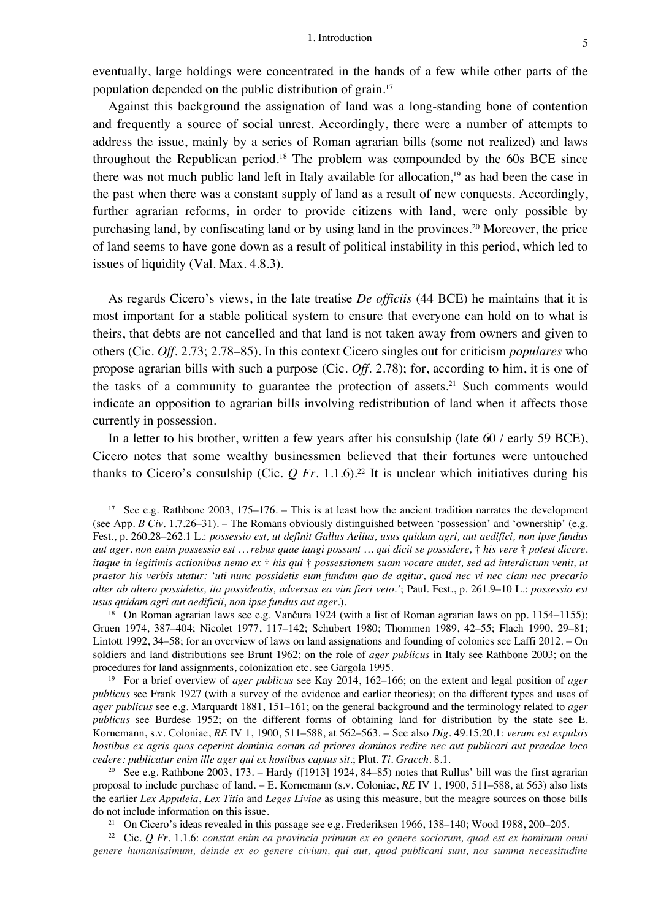eventually, large holdings were concentrated in the hands of a few while other parts of the population depended on the public distribution of grain. 17

Against this background the assignation of land was a long-standing bone of contention and frequently a source of social unrest. Accordingly, there were a number of attempts to address the issue, mainly by a series of Roman agrarian bills (some not realized) and laws throughout the Republican period. <sup>18</sup> The problem was compounded by the 60s BCE since there was not much public land left in Italy available for allocation,<sup>19</sup> as had been the case in the past when there was a constant supply of land as a result of new conquests. Accordingly, further agrarian reforms, in order to provide citizens with land, were only possible by purchasing land, by confiscating land or by using land in the provinces. <sup>20</sup> Moreover, the price of land seems to have gone down as a result of political instability in this period, which led to issues of liquidity (Val. Max. 4.8.3).

As regards Cicero's views, in the late treatise *De officiis* (44 BCE) he maintains that it is most important for a stable political system to ensure that everyone can hold on to what is theirs, that debts are not cancelled and that land is not taken away from owners and given to others (Cic. *Off.* 2.73; 2.78–85). In this context Cicero singles out for criticism *populares* who propose agrarian bills with such a purpose (Cic. *Off.* 2.78); for, according to him, it is one of the tasks of a community to guarantee the protection of assets. <sup>21</sup> Such comments would indicate an opposition to agrarian bills involving redistribution of land when it affects those currently in possession.

In a letter to his brother, written a few years after his consulship (late 60 / early 59 BCE), Cicero notes that some wealthy businessmen believed that their fortunes were untouched thanks to Cicero's consulship (Cic.  $Q$  Fr. 1.1.6).<sup>22</sup> It is unclear which initiatives during his

<sup>&</sup>lt;sup>17</sup> See e.g. Rathbone 2003, 175–176. – This is at least how the ancient tradition narrates the development (see App. *B Civ.* 1.7.26–31). – The Romans obviously distinguished between 'possession' and 'ownership' (e.g. Fest., p. 260.28–262.1 L.: *possessio est, ut definit Gallus Aelius, usus quidam agri, aut aedifici, non ipse fundus aut ager. non enim possessio est … rebus quae tangi possunt … qui dicit se possidere,* † *his vere* † *potest dicere. itaque in legitimis actionibus nemo ex* † *his qui* † *possessionem suam vocare audet, sed ad interdictum venit, ut praetor his verbis utatur: 'uti nunc possidetis eum fundum quo de agitur, quod nec vi nec clam nec precario alter ab altero possidetis, ita possideatis, adversus ea vim fieri veto.'*; Paul. Fest., p. 261.9–10 L.: *possessio est usus quidam agri aut aedificii, non ipse fundus aut ager.*).

<sup>&</sup>lt;sup>18</sup> On Roman agrarian laws see e.g. Vančura 1924 (with a list of Roman agrarian laws on pp. 1154–1155); Gruen 1974, 387–404; Nicolet 1977, 117–142; Schubert 1980; Thommen 1989, 42–55; Flach 1990, 29–81; Lintott 1992, 34–58; for an overview of laws on land assignations and founding of colonies see Laffi 2012. – On soldiers and land distributions see Brunt 1962; on the role of *ager publicus* in Italy see Rathbone 2003; on the procedures for land assignments, colonization etc. see Gargola 1995.

<sup>19</sup> For a brief overview of *ager publicus* see Kay 2014, 162–166; on the extent and legal position of *ager publicus* see Frank 1927 (with a survey of the evidence and earlier theories); on the different types and uses of *ager publicus* see e.g. Marquardt 1881, 151–161; on the general background and the terminology related to *ager publicus* see Burdese 1952; on the different forms of obtaining land for distribution by the state see E. Kornemann, s.v. Coloniae, *RE* IV 1, 1900, 511–588, at 562–563. – See also *Dig.* 49.15.20.1: *verum est expulsis hostibus ex agris quos ceperint dominia eorum ad priores dominos redire nec aut publicari aut praedae loco cedere: publicatur enim ille ager qui ex hostibus captus sit.*; Plut. *Ti. Gracch.* 8.1.

<sup>&</sup>lt;sup>20</sup> See e.g. Rathbone 2003, 173. – Hardy ([1913] 1924, 84–85) notes that Rullus' bill was the first agrarian proposal to include purchase of land. – E. Kornemann (s.v. Coloniae, *RE* IV 1, 1900, 511–588, at 563) also lists the earlier *Lex Appuleia*, *Lex Titia* and *Leges Liviae* as using this measure, but the meagre sources on those bills do not include information on this issue.

<sup>&</sup>lt;sup>21</sup> On Cicero's ideas revealed in this passage see e.g. Frederiksen 1966, 138–140; Wood 1988, 200–205.

<sup>22</sup> Cic. *Q Fr.* 1.1.6: *constat enim ea provincia primum ex eo genere sociorum, quod est ex hominum omni genere humanissimum, deinde ex eo genere civium, qui aut, quod publicani sunt, nos summa necessitudine*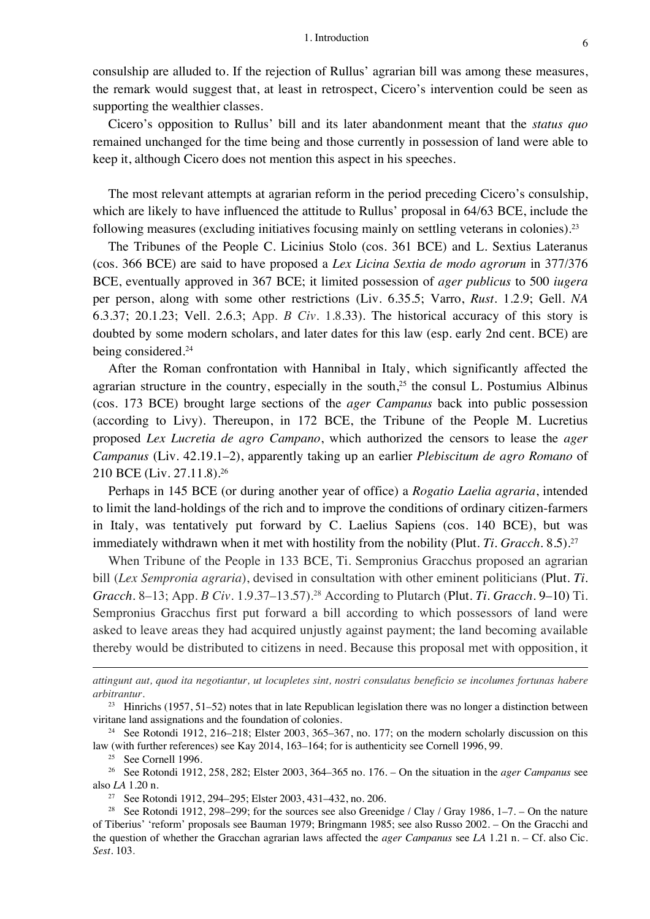consulship are alluded to. If the rejection of Rullus' agrarian bill was among these measures, the remark would suggest that, at least in retrospect, Cicero's intervention could be seen as supporting the wealthier classes.

Cicero's opposition to Rullus' bill and its later abandonment meant that the *status quo* remained unchanged for the time being and those currently in possession of land were able to keep it, although Cicero does not mention this aspect in his speeches.

The most relevant attempts at agrarian reform in the period preceding Cicero's consulship, which are likely to have influenced the attitude to Rullus' proposal in 64/63 BCE, include the following measures (excluding initiatives focusing mainly on settling veterans in colonies).<sup>23</sup>

The Tribunes of the People C. Licinius Stolo (cos. 361 BCE) and L. Sextius Lateranus (cos. 366 BCE) are said to have proposed a *Lex Licina Sextia de modo agrorum* in 377/376 BCE, eventually approved in 367 BCE; it limited possession of *ager publicus* to 500 *iugera* per person, along with some other restrictions (Liv. 6.35.5; Varro, *Rust.* 1.2.9; Gell. *NA* 6.3.37; 20.1.23; Vell. 2.6.3; App. *B Civ.* 1.8.33). The historical accuracy of this story is doubted by some modern scholars, and later dates for this law (esp. early 2nd cent. BCE) are being considered. 24

After the Roman confrontation with Hannibal in Italy, which significantly affected the agrarian structure in the country, especially in the south, $25$  the consul L. Postumius Albinus (cos. 173 BCE) brought large sections of the *ager Campanus* back into public possession (according to Livy). Thereupon, in 172 BCE, the Tribune of the People M. Lucretius proposed *Lex Lucretia de agro Campano*, which authorized the censors to lease the *ager Campanus* (Liv. 42.19.1–2), apparently taking up an earlier *Plebiscitum de agro Romano* of 210 BCE (Liv. 27.11.8).26

Perhaps in 145 BCE (or during another year of office) a *Rogatio Laelia agraria*, intended to limit the land-holdings of the rich and to improve the conditions of ordinary citizen-farmers in Italy, was tentatively put forward by C. Laelius Sapiens (cos. 140 BCE), but was immediately withdrawn when it met with hostility from the nobility (Plut. *Ti. Gracch.* 8.5).<sup>27</sup>

When Tribune of the People in 133 BCE, Ti. Sempronius Gracchus proposed an agrarian bill (*Lex Sempronia agraria*), devised in consultation with other eminent politicians (Plut. *Ti. Gracch.* 8–13; App. *B Civ.* 1.9.37–13.57).28 According to Plutarch (Plut. *Ti. Gracch.* 9–10) Ti. Sempronius Gracchus first put forward a bill according to which possessors of land were asked to leave areas they had acquired unjustly against payment; the land becoming available thereby would be distributed to citizens in need. Because this proposal met with opposition, it

*attingunt aut, quod ita negotiantur, ut locupletes sint, nostri consulatus beneficio se incolumes fortunas habere arbitrantur.*

<sup>23</sup> Hinrichs (1957, 51–52) notes that in late Republican legislation there was no longer a distinction between viritane land assignations and the foundation of colonies.

<sup>24</sup> See Rotondi 1912, 216–218; Elster 2003, 365–367, no. 177; on the modern scholarly discussion on this law (with further references) see Kay 2014, 163–164; for is authenticity see Cornell 1996, 99.

<sup>25</sup> See Cornell 1996.

<sup>26</sup> See Rotondi 1912, 258, 282; Elster 2003, 364–365 no. 176. – On the situation in the *ager Campanus* see also *LA* 1.20 n.

<sup>27</sup> See Rotondi 1912, 294–295; Elster 2003, 431–432, no. 206.

<sup>&</sup>lt;sup>28</sup> See Rotondi 1912, 298–299; for the sources see also Greenidge / Clay / Gray 1986, 1–7. – On the nature of Tiberius' 'reform' proposals see Bauman 1979; Bringmann 1985; see also Russo 2002. – On the Gracchi and the question of whether the Gracchan agrarian laws affected the *ager Campanus* see *LA* 1.21 n. – Cf. also Cic. *Sest.* 103*.*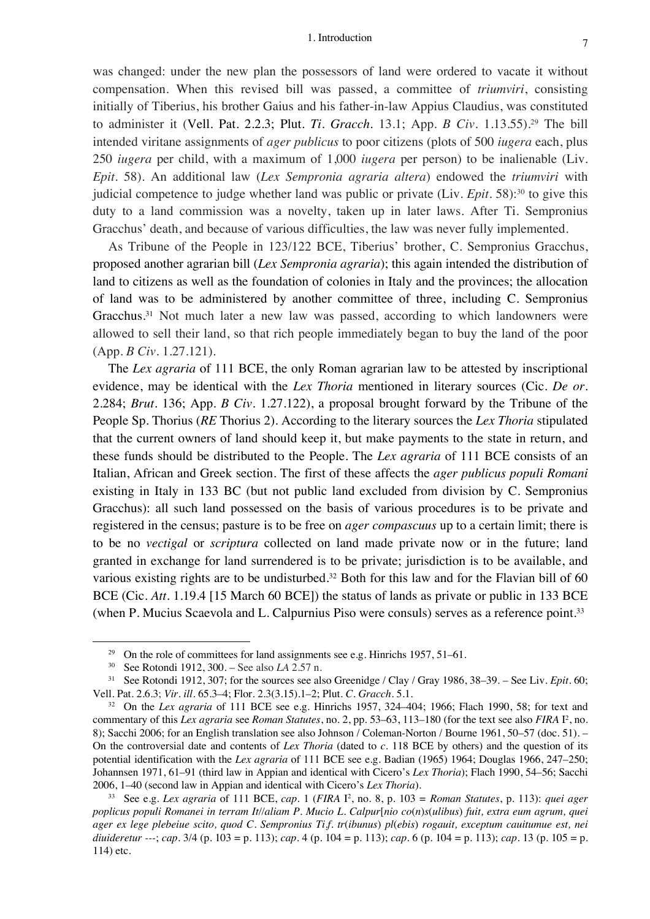was changed: under the new plan the possessors of land were ordered to vacate it without compensation. When this revised bill was passed, a committee of *triumviri*, consisting initially of Tiberius, his brother Gaius and his father-in-law Appius Claudius, was constituted to administer it (Vell. Pat. 2.2.3; Plut. *Ti. Gracch.* 13.1; App. *B Civ.* 1.13.55).29 The bill intended viritane assignments of *ager publicus* to poor citizens (plots of 500 *iugera* each, plus 250 *iugera* per child, with a maximum of 1,000 *iugera* per person) to be inalienable (Liv. *Epit.* 58). An additional law (*Lex Sempronia agraria altera*) endowed the *triumviri* with judicial competence to judge whether land was public or private (Liv. *Epit.* 58): <sup>30</sup> to give this duty to a land commission was a novelty, taken up in later laws. After Ti. Sempronius Gracchus' death, and because of various difficulties, the law was never fully implemented.

As Tribune of the People in 123/122 BCE, Tiberius' brother, C. Sempronius Gracchus, proposed another agrarian bill (*Lex Sempronia agraria*); this again intended the distribution of land to citizens as well as the foundation of colonies in Italy and the provinces; the allocation of land was to be administered by another committee of three, including C. Sempronius Gracchus.<sup>31</sup> Not much later a new law was passed, according to which landowners were allowed to sell their land, so that rich people immediately began to buy the land of the poor (App. *B Civ.* 1.27.121).

The *Lex agraria* of 111 BCE, the only Roman agrarian law to be attested by inscriptional evidence, may be identical with the *Lex Thoria* mentioned in literary sources (Cic. *De or.* 2.284; *Brut.* 136; App. *B Civ.* 1.27.122), a proposal brought forward by the Tribune of the People Sp. Thorius (*RE* Thorius 2). According to the literary sources the *Lex Thoria* stipulated that the current owners of land should keep it, but make payments to the state in return, and these funds should be distributed to the People. The *Lex agraria* of 111 BCE consists of an Italian, African and Greek section. The first of these affects the *ager publicus populi Romani* existing in Italy in 133 BC (but not public land excluded from division by C. Sempronius Gracchus): all such land possessed on the basis of various procedures is to be private and registered in the census; pasture is to be free on *ager compascuus* up to a certain limit; there is to be no *vectigal* or *scriptura* collected on land made private now or in the future; land granted in exchange for land surrendered is to be private; jurisdiction is to be available, and various existing rights are to be undisturbed.<sup>32</sup> Both for this law and for the Flavian bill of 60 BCE (Cic. *Att.* 1.19.4 [15 March 60 BCE]) the status of lands as private or public in 133 BCE (when P. Mucius Scaevola and L. Calpurnius Piso were consuls) serves as a reference point.<sup>33</sup>

<sup>&</sup>lt;sup>29</sup> On the role of committees for land assignments see e.g. Hinrichs 1957, 51–61.

<sup>30</sup> See Rotondi 1912, 300. – See also *LA* 2.57 n.

<sup>31</sup> See Rotondi 1912, 307; for the sources see also Greenidge / Clay / Gray 1986, 38–39. – See Liv. *Epit.* 60; Vell. Pat. 2.6.3; *Vir. ill.* 65.3–4; Flor. 2.3(3.15).1–2; Plut. *C. Gracch.* 5.1.

<sup>32</sup> On the *Lex agraria* of 111 BCE see e.g. Hinrichs 1957, 324–404; 1966; Flach 1990, 58; for text and commentary of this *Lex agraria* see *Roman Statutes*, no. 2, pp. 53–63, 113–180 (for the text see also *FIRA* I2 , no. 8); Sacchi 2006; for an English translation see also Johnson / Coleman-Norton / Bourne 1961, 50–57 (doc. 51). – On the controversial date and contents of *Lex Thoria* (dated to *c.* 118 BCE by others) and the question of its potential identification with the *Lex agraria* of 111 BCE see e.g. Badian (1965) 1964; Douglas 1966, 247–250; Johannsen 1971, 61–91 (third law in Appian and identical with Cicero's *Lex Thoria*); Flach 1990, 54–56; Sacchi 2006, 1–40 (second law in Appian and identical with Cicero's *Lex Thoria*).

<sup>33</sup> See e.g. *Lex agraria* of 111 BCE, *cap.* 1 (*FIRA* I2 , no. 8, p. 103 = *Roman Statutes*, p. 113): *quei ager poplicus populi Romanei in terram It//aliam P. Mucio L. Calpur*[*nio co*(*n*)*s*(*ulibus*) *fuit, extra eum agrum, quei ager ex lege plebeiue scito, quod C. Sempronius Ti.f. tr*(*ibunus*) *pl*(*ebis*) *rogauit, exceptum cauitumue est, nei diuideretur ---*; *cap.* 3/4 (p. 103 = p. 113); *cap.* 4 (p. 104 = p. 113); *cap.* 6 (p. 104 = p. 113); *cap.* 13 (p. 105 = p. 114) etc.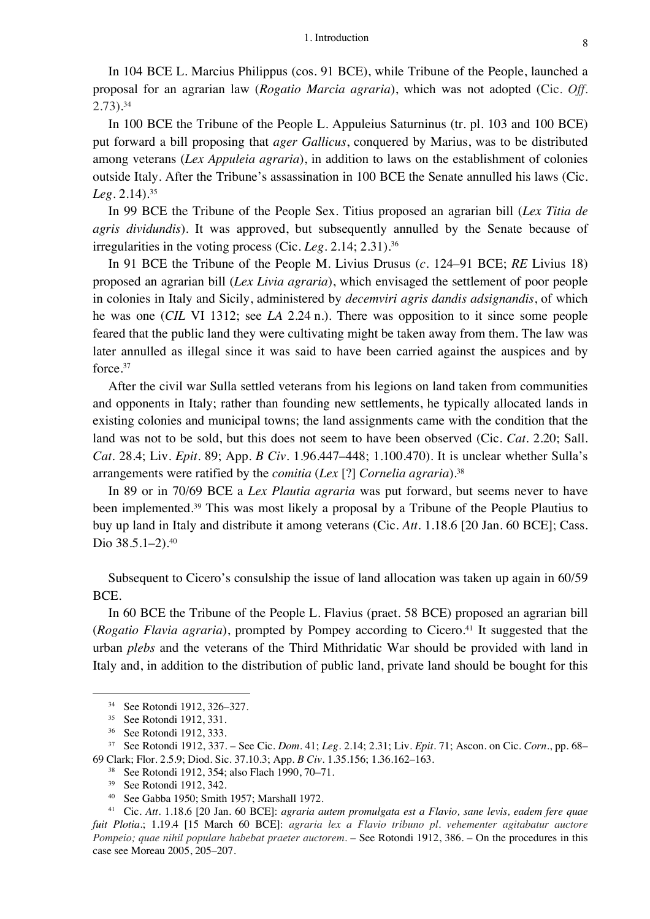In 104 BCE L. Marcius Philippus (cos. 91 BCE), while Tribune of the People, launched a proposal for an agrarian law (*Rogatio Marcia agraria*), which was not adopted (Cic. *Off.* 2.73). 34

In 100 BCE the Tribune of the People L. Appuleius Saturninus (tr. pl. 103 and 100 BCE) put forward a bill proposing that *ager Gallicus*, conquered by Marius, was to be distributed among veterans (*Lex Appuleia agraria*), in addition to laws on the establishment of colonies outside Italy. After the Tribune's assassination in 100 BCE the Senate annulled his laws (Cic. *Leg.* 2.14).35

In 99 BCE the Tribune of the People Sex. Titius proposed an agrarian bill (*Lex Titia de agris dividundis*). It was approved, but subsequently annulled by the Senate because of irregularities in the voting process (Cic. *Leg.* 2.14; 2.31). 36

In 91 BCE the Tribune of the People M. Livius Drusus (*c.* 124–91 BCE; *RE* Livius 18) proposed an agrarian bill (*Lex Livia agraria*), which envisaged the settlement of poor people in colonies in Italy and Sicily, administered by *decemviri agris dandis adsignandis*, of which he was one (*CIL* VI 1312; see *LA* 2.24 n.). There was opposition to it since some people feared that the public land they were cultivating might be taken away from them. The law was later annulled as illegal since it was said to have been carried against the auspices and by force. 37

After the civil war Sulla settled veterans from his legions on land taken from communities and opponents in Italy; rather than founding new settlements, he typically allocated lands in existing colonies and municipal towns; the land assignments came with the condition that the land was not to be sold, but this does not seem to have been observed (Cic. *Cat.* 2.20; Sall. *Cat.* 28.4; Liv. *Epit.* 89; App. *B Civ.* 1.96.447–448; 1.100.470). It is unclear whether Sulla's arrangements were ratified by the *comitia* (*Lex* [?] *Cornelia agraria*).38

In 89 or in 70/69 BCE a *Lex Plautia agraria* was put forward, but seems never to have been implemented.<sup>39</sup> This was most likely a proposal by a Tribune of the People Plautius to buy up land in Italy and distribute it among veterans (Cic. *Att.* 1.18.6 [20 Jan. 60 BCE]; Cass. Dio 38.5.1–2). 40

Subsequent to Cicero's consulship the issue of land allocation was taken up again in 60/59 BCE.

In 60 BCE the Tribune of the People L. Flavius (praet. 58 BCE) proposed an agrarian bill (*Rogatio Flavia agraria*), prompted by Pompey according to Cicero.41 It suggested that the urban *plebs* and the veterans of the Third Mithridatic War should be provided with land in Italy and, in addition to the distribution of public land, private land should be bought for this

<sup>34</sup> See Rotondi 1912, 326–327*.*

<sup>35</sup> See Rotondi 1912, 331.

<sup>36</sup> See Rotondi 1912, 333.

<sup>37</sup> See Rotondi 1912, 337. – See Cic. *Dom.* 41; *Leg.* 2.14; 2.31; Liv. *Epit.* 71; Ascon. on Cic. *Corn.*, pp. 68– 69 Clark; Flor. 2.5.9; Diod. Sic. 37.10.3; App. *B Civ.* 1.35.156; 1.36.162–163.

<sup>38</sup> See Rotondi 1912, 354; also Flach 1990, 70–71.

<sup>39</sup> See Rotondi 1912, 342.

<sup>40</sup> See Gabba 1950; Smith 1957; Marshall 1972.

<sup>41</sup> Cic. *Att.* 1.18.6 [20 Jan. 60 BCE]: *agraria autem promulgata est a Flavio, sane levis, eadem fere quae fuit Plotia.*; 1.19.4 [15 March 60 BCE]: *agraria lex a Flavio tribuno pl. vehementer agitabatur auctore Pompeio; quae nihil populare habebat praeter auctorem*. – See Rotondi 1912, 386. – On the procedures in this case see Moreau 2005, 205–207.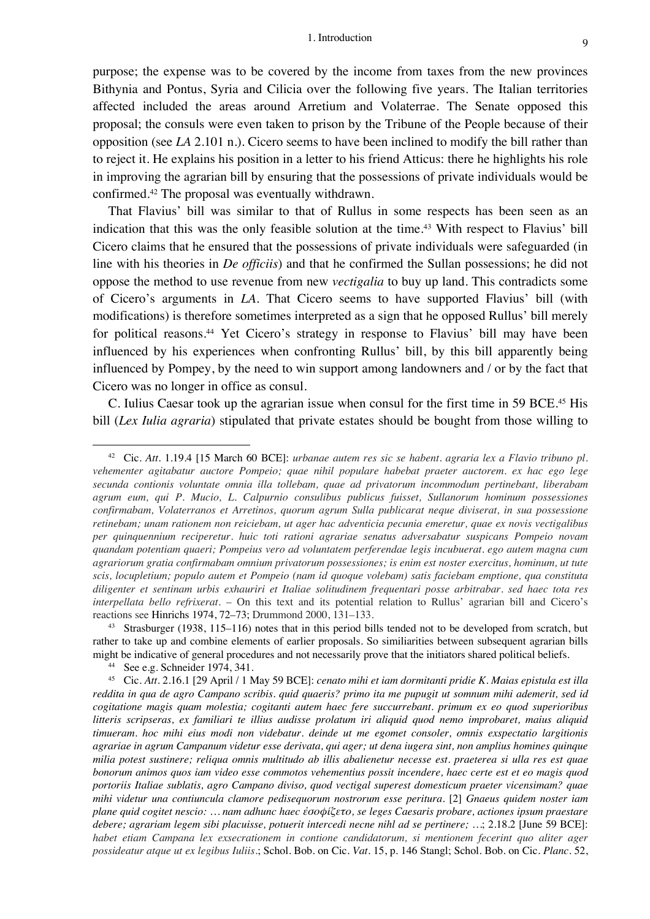purpose; the expense was to be covered by the income from taxes from the new provinces Bithynia and Pontus, Syria and Cilicia over the following five years. The Italian territories affected included the areas around Arretium and Volaterrae. The Senate opposed this proposal; the consuls were even taken to prison by the Tribune of the People because of their opposition (see *LA* 2.101 n.). Cicero seems to have been inclined to modify the bill rather than to reject it. He explains his position in a letter to his friend Atticus: there he highlights his role in improving the agrarian bill by ensuring that the possessions of private individuals would be confirmed. <sup>42</sup> The proposal was eventually withdrawn.

That Flavius' bill was similar to that of Rullus in some respects has been seen as an indication that this was the only feasible solution at the time.<sup>43</sup> With respect to Flavius' bill Cicero claims that he ensured that the possessions of private individuals were safeguarded (in line with his theories in *De officiis*) and that he confirmed the Sullan possessions; he did not oppose the method to use revenue from new *vectigalia* to buy up land. This contradicts some of Cicero's arguments in *LA*. That Cicero seems to have supported Flavius' bill (with modifications) is therefore sometimes interpreted as a sign that he opposed Rullus' bill merely for political reasons.<sup>44</sup> Yet Cicero's strategy in response to Flavius' bill may have been influenced by his experiences when confronting Rullus' bill, by this bill apparently being influenced by Pompey, by the need to win support among landowners and / or by the fact that Cicero was no longer in office as consul.

C. Iulius Caesar took up the agrarian issue when consul for the first time in 59 BCE. <sup>45</sup> His bill (*Lex Iulia agraria*) stipulated that private estates should be bought from those willing to

<sup>43</sup> Strasburger (1938, 115–116) notes that in this period bills tended not to be developed from scratch, but rather to take up and combine elements of earlier proposals. So similiarities between subsequent agrarian bills might be indicative of general procedures and not necessarily prove that the initiators shared political beliefs.

<sup>44</sup> See e.g. Schneider 1974, 341.

<sup>42</sup> Cic. *Att.* 1.19.4 [15 March 60 BCE]: *urbanae autem res sic se habent. agraria lex a Flavio tribuno pl. vehementer agitabatur auctore Pompeio; quae nihil populare habebat praeter auctorem. ex hac ego lege secunda contionis voluntate omnia illa tollebam, quae ad privatorum incommodum pertinebant, liberabam agrum eum, qui P. Mucio, L. Calpurnio consulibus publicus fuisset, Sullanorum hominum possessiones confirmabam, Volaterranos et Arretinos, quorum agrum Sulla publicarat neque diviserat, in sua possessione retinebam; unam rationem non reiciebam, ut ager hac adventicia pecunia emeretur, quae ex novis vectigalibus per quinquennium reciperetur. huic toti rationi agrariae senatus adversabatur suspicans Pompeio novam quandam potentiam quaeri; Pompeius vero ad voluntatem perferendae legis incubuerat. ego autem magna cum agrariorum gratia confirmabam omnium privatorum possessiones; is enim est noster exercitus, hominum, ut tute scis, locupletium; populo autem et Pompeio (nam id quoque volebam) satis faciebam emptione, qua constituta diligenter et sentinam urbis exhauriri et Italiae solitudinem frequentari posse arbitrabar. sed haec tota res interpellata bello refrixerat.* – On this text and its potential relation to Rullus' agrarian bill and Cicero's reactions see Hinrichs 1974, 72–73; Drummond 2000, 131–133.

<sup>45</sup> Cic. *Att.* 2.16.1 [29 April / 1 May 59 BCE]: *cenato mihi et iam dormitanti pridie K. Maias epistula est illa reddita in qua de agro Campano scribis. quid quaeris? primo ita me pupugit ut somnum mihi ademerit, sed id cogitatione magis quam molestia; cogitanti autem haec fere succurrebant. primum ex eo quod superioribus litteris scripseras, ex familiari te illius audisse prolatum iri aliquid quod nemo improbaret, maius aliquid timueram. hoc mihi eius modi non videbatur. deinde ut me egomet consoler, omnis exspectatio largitionis agrariae in agrum Campanum videtur esse derivata, qui ager; ut dena iugera sint, non amplius homines quinque milia potest sustinere; reliqua omnis multitudo ab illis abalienetur necesse est. praeterea si ulla res est quae bonorum animos quos iam video esse commotos vehementius possit incendere, haec certe est et eo magis quod portoriis Italiae sublatis, agro Campano diviso, quod vectigal superest domesticum praeter vicensimam? quae mihi videtur una contiuncula clamore pedisequorum nostrorum esse peritura.* [2] *Gnaeus quidem noster iam plane quid cogitet nescio: … nam adhunc haec ἐσοφίζετο, se leges Caesaris probare, actiones ipsum praestare debere; agrariam legem sibi placuisse, potuerit intercedi necne nihl ad se pertinere; …*; 2.18.2 [June 59 BCE]: *habet etiam Campana lex exsecrationem in contione candidatorum, si mentionem fecerint quo aliter ager possideatur atque ut ex legibus Iuliis.*; Schol. Bob. on Cic. *Vat.* 15, p. 146 Stangl; Schol. Bob. on Cic. *Planc.* 52,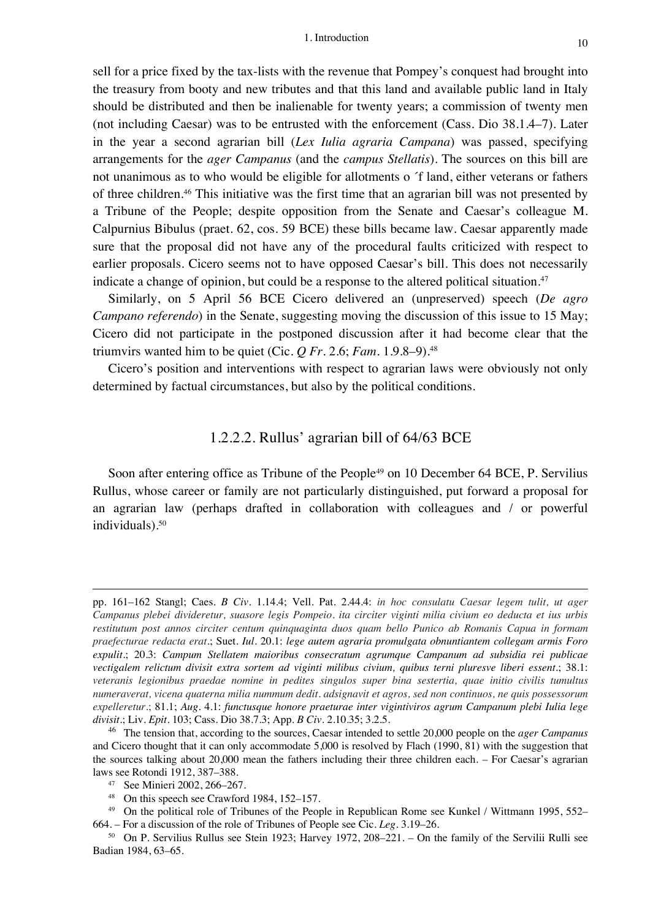sell for a price fixed by the tax-lists with the revenue that Pompey's conquest had brought into the treasury from booty and new tributes and that this land and available public land in Italy should be distributed and then be inalienable for twenty years; a commission of twenty men (not including Caesar) was to be entrusted with the enforcement (Cass. Dio 38.1.4–7). Later in the year a second agrarian bill (*Lex Iulia agraria Campana*) was passed, specifying arrangements for the *ager Campanus* (and the *campus Stellatis*). The sources on this bill are not unanimous as to who would be eligible for allotments o ´f land, either veterans or fathers of three children. <sup>46</sup> This initiative was the first time that an agrarian bill was not presented by a Tribune of the People; despite opposition from the Senate and Caesar's colleague M. Calpurnius Bibulus (praet. 62, cos. 59 BCE) these bills became law. Caesar apparently made sure that the proposal did not have any of the procedural faults criticized with respect to earlier proposals. Cicero seems not to have opposed Caesar's bill. This does not necessarily indicate a change of opinion, but could be a response to the altered political situation.<sup>47</sup>

Similarly, on 5 April 56 BCE Cicero delivered an (unpreserved) speech (*De agro Campano referendo*) in the Senate, suggesting moving the discussion of this issue to 15 May; Cicero did not participate in the postponed discussion after it had become clear that the triumvirs wanted him to be quiet (Cic.  $Q$  Fr. 2.6; Fam. 1.9.8–9).<sup>48</sup>

Cicero's position and interventions with respect to agrarian laws were obviously not only determined by factual circumstances, but also by the political conditions.

#### 1.2.2.2. Rullus' agrarian bill of 64/63 BCE

Soon after entering office as Tribune of the People<sup>49</sup> on 10 December 64 BCE, P. Servilius Rullus, whose career or family are not particularly distinguished, put forward a proposal for an agrarian law (perhaps drafted in collaboration with colleagues and / or powerful individuals). 50

pp. 161–162 Stangl; Caes. *B Civ.* 1.14.4; Vell. Pat. 2.44.4: *in hoc consulatu Caesar legem tulit, ut ager Campanus plebei divideretur, suasore legis Pompeio. ita circiter viginti milia civium eo deducta et ius urbis restitutum post annos circiter centum quinquaginta duos quam bello Punico ab Romanis Capua in formam praefecturae redacta erat*.; Suet. *Iul.* 20.1: *lege autem agraria promulgata obnuntiantem collegam armis Foro expulit*.; 20.3: *Campum Stellatem maioribus consecratum agrumque Campanum ad subsidia rei publicae vectigalem relictum divisit extra sortem ad viginti milibus civium, quibus terni pluresve liberi essent.*; 38.1: *veteranis legionibus praedae nomine in pedites singulos super bina sestertia, quae initio civilis tumultus numeraverat, vicena quaterna milia nummum dedit. adsignavit et agros, sed non continuos, ne quis possessorum expelleretur.*; 81.1; *Aug.* 4.1: *functusque honore praeturae inter vigintiviros agrum Campanum plebi Iulia lege divisit*.; Liv. *Epit.* 103; Cass. Dio 38.7.3; App. *B Civ.* 2.10.35; 3.2.5.

<sup>46</sup> The tension that, according to the sources, Caesar intended to settle 20,000 people on the *ager Campanus* and Cicero thought that it can only accommodate 5,000 is resolved by Flach (1990, 81) with the suggestion that the sources talking about 20,000 mean the fathers including their three children each. – For Caesar's agrarian laws see Rotondi 1912, 387–388.

<sup>47</sup> See Minieri 2002, 266–267.

<sup>48</sup> On this speech see Crawford 1984, 152–157.

<sup>&</sup>lt;sup>49</sup> On the political role of Tribunes of the People in Republican Rome see Kunkel / Wittmann 1995, 552– 664. – For a discussion of the role of Tribunes of People see Cic. *Leg.* 3.19–26.

<sup>50</sup> On P. Servilius Rullus see Stein 1923; Harvey 1972, 208–221. – On the family of the Servilii Rulli see Badian 1984, 63–65.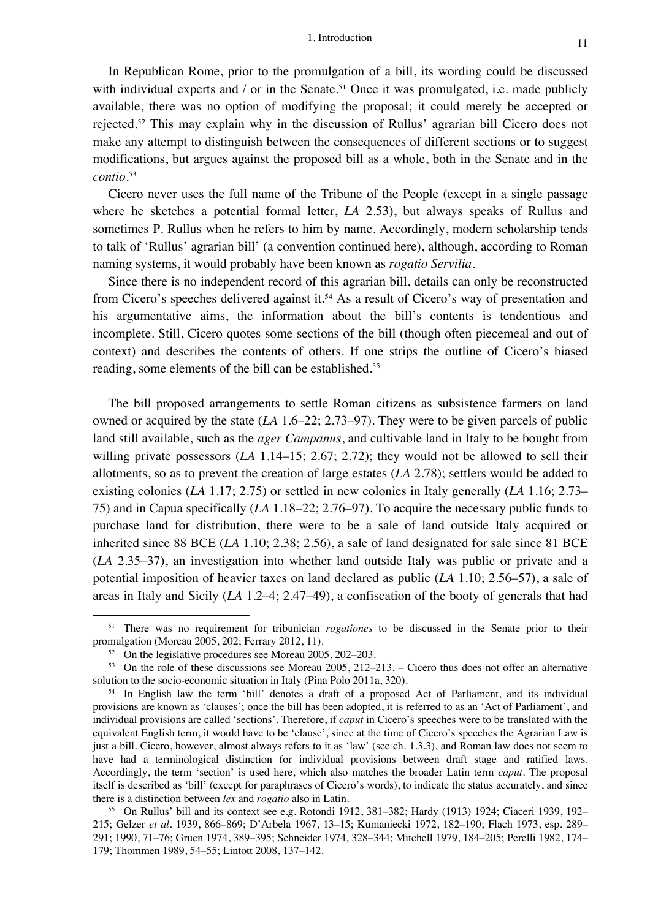In Republican Rome, prior to the promulgation of a bill, its wording could be discussed with individual experts and / or in the Senate.<sup>51</sup> Once it was promulgated, i.e. made publicly available, there was no option of modifying the proposal; it could merely be accepted or rejected.52 This may explain why in the discussion of Rullus' agrarian bill Cicero does not make any attempt to distinguish between the consequences of different sections or to suggest modifications, but argues against the proposed bill as a whole, both in the Senate and in the *contio*. 53

Cicero never uses the full name of the Tribune of the People (except in a single passage where he sketches a potential formal letter, *LA* 2.53), but always speaks of Rullus and sometimes P. Rullus when he refers to him by name. Accordingly, modern scholarship tends to talk of 'Rullus' agrarian bill' (a convention continued here), although, according to Roman naming systems, it would probably have been known as *rogatio Servilia*.

Since there is no independent record of this agrarian bill, details can only be reconstructed from Cicero's speeches delivered against it.<sup>54</sup> As a result of Cicero's way of presentation and his argumentative aims, the information about the bill's contents is tendentious and incomplete. Still, Cicero quotes some sections of the bill (though often piecemeal and out of context) and describes the contents of others. If one strips the outline of Cicero's biased reading, some elements of the bill can be established.<sup>55</sup>

The bill proposed arrangements to settle Roman citizens as subsistence farmers on land owned or acquired by the state (*LA* 1.6–22; 2.73–97). They were to be given parcels of public land still available, such as the *ager Campanus*, and cultivable land in Italy to be bought from willing private possessors (*LA* 1.14–15; 2.67; 2.72); they would not be allowed to sell their allotments, so as to prevent the creation of large estates (*LA* 2.78); settlers would be added to existing colonies (*LA* 1.17; 2.75) or settled in new colonies in Italy generally (*LA* 1.16; 2.73– 75) and in Capua specifically (*LA* 1.18–22; 2.76–97). To acquire the necessary public funds to purchase land for distribution, there were to be a sale of land outside Italy acquired or inherited since 88 BCE (*LA* 1.10; 2.38; 2.56), a sale of land designated for sale since 81 BCE (*LA* 2.35–37), an investigation into whether land outside Italy was public or private and a potential imposition of heavier taxes on land declared as public (*LA* 1.10; 2.56–57), a sale of areas in Italy and Sicily (*LA* 1.2–4; 2.47–49), a confiscation of the booty of generals that had

<sup>51</sup> There was no requirement for tribunician *rogationes* to be discussed in the Senate prior to their promulgation (Moreau 2005, 202; Ferrary 2012, 11).

<sup>&</sup>lt;sup>52</sup> On the legislative procedures see Moreau 2005, 202–203.

<sup>53</sup> On the role of these discussions see Moreau 2005, 212–213. – Cicero thus does not offer an alternative solution to the socio-economic situation in Italy (Pina Polo 2011a, 320).

<sup>&</sup>lt;sup>54</sup> In English law the term 'bill' denotes a draft of a proposed Act of Parliament, and its individual provisions are known as 'clauses'; once the bill has been adopted, it is referred to as an 'Act of Parliament', and individual provisions are called 'sections'. Therefore, if *caput* in Cicero's speeches were to be translated with the equivalent English term, it would have to be 'clause', since at the time of Cicero's speeches the Agrarian Law is just a bill. Cicero, however, almost always refers to it as 'law' (see ch. 1.3.3), and Roman law does not seem to have had a terminological distinction for individual provisions between draft stage and ratified laws. Accordingly, the term 'section' is used here, which also matches the broader Latin term *caput*. The proposal itself is described as 'bill' (except for paraphrases of Cicero's words), to indicate the status accurately, and since there is a distinction between *lex* and *rogatio* also in Latin.

<sup>55</sup> On Rullus' bill and its context see e.g. Rotondi 1912, 381–382; Hardy (1913) 1924; Ciaceri 1939, 192– 215; Gelzer *et al.* 1939, 866–869; D'Arbela 1967, 13–15; Kumaniecki 1972, 182–190; Flach 1973, esp. 289– 291; 1990, 71–76; Gruen 1974, 389–395; Schneider 1974, 328–344; Mitchell 1979, 184–205; Perelli 1982, 174– 179; Thommen 1989, 54–55; Lintott 2008, 137–142.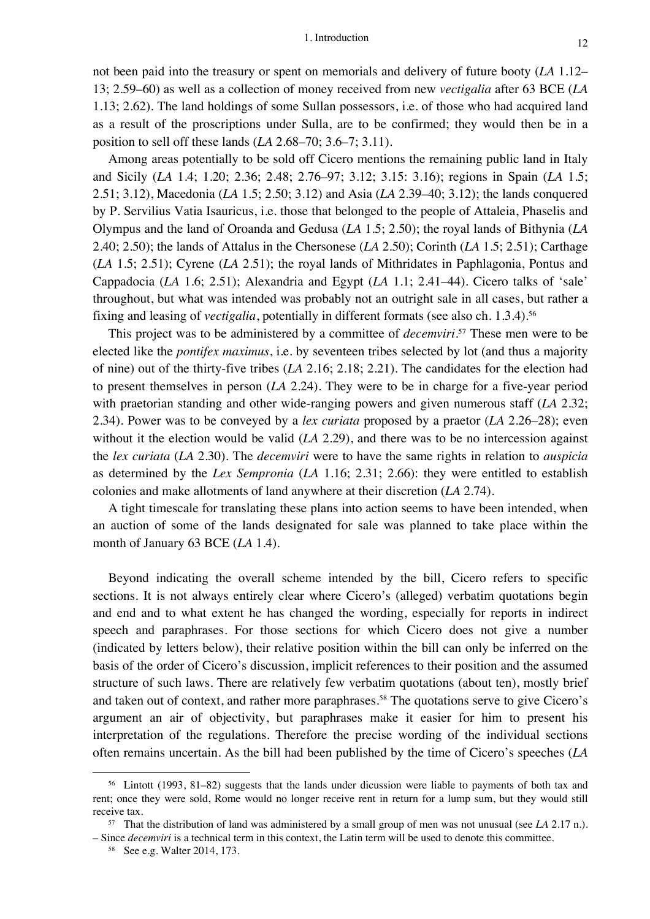not been paid into the treasury or spent on memorials and delivery of future booty (*LA* 1.12– 13; 2.59–60) as well as a collection of money received from new *vectigalia* after 63 BCE (*LA* 1.13; 2.62). The land holdings of some Sullan possessors, i.e. of those who had acquired land as a result of the proscriptions under Sulla, are to be confirmed; they would then be in a position to sell off these lands (*LA* 2.68–70; 3.6–7; 3.11).

Among areas potentially to be sold off Cicero mentions the remaining public land in Italy and Sicily (*LA* 1.4; 1.20; 2.36; 2.48; 2.76–97; 3.12; 3.15: 3.16); regions in Spain (*LA* 1.5; 2.51; 3.12), Macedonia (*LA* 1.5; 2.50; 3.12) and Asia (*LA* 2.39–40; 3.12); the lands conquered by P. Servilius Vatia Isauricus, i.e. those that belonged to the people of Attaleia, Phaselis and Olympus and the land of Oroanda and Gedusa (*LA* 1.5; 2.50); the royal lands of Bithynia (*LA* 2.40; 2.50); the lands of Attalus in the Chersonese (*LA* 2.50); Corinth (*LA* 1.5; 2.51); Carthage (*LA* 1.5; 2.51); Cyrene (*LA* 2.51); the royal lands of Mithridates in Paphlagonia, Pontus and Cappadocia (*LA* 1.6; 2.51); Alexandria and Egypt (*LA* 1.1; 2.41–44). Cicero talks of 'sale' throughout, but what was intended was probably not an outright sale in all cases, but rather a fixing and leasing of *vectigalia*, potentially in different formats (see also ch. 1.3.4). 56

This project was to be administered by a committee of *decemviri*. <sup>57</sup> These men were to be elected like the *pontifex maximus*, i.e. by seventeen tribes selected by lot (and thus a majority of nine) out of the thirty-five tribes (*LA* 2.16; 2.18; 2.21). The candidates for the election had to present themselves in person (*LA* 2.24). They were to be in charge for a five-year period with praetorian standing and other wide-ranging powers and given numerous staff (*LA* 2.32; 2.34). Power was to be conveyed by a *lex curiata* proposed by a praetor (*LA* 2.26–28); even without it the election would be valid (*LA* 2.29), and there was to be no intercession against the *lex curiata* (*LA* 2.30). The *decemviri* were to have the same rights in relation to *auspicia* as determined by the *Lex Sempronia* (*LA* 1.16; 2.31; 2.66): they were entitled to establish colonies and make allotments of land anywhere at their discretion (*LA* 2.74).

A tight timescale for translating these plans into action seems to have been intended, when an auction of some of the lands designated for sale was planned to take place within the month of January 63 BCE (*LA* 1.4).

Beyond indicating the overall scheme intended by the bill, Cicero refers to specific sections. It is not always entirely clear where Cicero's (alleged) verbatim quotations begin and end and to what extent he has changed the wording, especially for reports in indirect speech and paraphrases. For those sections for which Cicero does not give a number (indicated by letters below), their relative position within the bill can only be inferred on the basis of the order of Cicero's discussion, implicit references to their position and the assumed structure of such laws. There are relatively few verbatim quotations (about ten), mostly brief and taken out of context, and rather more paraphrases. <sup>58</sup> The quotations serve to give Cicero's argument an air of objectivity, but paraphrases make it easier for him to present his interpretation of the regulations. Therefore the precise wording of the individual sections often remains uncertain. As the bill had been published by the time of Cicero's speeches (*LA*

<sup>56</sup> Lintott (1993, 81–82) suggests that the lands under dicussion were liable to payments of both tax and rent; once they were sold, Rome would no longer receive rent in return for a lump sum, but they would still receive tax.

<sup>57</sup> That the distribution of land was administered by a small group of men was not unusual (see *LA* 2.17 n.). – Since *decemviri* is a technical term in this context, the Latin term will be used to denote this committee.

<sup>58</sup> See e.g. Walter 2014, 173.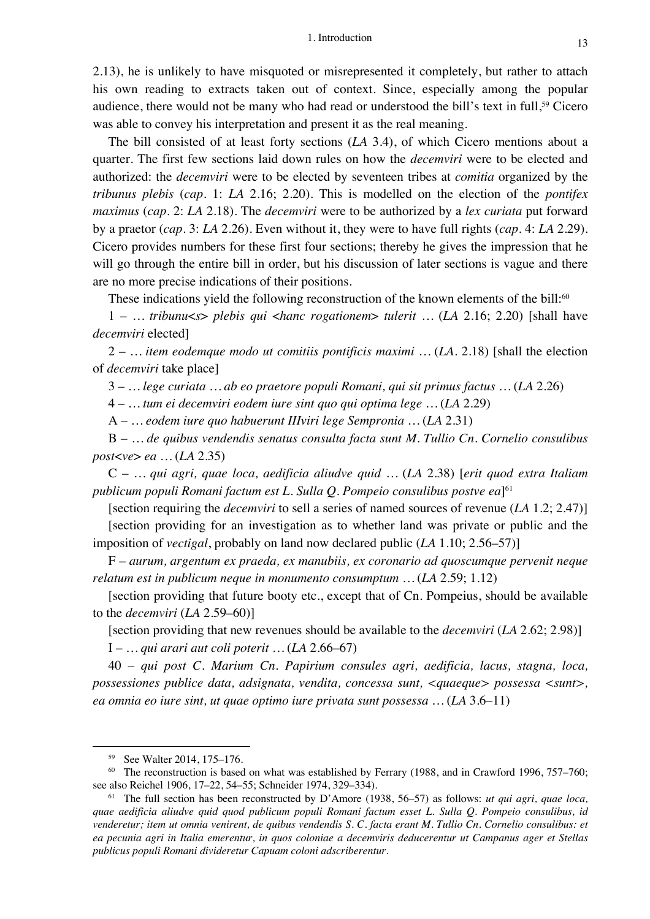2.13), he is unlikely to have misquoted or misrepresented it completely, but rather to attach his own reading to extracts taken out of context. Since, especially among the popular audience, there would not be many who had read or understood the bill's text in full, <sup>59</sup> Cicero was able to convey his interpretation and present it as the real meaning.

The bill consisted of at least forty sections (*LA* 3.4), of which Cicero mentions about a quarter. The first few sections laid down rules on how the *decemviri* were to be elected and authorized: the *decemviri* were to be elected by seventeen tribes at *comitia* organized by the *tribunus plebis* (*cap.* 1: *LA* 2.16; 2.20). This is modelled on the election of the *pontifex maximus* (*cap.* 2: *LA* 2.18). The *decemviri* were to be authorized by a *lex curiata* put forward by a praetor (*cap.* 3: *LA* 2.26). Even without it, they were to have full rights (*cap.* 4: *LA* 2.29). Cicero provides numbers for these first four sections; thereby he gives the impression that he will go through the entire bill in order, but his discussion of later sections is vague and there are no more precise indications of their positions.

These indications yield the following reconstruction of the known elements of the bill:<sup>60</sup>

1 – *… tribunu*<*s*> *plebis qui* <*hanc rogationem*> *tulerit …* (*LA* 2.16; 2.20) [shall have *decemviri* elected]

2 – *… item eodemque modo ut comitiis pontificis maximi …* (*LA.* 2.18) [shall the election of *decemviri* take place]

3 – *… lege curiata … ab eo praetore populi Romani, qui sit primus factus …* (*LA* 2.26)

4 – *… tum ei decemviri eodem iure sint quo qui optima lege …* (*LA* 2.29)

A – *… eodem iure quo habuerunt IIIviri lege Sempronia …* (*LA* 2.31)

B – *… de quibus vendendis senatus consulta facta sunt M. Tullio Cn. Cornelio consulibus post*<*ve*> *ea …* (*LA* 2.35)

C – *… qui agri, quae loca, aedificia aliudve quid …* (*LA* 2.38) [*erit quod extra Italiam publicum populi Romani factum est L. Sulla Q. Pompeio consulibus postve ea*]61

[section requiring the *decemviri* to sell a series of named sources of revenue (*LA* 1.2; 2.47)] [section providing for an investigation as to whether land was private or public and the imposition of *vectigal*, probably on land now declared public (*LA* 1.10; 2.56–57)]

F – *aurum, argentum ex praeda, ex manubiis, ex coronario ad quoscumque pervenit neque relatum est in publicum neque in monumento consumptum …* (*LA* 2.59; 1.12)

[section providing that future booty etc., except that of Cn. Pompeius, should be available to the *decemviri* (*LA* 2.59–60)]

[section providing that new revenues should be available to the *decemviri* (*LA* 2.62; 2.98)]

I – *… qui arari aut coli poterit …* (*LA* 2.66–67)

40 – *qui post C. Marium Cn. Papirium consules agri, aedificia, lacus, stagna, loca, possessiones publice data, adsignata, vendita, concessa sunt, <quaeque> possessa <sunt>, ea omnia eo iure sint, ut quae optimo iure privata sunt possessa …* (*LA* 3.6–11)

<sup>59</sup> See Walter 2014, 175–176.

 $60$  The reconstruction is based on what was established by Ferrary (1988, and in Crawford 1996, 757–760; see also Reichel 1906, 17–22, 54–55; Schneider 1974, 329–334).

<sup>61</sup> The full section has been reconstructed by D'Amore (1938, 56–57) as follows: *ut qui agri, quae loca, quae aedificia aliudve quid quod publicum populi Romani factum esset L. Sulla Q. Pompeio consulibus, id venderetur; item ut omnia venirent, de quibus vendendis S. C. facta erant M. Tullio Cn. Cornelio consulibus: et ea pecunia agri in Italia emerentur, in quos coloniae a decemviris deducerentur ut Campanus ager et Stellas publicus populi Romani divideretur Capuam coloni adscriberentur.*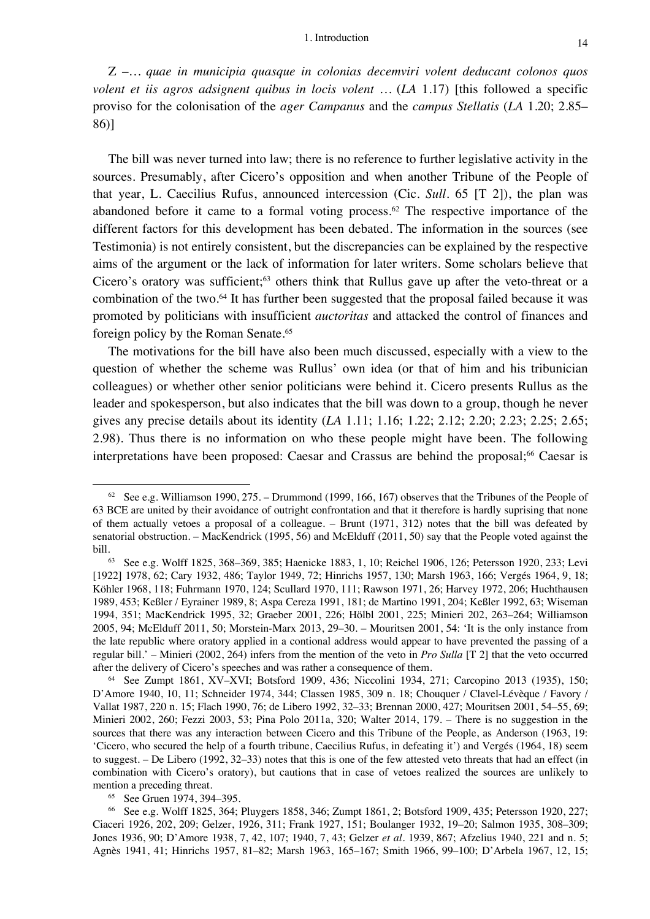Z *–… quae in municipia quasque in colonias decemviri volent deducant colonos quos volent et iis agros adsignent quibus in locis volent …* (*LA* 1.17) [this followed a specific proviso for the colonisation of the *ager Campanus* and the *campus Stellatis* (*LA* 1.20; 2.85– 86)]

The bill was never turned into law; there is no reference to further legislative activity in the sources. Presumably, after Cicero's opposition and when another Tribune of the People of that year, L. Caecilius Rufus, announced intercession (Cic. *Sull.* 65 [T 2]), the plan was abandoned before it came to a formal voting process. <sup>62</sup> The respective importance of the different factors for this development has been debated. The information in the sources (see Testimonia) is not entirely consistent, but the discrepancies can be explained by the respective aims of the argument or the lack of information for later writers. Some scholars believe that Cicero's oratory was sufficient;<sup>63</sup> others think that Rullus gave up after the veto-threat or a combination of the two. <sup>64</sup> It has further been suggested that the proposal failed because it was promoted by politicians with insufficient *auctoritas* and attacked the control of finances and foreign policy by the Roman Senate.<sup>65</sup>

The motivations for the bill have also been much discussed, especially with a view to the question of whether the scheme was Rullus' own idea (or that of him and his tribunician colleagues) or whether other senior politicians were behind it. Cicero presents Rullus as the leader and spokesperson, but also indicates that the bill was down to a group, though he never gives any precise details about its identity (*LA* 1.11; 1.16; 1.22; 2.12; 2.20; 2.23; 2.25; 2.65; 2.98). Thus there is no information on who these people might have been. The following interpretations have been proposed: Caesar and Crassus are behind the proposal;<sup>66</sup> Caesar is

<sup>&</sup>lt;sup>62</sup> See e.g. Williamson 1990, 275. – Drummond (1999, 166, 167) observes that the Tribunes of the People of 63 BCE are united by their avoidance of outright confrontation and that it therefore is hardly suprising that none of them actually vetoes a proposal of a colleague. – Brunt (1971, 312) notes that the bill was defeated by senatorial obstruction. – MacKendrick (1995, 56) and McElduff (2011, 50) say that the People voted against the bill.<br><sup>63</sup> See e.g. Wolff 1825, 368–369, 385; Haenicke 1883, 1, 10; Reichel 1906, 126; Petersson 1920, 233; Levi

<sup>[1922] 1978, 62;</sup> Cary 1932, 486; Taylor 1949, 72; Hinrichs 1957, 130; Marsh 1963, 166; Vergés 1964, 9, 18; Köhler 1968, 118; Fuhrmann 1970, 124; Scullard 1970, 111; Rawson 1971, 26; Harvey 1972, 206; Huchthausen 1989, 453; Keßler / Eyrainer 1989, 8; Aspa Cereza 1991, 181; de Martino 1991, 204; Keßler 1992, 63; Wiseman 1994, 351; MacKendrick 1995, 32; Graeber 2001, 226; Hölbl 2001, 225; Minieri 202, 263–264; Williamson 2005, 94; McElduff 2011, 50; Morstein-Marx 2013, 29–30. – Mouritsen 2001, 54: 'It is the only instance from the late republic where oratory applied in a contional address would appear to have prevented the passing of a regular bill.' – Minieri (2002, 264) infers from the mention of the veto in *Pro Sulla* [T 2] that the veto occurred after the delivery of Cicero's speeches and was rather a consequence of them.

<sup>64</sup> See Zumpt 1861, XV–XVI; Botsford 1909, 436; Niccolini 1934, 271; Carcopino 2013 (1935), 150; D'Amore 1940, 10, 11; Schneider 1974, 344; Classen 1985, 309 n. 18; Chouquer / Clavel-Lévèque / Favory / Vallat 1987, 220 n. 15; Flach 1990, 76; de Libero 1992, 32–33; Brennan 2000, 427; Mouritsen 2001, 54–55, 69; Minieri 2002, 260; Fezzi 2003, 53; Pina Polo 2011a, 320; Walter 2014, 179. – There is no suggestion in the sources that there was any interaction between Cicero and this Tribune of the People, as Anderson (1963, 19: 'Cicero, who secured the help of a fourth tribune, Caecilius Rufus, in defeating it') and Vergés (1964, 18) seem to suggest. – De Libero (1992, 32–33) notes that this is one of the few attested veto threats that had an effect (in combination with Cicero's oratory), but cautions that in case of vetoes realized the sources are unlikely to mention a preceding threat.

<sup>65</sup> See Gruen 1974, 394–395.

<sup>66</sup> See e.g. Wolff 1825, 364; Pluygers 1858, 346; Zumpt 1861, 2; Botsford 1909, 435; Petersson 1920, 227; Ciaceri 1926, 202, 209; Gelzer, 1926, 311; Frank 1927, 151; Boulanger 1932, 19–20; Salmon 1935, 308–309; Jones 1936, 90; D'Amore 1938, 7, 42, 107; 1940, 7, 43; Gelzer *et al.* 1939, 867; Afzelius 1940, 221 and n. 5; Agnès 1941, 41; Hinrichs 1957, 81–82; Marsh 1963, 165–167; Smith 1966, 99–100; D'Arbela 1967, 12, 15;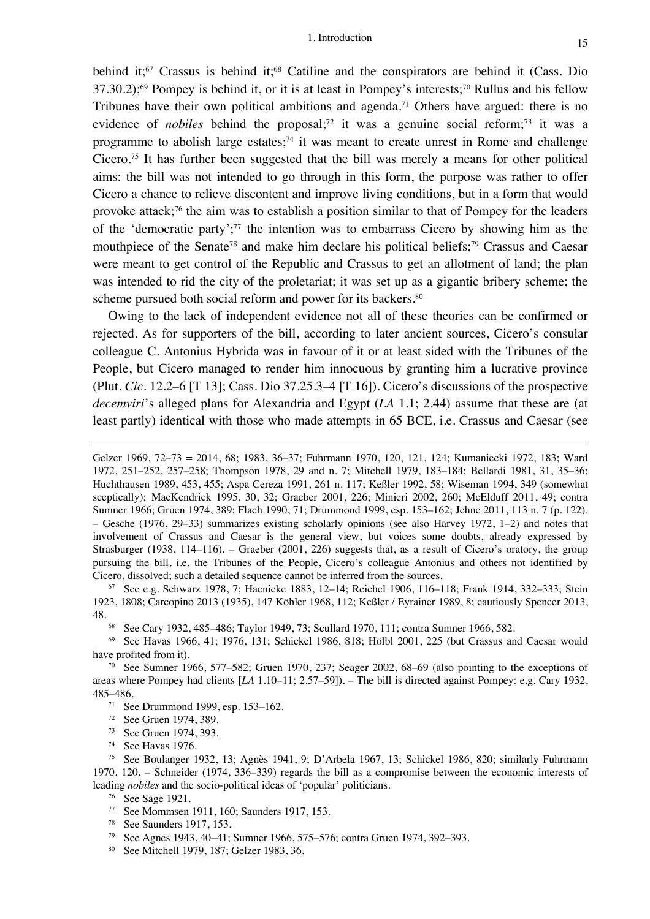behind it;<sup>67</sup> Crassus is behind it;<sup>68</sup> Catiline and the conspirators are behind it (Cass. Dio 37.30.2);<sup>69</sup> Pompey is behind it, or it is at least in Pompey's interests;<sup>70</sup> Rullus and his fellow Tribunes have their own political ambitions and agenda. <sup>71</sup> Others have argued: there is no evidence of *nobiles* behind the proposal;<sup>72</sup> it was a genuine social reform;<sup>73</sup> it was a programme to abolish large estates;<sup>74</sup> it was meant to create unrest in Rome and challenge Cicero. <sup>75</sup> It has further been suggested that the bill was merely a means for other political aims: the bill was not intended to go through in this form, the purpose was rather to offer Cicero a chance to relieve discontent and improve living conditions, but in a form that would provoke attack;76 the aim was to establish a position similar to that of Pompey for the leaders of the 'democratic party'; <sup>77</sup> the intention was to embarrass Cicero by showing him as the mouthpiece of the Senate<sup>78</sup> and make him declare his political beliefs:<sup>79</sup> Crassus and Caesar were meant to get control of the Republic and Crassus to get an allotment of land; the plan was intended to rid the city of the proletariat; it was set up as a gigantic bribery scheme; the scheme pursued both social reform and power for its backers.<sup>80</sup>

Owing to the lack of independent evidence not all of these theories can be confirmed or rejected. As for supporters of the bill, according to later ancient sources, Cicero's consular colleague C. Antonius Hybrida was in favour of it or at least sided with the Tribunes of the People, but Cicero managed to render him innocuous by granting him a lucrative province (Plut. *Cic.* 12.2–6 [T 13]; Cass. Dio 37.25.3–4 [T 16]). Cicero's discussions of the prospective *decemviri*'s alleged plans for Alexandria and Egypt (*LA* 1.1; 2.44) assume that these are (at least partly) identical with those who made attempts in 65 BCE, i.e. Crassus and Caesar (see

Gelzer 1969, 72–73 = 2014, 68; 1983, 36–37; Fuhrmann 1970, 120, 121, 124; Kumaniecki 1972, 183; Ward 1972, 251–252, 257–258; Thompson 1978, 29 and n. 7; Mitchell 1979, 183–184; Bellardi 1981, 31, 35–36; Huchthausen 1989, 453, 455; Aspa Cereza 1991, 261 n. 117; Keßler 1992, 58; Wiseman 1994, 349 (somewhat sceptically); MacKendrick 1995, 30, 32; Graeber 2001, 226; Minieri 2002, 260; McElduff 2011, 49; contra Sumner 1966; Gruen 1974, 389; Flach 1990, 71; Drummond 1999, esp. 153–162; Jehne 2011, 113 n. 7 (p. 122). – Gesche (1976, 29–33) summarizes existing scholarly opinions (see also Harvey 1972, 1–2) and notes that involvement of Crassus and Caesar is the general view, but voices some doubts, already expressed by Strasburger (1938, 114–116). – Graeber (2001, 226) suggests that, as a result of Cicero's oratory, the group pursuing the bill, i.e. the Tribunes of the People, Cicero's colleague Antonius and others not identified by Cicero, dissolved; such a detailed sequence cannot be inferred from the sources.

<sup>67</sup> See e.g. Schwarz 1978, 7; Haenicke 1883, 12–14; Reichel 1906, 116–118; Frank 1914, 332–333; Stein 1923, 1808; Carcopino 2013 (1935), 147 Köhler 1968, 112; Keßler / Eyrainer 1989, 8; cautiously Spencer 2013, 48.

<sup>68</sup> See Cary 1932, 485–486; Taylor 1949, 73; Scullard 1970, 111; contra Sumner 1966, 582.

<sup>69</sup> See Havas 1966, 41; 1976, 131; Schickel 1986, 818; Hölbl 2001, 225 (but Crassus and Caesar would have profited from it).

<sup>70</sup> See Sumner 1966, 577–582; Gruen 1970, 237; Seager 2002, 68–69 (also pointing to the exceptions of areas where Pompey had clients [*LA* 1.10–11; 2.57–59]). – The bill is directed against Pompey: e.g. Cary 1932, 485–486.

<sup>71</sup> See Drummond 1999, esp. 153–162.

<sup>72</sup> See Gruen 1974, 389.

- <sup>73</sup> See Gruen 1974, 393.
- <sup>74</sup> See Havas 1976.

<sup>75</sup> See Boulanger 1932, 13; Agnès 1941, 9; D'Arbela 1967, 13; Schickel 1986, 820; similarly Fuhrmann 1970, 120. – Schneider (1974, 336–339) regards the bill as a compromise between the economic interests of leading *nobiles* and the socio-political ideas of 'popular' politicians.

<sup>76</sup> See Sage 1921.

- <sup>77</sup> See Mommsen 1911, 160; Saunders 1917, 153.
- <sup>78</sup> See Saunders 1917, 153.
- <sup>79</sup> See Agnes 1943, 40–41; Sumner 1966, 575–576; contra Gruen 1974, 392–393.
- <sup>80</sup> See Mitchell 1979, 187; Gelzer 1983, 36.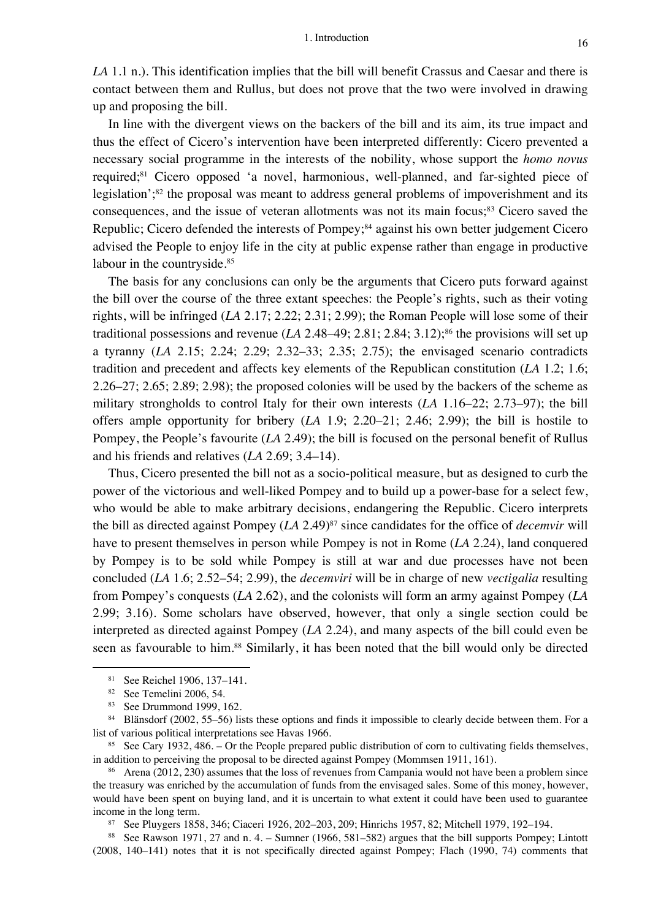*LA* 1.1 n.). This identification implies that the bill will benefit Crassus and Caesar and there is contact between them and Rullus, but does not prove that the two were involved in drawing up and proposing the bill.

In line with the divergent views on the backers of the bill and its aim, its true impact and thus the effect of Cicero's intervention have been interpreted differently: Cicero prevented a necessary social programme in the interests of the nobility, whose support the *homo novus* required;<sup>81</sup> Cicero opposed 'a novel, harmonious, well-planned, and far-sighted piece of legislation';<sup>82</sup> the proposal was meant to address general problems of impoverishment and its consequences, and the issue of veteran allotments was not its main focus;<sup>83</sup> Cicero saved the Republic; Cicero defended the interests of Pompey; <sup>84</sup> against his own better judgement Cicero advised the People to enjoy life in the city at public expense rather than engage in productive labour in the countryside.<sup>85</sup>

The basis for any conclusions can only be the arguments that Cicero puts forward against the bill over the course of the three extant speeches: the People's rights, such as their voting rights, will be infringed (*LA* 2.17; 2.22; 2.31; 2.99); the Roman People will lose some of their traditional possessions and revenue  $(LA\ 2.48-49; 2.81; 2.84; 3.12);$ <sup>86</sup> the provisions will set up a tyranny (*LA* 2.15; 2.24; 2.29; 2.32–33; 2.35; 2.75); the envisaged scenario contradicts tradition and precedent and affects key elements of the Republican constitution (*LA* 1.2; 1.6; 2.26–27; 2.65; 2.89; 2.98); the proposed colonies will be used by the backers of the scheme as military strongholds to control Italy for their own interests (*LA* 1.16–22; 2.73–97); the bill offers ample opportunity for bribery (*LA* 1.9; 2.20–21; 2.46; 2.99); the bill is hostile to Pompey, the People's favourite (*LA* 2.49); the bill is focused on the personal benefit of Rullus and his friends and relatives (*LA* 2.69; 3.4–14).

Thus, Cicero presented the bill not as a socio-political measure, but as designed to curb the power of the victorious and well-liked Pompey and to build up a power-base for a select few, who would be able to make arbitrary decisions, endangering the Republic. Cicero interprets the bill as directed against Pompey (*LA* 2.49)87 since candidates for the office of *decemvir* will have to present themselves in person while Pompey is not in Rome (*LA* 2.24), land conquered by Pompey is to be sold while Pompey is still at war and due processes have not been concluded (*LA* 1.6; 2.52–54; 2.99), the *decemviri* will be in charge of new *vectigalia* resulting from Pompey's conquests (*LA* 2.62), and the colonists will form an army against Pompey (*LA* 2.99; 3.16). Some scholars have observed, however, that only a single section could be interpreted as directed against Pompey (*LA* 2.24), and many aspects of the bill could even be seen as favourable to him. <sup>88</sup> Similarly, it has been noted that the bill would only be directed

<sup>81</sup> See Reichel 1906, 137–141.

<sup>82</sup> See Temelini 2006, 54.

<sup>83</sup> See Drummond 1999, 162.

<sup>84</sup> Blänsdorf (2002, 55–56) lists these options and finds it impossible to clearly decide between them. For a list of various political interpretations see Havas 1966.

<sup>&</sup>lt;sup>85</sup> See Cary 1932, 486. – Or the People prepared public distribution of corn to cultivating fields themselves, in addition to perceiving the proposal to be directed against Pompey (Mommsen 1911, 161).

<sup>&</sup>lt;sup>86</sup> Arena (2012, 230) assumes that the loss of revenues from Campania would not have been a problem since the treasury was enriched by the accumulation of funds from the envisaged sales. Some of this money, however, would have been spent on buying land, and it is uncertain to what extent it could have been used to guarantee income in the long term.

<sup>87</sup> See Pluygers 1858, 346; Ciaceri 1926, 202–203, 209; Hinrichs 1957, 82; Mitchell 1979, 192–194.

<sup>88</sup> See Rawson 1971, 27 and n. 4. – Sumner (1966, 581–582) argues that the bill supports Pompey; Lintott (2008, 140–141) notes that it is not specifically directed against Pompey; Flach (1990, 74) comments that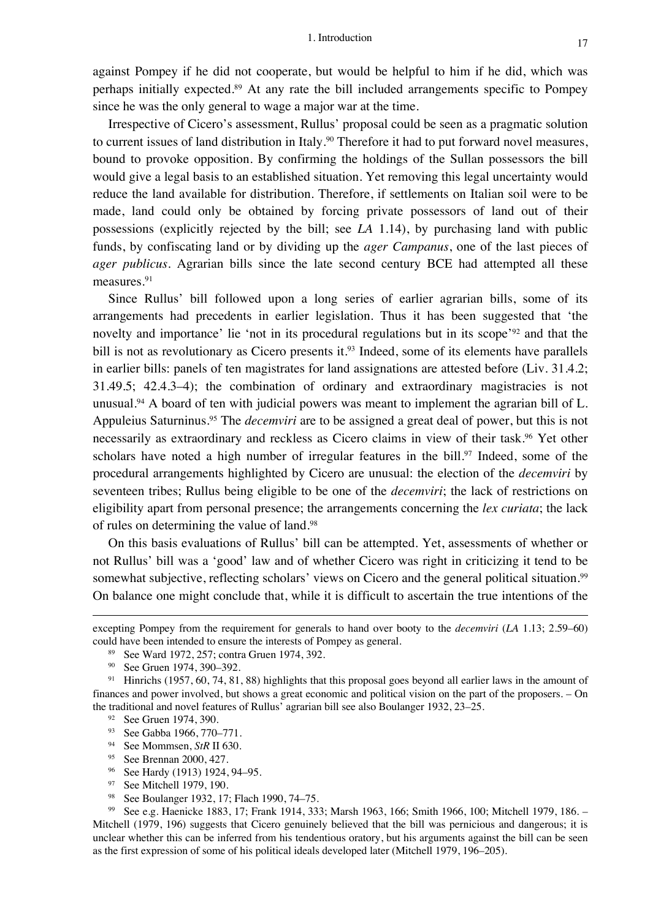against Pompey if he did not cooperate, but would be helpful to him if he did, which was perhaps initially expected.89 At any rate the bill included arrangements specific to Pompey since he was the only general to wage a major war at the time.

Irrespective of Cicero's assessment, Rullus' proposal could be seen as a pragmatic solution to current issues of land distribution in Italy.<sup>90</sup> Therefore it had to put forward novel measures, bound to provoke opposition. By confirming the holdings of the Sullan possessors the bill would give a legal basis to an established situation. Yet removing this legal uncertainty would reduce the land available for distribution. Therefore, if settlements on Italian soil were to be made, land could only be obtained by forcing private possessors of land out of their possessions (explicitly rejected by the bill; see *LA* 1.14), by purchasing land with public funds, by confiscating land or by dividing up the *ager Campanus*, one of the last pieces of *ager publicus*. Agrarian bills since the late second century BCE had attempted all these measures. 91

Since Rullus' bill followed upon a long series of earlier agrarian bills, some of its arrangements had precedents in earlier legislation. Thus it has been suggested that 'the novelty and importance' lie 'not in its procedural regulations but in its scope'<sup>92</sup> and that the bill is not as revolutionary as Cicero presents it.<sup>93</sup> Indeed, some of its elements have parallels in earlier bills: panels of ten magistrates for land assignations are attested before (Liv. 31.4.2; 31.49.5; 42.4.3–4); the combination of ordinary and extraordinary magistracies is not unusual.<sup>94</sup> A board of ten with judicial powers was meant to implement the agrarian bill of L. Appuleius Saturninus.95 The *decemviri* are to be assigned a great deal of power, but this is not necessarily as extraordinary and reckless as Cicero claims in view of their task. <sup>96</sup> Yet other scholars have noted a high number of irregular features in the bill.<sup>97</sup> Indeed, some of the procedural arrangements highlighted by Cicero are unusual: the election of the *decemviri* by seventeen tribes; Rullus being eligible to be one of the *decemviri*; the lack of restrictions on eligibility apart from personal presence; the arrangements concerning the *lex curiata*; the lack of rules on determining the value of land. 98

On this basis evaluations of Rullus' bill can be attempted. Yet, assessments of whether or not Rullus' bill was a 'good' law and of whether Cicero was right in criticizing it tend to be somewhat subjective, reflecting scholars' views on Cicero and the general political situation.<sup>99</sup> On balance one might conclude that, while it is difficult to ascertain the true intentions of the

<sup>94</sup> See Mommsen, *StR* II 630.

- <sup>96</sup> See Hardy (1913) 1924, 94–95.<br><sup>97</sup> See Mitchell 1979 190
- See Mitchell 1979, 190.
- <sup>98</sup> See Boulanger 1932, 17; Flach 1990, 74–75.

<sup>99</sup> See e.g. Haenicke 1883, 17; Frank 1914, 333; Marsh 1963, 166; Smith 1966, 100; Mitchell 1979, 186. – Mitchell (1979, 196) suggests that Cicero genuinely believed that the bill was pernicious and dangerous; it is unclear whether this can be inferred from his tendentious oratory, but his arguments against the bill can be seen as the first expression of some of his political ideals developed later (Mitchell 1979, 196–205).

excepting Pompey from the requirement for generals to hand over booty to the *decemviri* (*LA* 1.13; 2.59–60) could have been intended to ensure the interests of Pompey as general.

<sup>89</sup> See Ward 1972, 257; contra Gruen 1974, 392.

<sup>90</sup> See Gruen 1974, 390–392.

<sup>91</sup> Hinrichs (1957, 60, 74, 81, 88) highlights that this proposal goes beyond all earlier laws in the amount of finances and power involved, but shows a great economic and political vision on the part of the proposers. – On the traditional and novel features of Rullus' agrarian bill see also Boulanger 1932, 23–25.

<sup>&</sup>lt;sup>92</sup> See Gruen 1974, 390.

<sup>93</sup> See Gabba 1966, 770–771.

<sup>95</sup> See Brennan 2000, 427.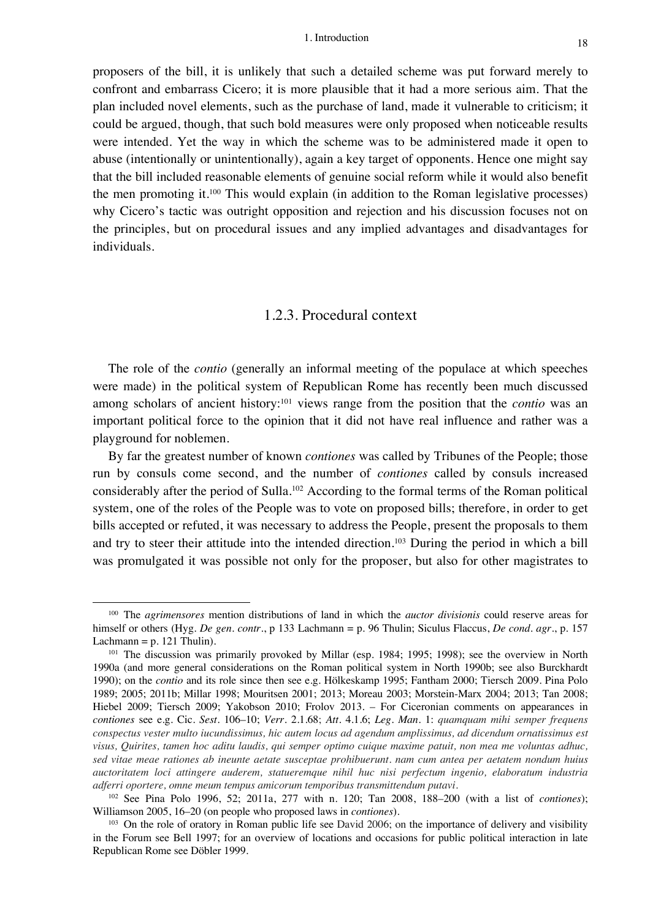proposers of the bill, it is unlikely that such a detailed scheme was put forward merely to confront and embarrass Cicero; it is more plausible that it had a more serious aim. That the plan included novel elements, such as the purchase of land, made it vulnerable to criticism; it could be argued, though, that such bold measures were only proposed when noticeable results were intended. Yet the way in which the scheme was to be administered made it open to abuse (intentionally or unintentionally), again a key target of opponents. Hence one might say that the bill included reasonable elements of genuine social reform while it would also benefit the men promoting it.100 This would explain (in addition to the Roman legislative processes) why Cicero's tactic was outright opposition and rejection and his discussion focuses not on the principles, but on procedural issues and any implied advantages and disadvantages for individuals.

#### 1.2.3. Procedural context

The role of the *contio* (generally an informal meeting of the populace at which speeches were made) in the political system of Republican Rome has recently been much discussed among scholars of ancient history: <sup>101</sup> views range from the position that the *contio* was an important political force to the opinion that it did not have real influence and rather was a playground for noblemen.

By far the greatest number of known *contiones* was called by Tribunes of the People; those run by consuls come second, and the number of *contiones* called by consuls increased considerably after the period of Sulla.102 According to the formal terms of the Roman political system, one of the roles of the People was to vote on proposed bills; therefore, in order to get bills accepted or refuted, it was necessary to address the People, present the proposals to them and try to steer their attitude into the intended direction. <sup>103</sup> During the period in which a bill was promulgated it was possible not only for the proposer, but also for other magistrates to

<sup>100</sup> The *agrimensores* mention distributions of land in which the *auctor divisionis* could reserve areas for himself or others (Hyg. *De gen. contr.*, p 133 Lachmann = p. 96 Thulin; Siculus Flaccus, *De cond. agr.*, p. 157 Lachmann =  $p. 121$  Thulin).

<sup>&</sup>lt;sup>101</sup> The discussion was primarily provoked by Millar (esp. 1984; 1995; 1998); see the overview in North 1990a (and more general considerations on the Roman political system in North 1990b; see also Burckhardt 1990); on the *contio* and its role since then see e.g. Hölkeskamp 1995; Fantham 2000; Tiersch 2009. Pina Polo 1989; 2005; 2011b; Millar 1998; Mouritsen 2001; 2013; Moreau 2003; Morstein-Marx 2004; 2013; Tan 2008; Hiebel 2009; Tiersch 2009; Yakobson 2010; Frolov 2013. – For Ciceronian comments on appearances in *contiones* see e.g. Cic. *Sest.* 106–10; *Verr.* 2.1.68; *Att.* 4.1.6; *Leg. Man.* 1: *quamquam mihi semper frequens conspectus vester multo iucundissimus, hic autem locus ad agendum amplissimus, ad dicendum ornatissimus est visus, Quirites, tamen hoc aditu laudis, qui semper optimo cuique maxime patuit, non mea me voluntas adhuc, sed vitae meae rationes ab ineunte aetate susceptae prohibuerunt. nam cum antea per aetatem nondum huius auctoritatem loci attingere auderem, statueremque nihil huc nisi perfectum ingenio, elaboratum industria adferri oportere, omne meum tempus amicorum temporibus transmittendum putavi.*

<sup>102</sup> See Pina Polo 1996, 52; 2011a, 277 with n. 120; Tan 2008, 188–200 (with a list of *contiones*); Williamson 2005, 16–20 (on people who proposed laws in *contiones*).

<sup>103</sup> On the role of oratory in Roman public life see David 2006; on the importance of delivery and visibility in the Forum see Bell 1997; for an overview of locations and occasions for public political interaction in late Republican Rome see Döbler 1999.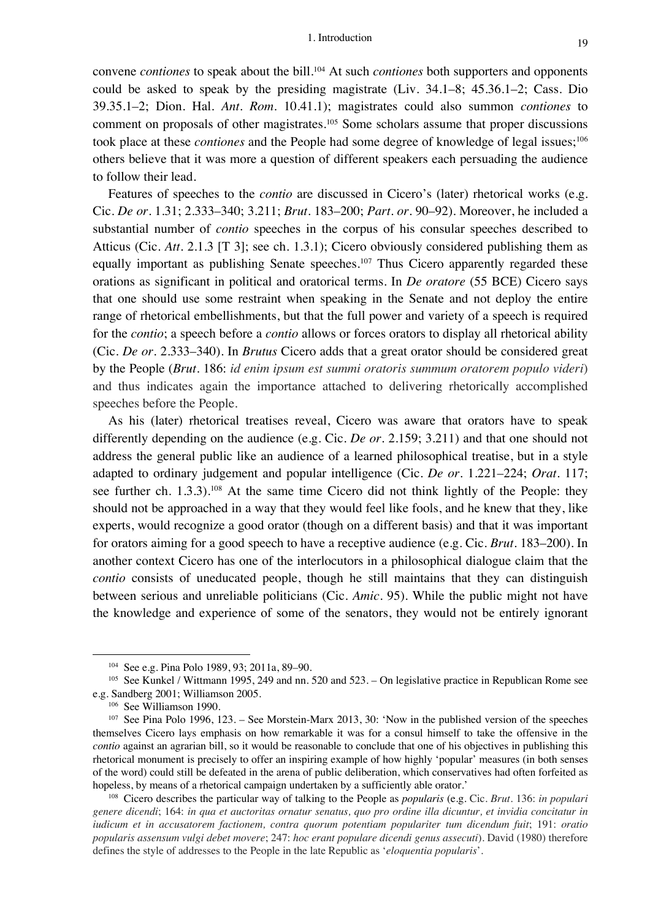convene *contiones* to speak about the bill. <sup>104</sup> At such *contiones* both supporters and opponents could be asked to speak by the presiding magistrate (Liv. 34.1–8; 45.36.1–2; Cass. Dio 39.35.1–2; Dion. Hal. *Ant. Rom.* 10.41.1); magistrates could also summon *contiones* to comment on proposals of other magistrates.<sup>105</sup> Some scholars assume that proper discussions took place at these *contiones* and the People had some degree of knowledge of legal issues;<sup>106</sup> others believe that it was more a question of different speakers each persuading the audience to follow their lead.

Features of speeches to the *contio* are discussed in Cicero's (later) rhetorical works (e.g. Cic. *De or.* 1.31; 2.333–340; 3.211; *Brut.* 183–200; *Part. or.* 90–92). Moreover, he included a substantial number of *contio* speeches in the corpus of his consular speeches described to Atticus (Cic. *Att.* 2.1.3 [T 3]; see ch. 1.3.1); Cicero obviously considered publishing them as equally important as publishing Senate speeches.<sup>107</sup> Thus Cicero apparently regarded these orations as significant in political and oratorical terms. In *De oratore* (55 BCE) Cicero says that one should use some restraint when speaking in the Senate and not deploy the entire range of rhetorical embellishments, but that the full power and variety of a speech is required for the *contio*; a speech before a *contio* allows or forces orators to display all rhetorical ability (Cic. *De or.* 2.333–340). In *Brutus* Cicero adds that a great orator should be considered great by the People (*Brut.* 186: *id enim ipsum est summi oratoris summum oratorem populo videri*) and thus indicates again the importance attached to delivering rhetorically accomplished speeches before the People.

As his (later) rhetorical treatises reveal, Cicero was aware that orators have to speak differently depending on the audience (e.g. Cic. *De or.* 2.159; 3.211) and that one should not address the general public like an audience of a learned philosophical treatise, but in a style adapted to ordinary judgement and popular intelligence (Cic. *De or.* 1.221–224; *Orat.* 117; see further ch. 1.3.3).<sup>108</sup> At the same time Cicero did not think lightly of the People: they should not be approached in a way that they would feel like fools, and he knew that they, like experts, would recognize a good orator (though on a different basis) and that it was important for orators aiming for a good speech to have a receptive audience (e.g. Cic. *Brut.* 183–200). In another context Cicero has one of the interlocutors in a philosophical dialogue claim that the *contio* consists of uneducated people, though he still maintains that they can distinguish between serious and unreliable politicians (Cic. *Amic.* 95). While the public might not have the knowledge and experience of some of the senators, they would not be entirely ignorant

<sup>108</sup> Cicero describes the particular way of talking to the People as *popularis* (e.g. Cic. *Brut.* 136: *in populari genere dicendi*; 164: *in qua et auctoritas ornatur senatus, quo pro ordine illa dicuntur, et invidia concitatur in iudicum et in accusatorem factionem, contra quorum potentiam populariter tum dicendum fuit*; 191: *oratio popularis assensum vulgi debet movere*; 247: *hoc erant populare dicendi genus assecuti*). David (1980) therefore defines the style of addresses to the People in the late Republic as '*eloquentia popularis*'.

<sup>104</sup> See e.g. Pina Polo 1989, 93; 2011a, 89–90.

<sup>105</sup> See Kunkel / Wittmann 1995, 249 and nn. 520 and 523. – On legislative practice in Republican Rome see e.g. Sandberg 2001; Williamson 2005.

<sup>106</sup> See Williamson 1990.

<sup>107</sup> See Pina Polo 1996, 123. – See Morstein-Marx 2013, 30: 'Now in the published version of the speeches themselves Cicero lays emphasis on how remarkable it was for a consul himself to take the offensive in the *contio* against an agrarian bill, so it would be reasonable to conclude that one of his objectives in publishing this rhetorical monument is precisely to offer an inspiring example of how highly 'popular' measures (in both senses of the word) could still be defeated in the arena of public deliberation, which conservatives had often forfeited as hopeless, by means of a rhetorical campaign undertaken by a sufficiently able orator.'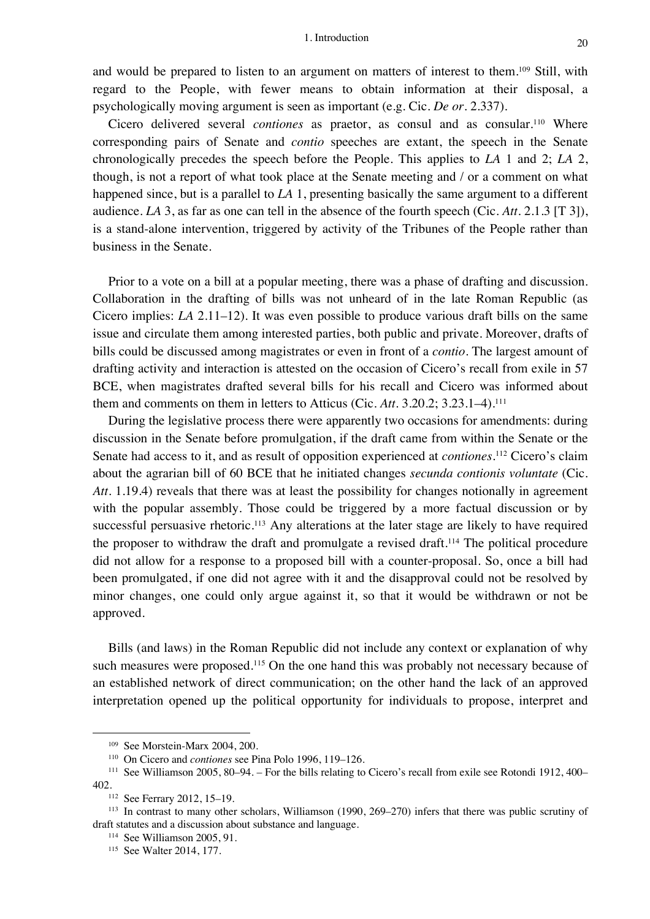and would be prepared to listen to an argument on matters of interest to them.<sup>109</sup> Still, with regard to the People, with fewer means to obtain information at their disposal, a psychologically moving argument is seen as important (e.g. Cic. *De or.* 2.337).

Cicero delivered several *contiones* as praetor, as consul and as consular.<sup>110</sup> Where corresponding pairs of Senate and *contio* speeches are extant, the speech in the Senate chronologically precedes the speech before the People. This applies to *LA* 1 and 2; *LA* 2, though, is not a report of what took place at the Senate meeting and / or a comment on what happened since, but is a parallel to *LA* 1, presenting basically the same argument to a different audience. *LA* 3, as far as one can tell in the absence of the fourth speech (Cic. *Att.* 2.1.3 [T 3]), is a stand-alone intervention, triggered by activity of the Tribunes of the People rather than business in the Senate.

Prior to a vote on a bill at a popular meeting, there was a phase of drafting and discussion. Collaboration in the drafting of bills was not unheard of in the late Roman Republic (as Cicero implies: *LA* 2.11–12). It was even possible to produce various draft bills on the same issue and circulate them among interested parties, both public and private. Moreover, drafts of bills could be discussed among magistrates or even in front of a *contio*. The largest amount of drafting activity and interaction is attested on the occasion of Cicero's recall from exile in 57 BCE, when magistrates drafted several bills for his recall and Cicero was informed about them and comments on them in letters to Atticus (Cic. *Att.* 3.20.2; 3.23.1–4).111

During the legislative process there were apparently two occasions for amendments: during discussion in the Senate before promulgation, if the draft came from within the Senate or the Senate had access to it, and as result of opposition experienced at *contiones*. <sup>112</sup> Cicero's claim about the agrarian bill of 60 BCE that he initiated changes *secunda contionis voluntate* (Cic. *Att.* 1.19.4) reveals that there was at least the possibility for changes notionally in agreement with the popular assembly. Those could be triggered by a more factual discussion or by successful persuasive rhetoric.<sup>113</sup> Any alterations at the later stage are likely to have required the proposer to withdraw the draft and promulgate a revised draft.114 The political procedure did not allow for a response to a proposed bill with a counter-proposal. So, once a bill had been promulgated, if one did not agree with it and the disapproval could not be resolved by minor changes, one could only argue against it, so that it would be withdrawn or not be approved.

Bills (and laws) in the Roman Republic did not include any context or explanation of why such measures were proposed.<sup>115</sup> On the one hand this was probably not necessary because of an established network of direct communication; on the other hand the lack of an approved interpretation opened up the political opportunity for individuals to propose, interpret and

<sup>109</sup> See Morstein-Marx 2004, 200.

<sup>110</sup> On Cicero and *contiones* see Pina Polo 1996, 119–126.

<sup>111</sup> See Williamson 2005, 80–94. – For the bills relating to Cicero's recall from exile see Rotondi 1912, 400– 402.<br><sup>112</sup> See Ferrary 2012, 15–19.

<sup>113</sup> In contrast to many other scholars, Williamson (1990, 269–270) infers that there was public scrutiny of draft statutes and a discussion about substance and language.

<sup>114</sup> See Williamson 2005, 91.

<sup>115</sup> See Walter 2014, 177.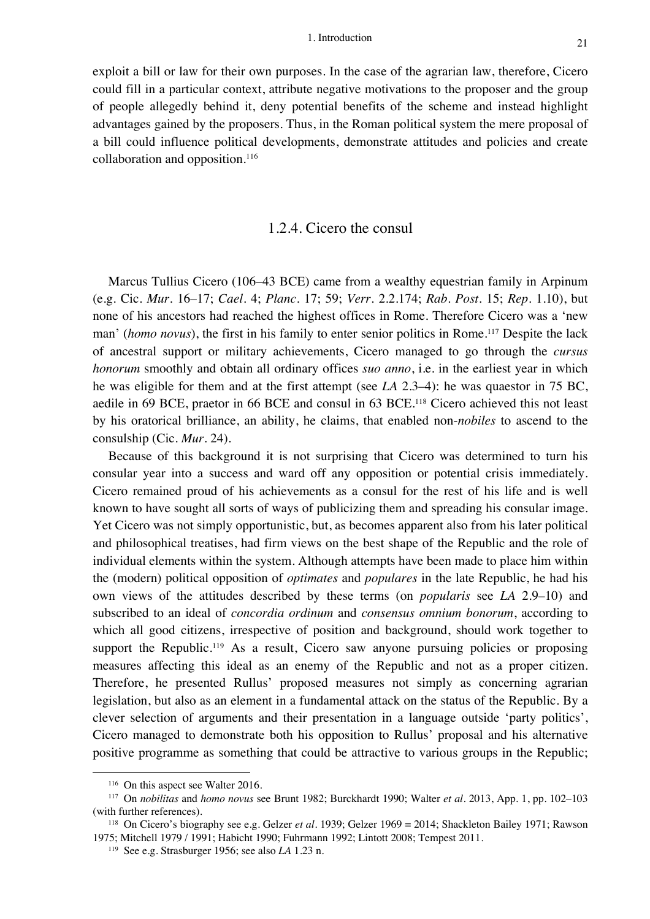exploit a bill or law for their own purposes. In the case of the agrarian law, therefore, Cicero could fill in a particular context, attribute negative motivations to the proposer and the group of people allegedly behind it, deny potential benefits of the scheme and instead highlight advantages gained by the proposers. Thus, in the Roman political system the mere proposal of a bill could influence political developments, demonstrate attitudes and policies and create collaboration and opposition.116

#### 1.2.4. Cicero the consul

Marcus Tullius Cicero (106–43 BCE) came from a wealthy equestrian family in Arpinum (e.g. Cic. *Mur.* 16–17; *Cael.* 4; *Planc.* 17; 59; *Verr.* 2.2.174; *Rab. Post.* 15; *Rep.* 1.10), but none of his ancestors had reached the highest offices in Rome. Therefore Cicero was a 'new man' (*homo novus*), the first in his family to enter senior politics in Rome.<sup>117</sup> Despite the lack of ancestral support or military achievements, Cicero managed to go through the *cursus honorum* smoothly and obtain all ordinary offices *suo anno*, i.e. in the earliest year in which he was eligible for them and at the first attempt (see *LA* 2.3–4): he was quaestor in 75 BC, aedile in 69 BCE, praetor in 66 BCE and consul in 63 BCE.118 Cicero achieved this not least by his oratorical brilliance, an ability, he claims, that enabled non-*nobiles* to ascend to the consulship (Cic. *Mur.* 24).

Because of this background it is not surprising that Cicero was determined to turn his consular year into a success and ward off any opposition or potential crisis immediately. Cicero remained proud of his achievements as a consul for the rest of his life and is well known to have sought all sorts of ways of publicizing them and spreading his consular image. Yet Cicero was not simply opportunistic, but, as becomes apparent also from his later political and philosophical treatises, had firm views on the best shape of the Republic and the role of individual elements within the system. Although attempts have been made to place him within the (modern) political opposition of *optimates* and *populares* in the late Republic, he had his own views of the attitudes described by these terms (on *popularis* see *LA* 2.9–10) and subscribed to an ideal of *concordia ordinum* and *consensus omnium bonorum*, according to which all good citizens, irrespective of position and background, should work together to support the Republic.<sup>119</sup> As a result, Cicero saw anyone pursuing policies or proposing measures affecting this ideal as an enemy of the Republic and not as a proper citizen. Therefore, he presented Rullus' proposed measures not simply as concerning agrarian legislation, but also as an element in a fundamental attack on the status of the Republic. By a clever selection of arguments and their presentation in a language outside 'party politics', Cicero managed to demonstrate both his opposition to Rullus' proposal and his alternative positive programme as something that could be attractive to various groups in the Republic;

<sup>&</sup>lt;sup>116</sup> On this aspect see Walter 2016.

<sup>117</sup> On *nobilitas* and *homo novus* see Brunt 1982; Burckhardt 1990; Walter *et al.* 2013, App. 1, pp. 102–103 (with further references).

<sup>118</sup> On Cicero's biography see e.g. Gelzer *et al.* 1939; Gelzer 1969 = 2014; Shackleton Bailey 1971; Rawson 1975; Mitchell 1979 / 1991; Habicht 1990; Fuhrmann 1992; Lintott 2008; Tempest 2011.

<sup>119</sup> See e.g. Strasburger 1956; see also *LA* 1.23 n.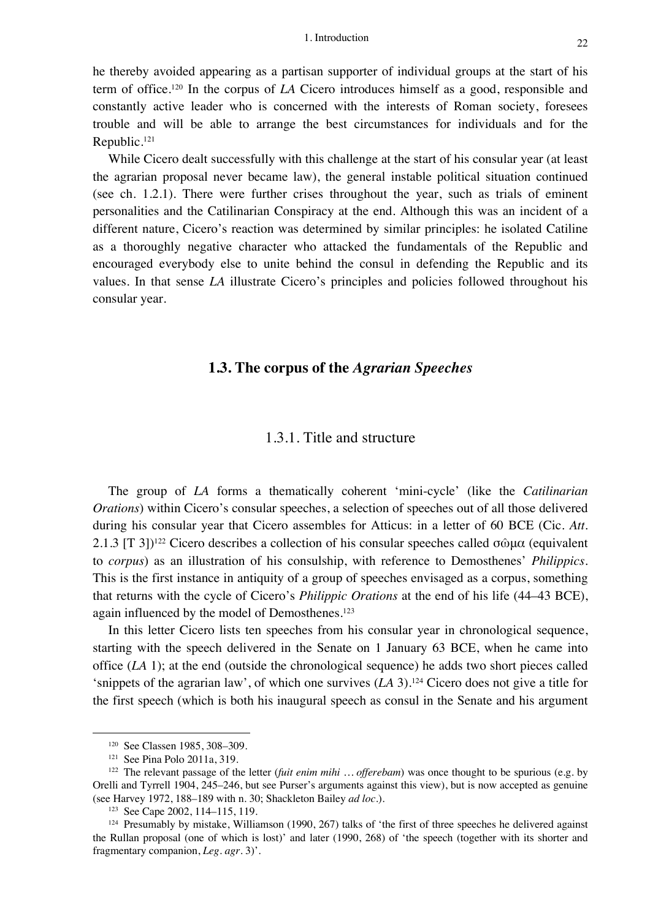he thereby avoided appearing as a partisan supporter of individual groups at the start of his term of office.120 In the corpus of *LA* Cicero introduces himself as a good, responsible and constantly active leader who is concerned with the interests of Roman society, foresees trouble and will be able to arrange the best circumstances for individuals and for the Republic.121

While Cicero dealt successfully with this challenge at the start of his consular year (at least the agrarian proposal never became law), the general instable political situation continued (see ch. 1.2.1). There were further crises throughout the year, such as trials of eminent personalities and the Catilinarian Conspiracy at the end. Although this was an incident of a different nature, Cicero's reaction was determined by similar principles: he isolated Catiline as a thoroughly negative character who attacked the fundamentals of the Republic and encouraged everybody else to unite behind the consul in defending the Republic and its values. In that sense *LA* illustrate Cicero's principles and policies followed throughout his consular year.

#### **1.3. The corpus of the** *Agrarian Speeches*

#### 1.3.1. Title and structure

The group of *LA* forms a thematically coherent 'mini-cycle' (like the *Catilinarian Orations*) within Cicero's consular speeches, a selection of speeches out of all those delivered during his consular year that Cicero assembles for Atticus: in a letter of 60 BCE (Cic. *Att.* 2.1.3 [T 3])<sup>122</sup> Cicero describes a collection of his consular speeches called σῶμα (equivalent to *corpus*) as an illustration of his consulship, with reference to Demosthenes' *Philippics*. This is the first instance in antiquity of a group of speeches envisaged as a corpus, something that returns with the cycle of Cicero's *Philippic Orations* at the end of his life (44–43 BCE), again influenced by the model of Demosthenes.<sup>123</sup>

In this letter Cicero lists ten speeches from his consular year in chronological sequence, starting with the speech delivered in the Senate on 1 January 63 BCE, when he came into office (*LA* 1); at the end (outside the chronological sequence) he adds two short pieces called 'snippets of the agrarian law', of which one survives (*LA* 3).124 Cicero does not give a title for the first speech (which is both his inaugural speech as consul in the Senate and his argument

<sup>120</sup> See Classen 1985, 308–309.

<sup>121</sup> See Pina Polo 2011a, 319.

<sup>122</sup> The relevant passage of the letter (*fuit enim mihi … offerebam*) was once thought to be spurious (e.g. by Orelli and Tyrrell 1904, 245–246, but see Purser's arguments against this view), but is now accepted as genuine (see Harvey 1972, 188–189 with n. 30; Shackleton Bailey *ad loc.*).

<sup>123</sup> See Cape 2002, 114–115, 119.

<sup>124</sup> Presumably by mistake, Williamson (1990, 267) talks of 'the first of three speeches he delivered against the Rullan proposal (one of which is lost)' and later (1990, 268) of 'the speech (together with its shorter and fragmentary companion, *Leg. agr.* 3)'.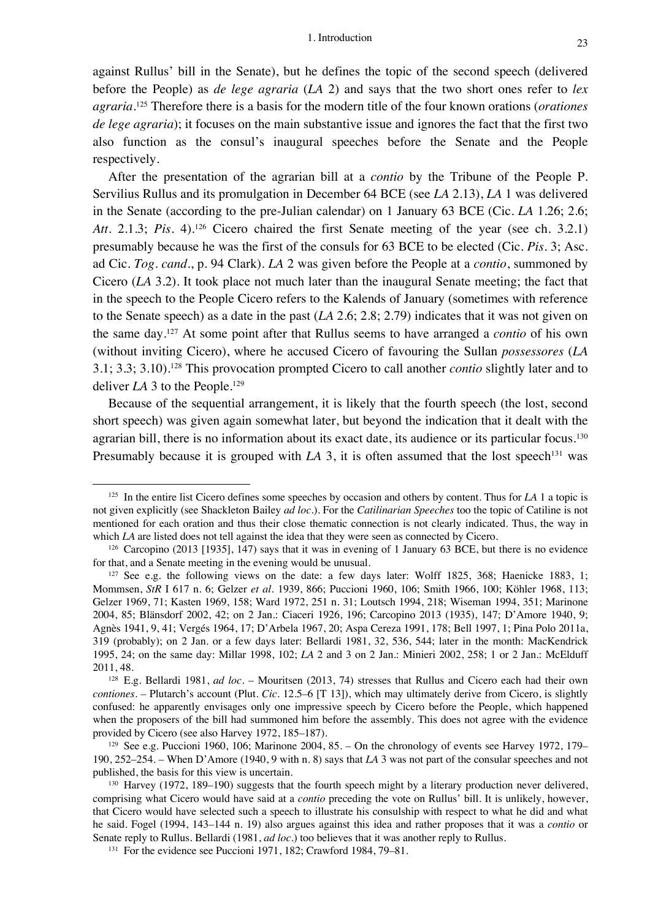against Rullus' bill in the Senate), but he defines the topic of the second speech (delivered before the People) as *de lege agraria* (*LA* 2) and says that the two short ones refer to *lex agraria*. <sup>125</sup> Therefore there is a basis for the modern title of the four known orations (*orationes de lege agraria*); it focuses on the main substantive issue and ignores the fact that the first two also function as the consul's inaugural speeches before the Senate and the People respectively.

After the presentation of the agrarian bill at a *contio* by the Tribune of the People P. Servilius Rullus and its promulgation in December 64 BCE (see *LA* 2.13), *LA* 1 was delivered in the Senate (according to the pre-Julian calendar) on 1 January 63 BCE (Cic. *LA* 1.26; 2.6; Att. 2.1.3; *Pis.* 4).<sup>126</sup> Cicero chaired the first Senate meeting of the year (see ch. 3.2.1) presumably because he was the first of the consuls for 63 BCE to be elected (Cic. *Pis.* 3; Asc. ad Cic. *Tog. cand.*, p. 94 Clark). *LA* 2 was given before the People at a *contio*, summoned by Cicero (*LA* 3.2). It took place not much later than the inaugural Senate meeting; the fact that in the speech to the People Cicero refers to the Kalends of January (sometimes with reference to the Senate speech) as a date in the past (*LA* 2.6; 2.8; 2.79) indicates that it was not given on the same day.127 At some point after that Rullus seems to have arranged a *contio* of his own (without inviting Cicero), where he accused Cicero of favouring the Sullan *possessores* (*LA* 3.1; 3.3; 3.10).128 This provocation prompted Cicero to call another *contio* slightly later and to deliver *LA* 3 to the People.<sup>129</sup>

Because of the sequential arrangement, it is likely that the fourth speech (the lost, second short speech) was given again somewhat later, but beyond the indication that it dealt with the agrarian bill, there is no information about its exact date, its audience or its particular focus.<sup>130</sup> Presumably because it is grouped with  $LA$  3, it is often assumed that the lost speech<sup>131</sup> was

<sup>125</sup> In the entire list Cicero defines some speeches by occasion and others by content. Thus for *LA* 1 a topic is not given explicitly (see Shackleton Bailey *ad loc.*). For the *Catilinarian Speeches* too the topic of Catiline is not mentioned for each oration and thus their close thematic connection is not clearly indicated. Thus, the way in which *LA* are listed does not tell against the idea that they were seen as connected by Cicero.

<sup>126</sup> Carcopino (2013 [1935], 147) says that it was in evening of 1 January 63 BCE, but there is no evidence for that, and a Senate meeting in the evening would be unusual.

<sup>&</sup>lt;sup>127</sup> See e.g. the following views on the date: a few days later: Wolff  $1825$ ,  $368$ ; Haenicke 1883, 1; Mommsen, *StR* I 617 n. 6; Gelzer *et al.* 1939, 866; Puccioni 1960, 106; Smith 1966, 100; Köhler 1968, 113; Gelzer 1969, 71; Kasten 1969, 158; Ward 1972, 251 n. 31; Loutsch 1994, 218; Wiseman 1994, 351; Marinone 2004, 85; Blänsdorf 2002, 42; on 2 Jan.: Ciaceri 1926, 196; Carcopino 2013 (1935), 147; D'Amore 1940, 9; Agnès 1941, 9, 41; Vergés 1964, 17; D'Arbela 1967, 20; Aspa Cereza 1991, 178; Bell 1997, 1; Pina Polo 2011a, 319 (probably); on 2 Jan. or a few days later: Bellardi 1981, 32, 536, 544; later in the month: MacKendrick 1995, 24; on the same day: Millar 1998, 102; *LA* 2 and 3 on 2 Jan.: Minieri 2002, 258; 1 or 2 Jan.: McElduff 2011, 48.

<sup>128</sup> E.g. Bellardi 1981, *ad loc.* – Mouritsen (2013, 74) stresses that Rullus and Cicero each had their own *contiones*. – Plutarch's account (Plut. *Cic.* 12.5–6 [T 13]), which may ultimately derive from Cicero, is slightly confused: he apparently envisages only one impressive speech by Cicero before the People, which happened when the proposers of the bill had summoned him before the assembly. This does not agree with the evidence provided by Cicero (see also Harvey 1972, 185–187).

<sup>129</sup> See e.g. Puccioni 1960, 106; Marinone 2004, 85. – On the chronology of events see Harvey 1972, 179– 190, 252–254. – When D'Amore (1940, 9 with n. 8) says that *LA* 3 was not part of the consular speeches and not published, the basis for this view is uncertain.

<sup>130</sup> Harvey (1972, 189–190) suggests that the fourth speech might by a literary production never delivered, comprising what Cicero would have said at a *contio* preceding the vote on Rullus' bill. It is unlikely, however, that Cicero would have selected such a speech to illustrate his consulship with respect to what he did and what he said. Fogel (1994, 143–144 n. 19) also argues against this idea and rather proposes that it was a *contio* or Senate reply to Rullus. Bellardi (1981, *ad loc.*) too believes that it was another reply to Rullus.

<sup>131</sup> For the evidence see Puccioni 1971, 182; Crawford 1984, 79–81.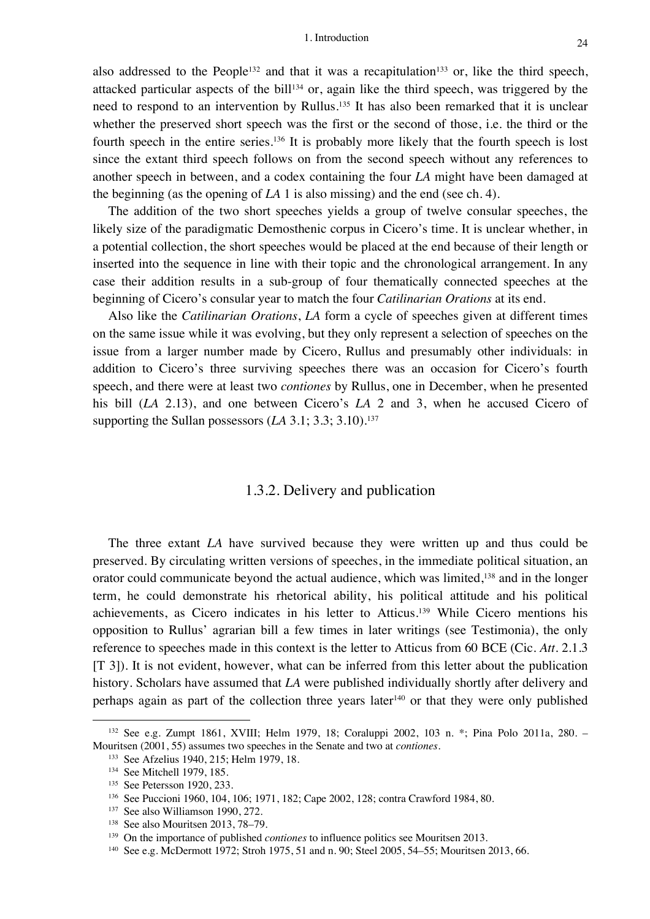also addressed to the People<sup>132</sup> and that it was a recapitulation<sup>133</sup> or, like the third speech, attacked particular aspects of the bill<sup>134</sup> or, again like the third speech, was triggered by the need to respond to an intervention by Rullus.<sup>135</sup> It has also been remarked that it is unclear whether the preserved short speech was the first or the second of those, i.e. the third or the fourth speech in the entire series.<sup>136</sup> It is probably more likely that the fourth speech is lost since the extant third speech follows on from the second speech without any references to another speech in between, and a codex containing the four *LA* might have been damaged at the beginning (as the opening of *LA* 1 is also missing) and the end (see ch. 4).

The addition of the two short speeches yields a group of twelve consular speeches, the likely size of the paradigmatic Demosthenic corpus in Cicero's time. It is unclear whether, in a potential collection, the short speeches would be placed at the end because of their length or inserted into the sequence in line with their topic and the chronological arrangement. In any case their addition results in a sub-group of four thematically connected speeches at the beginning of Cicero's consular year to match the four *Catilinarian Orations* at its end.

Also like the *Catilinarian Orations*, *LA* form a cycle of speeches given at different times on the same issue while it was evolving, but they only represent a selection of speeches on the issue from a larger number made by Cicero, Rullus and presumably other individuals: in addition to Cicero's three surviving speeches there was an occasion for Cicero's fourth speech, and there were at least two *contiones* by Rullus, one in December, when he presented his bill (*LA* 2.13), and one between Cicero's *LA* 2 and 3, when he accused Cicero of supporting the Sullan possessors (*LA* 3.1; 3.3; 3.10).<sup>137</sup>

## 1.3.2. Delivery and publication

The three extant *LA* have survived because they were written up and thus could be preserved. By circulating written versions of speeches, in the immediate political situation, an orator could communicate beyond the actual audience, which was limited,<sup>138</sup> and in the longer term, he could demonstrate his rhetorical ability, his political attitude and his political achievements, as Cicero indicates in his letter to Atticus. <sup>139</sup> While Cicero mentions his opposition to Rullus' agrarian bill a few times in later writings (see Testimonia), the only reference to speeches made in this context is the letter to Atticus from 60 BCE (Cic. *Att.* 2.1.3 [T 3]). It is not evident, however, what can be inferred from this letter about the publication history. Scholars have assumed that *LA* were published individually shortly after delivery and perhaps again as part of the collection three years later140 or that they were only published

<sup>132</sup> See e.g. Zumpt 1861, XVIII; Helm 1979, 18; Coraluppi 2002, 103 n. \*; Pina Polo 2011a, 280. – Mouritsen (2001, 55) assumes two speeches in the Senate and two at *contiones*.

<sup>133</sup> See Afzelius 1940, 215; Helm 1979, 18.

<sup>134</sup> See Mitchell 1979, 185.

<sup>135</sup> See Petersson 1920, 233.

<sup>136</sup> See Puccioni 1960, 104, 106; 1971, 182; Cape 2002, 128; contra Crawford 1984, 80.

<sup>&</sup>lt;sup>137</sup> See also Williamson 1990, 272.

<sup>&</sup>lt;sup>138</sup> See also Mouritsen 2013, 78–79.

<sup>139</sup> On the importance of published *contiones* to influence politics see Mouritsen 2013.

<sup>140</sup> See e.g. McDermott 1972; Stroh 1975, 51 and n. 90; Steel 2005, 54–55; Mouritsen 2013, 66.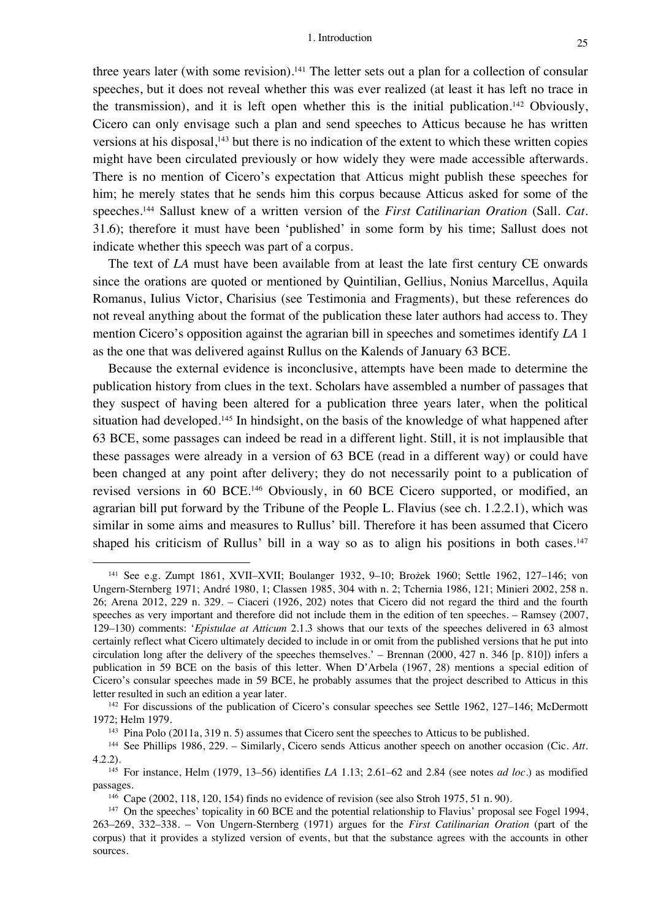three years later (with some revision).<sup>141</sup> The letter sets out a plan for a collection of consular speeches, but it does not reveal whether this was ever realized (at least it has left no trace in the transmission), and it is left open whether this is the initial publication. <sup>142</sup> Obviously, Cicero can only envisage such a plan and send speeches to Atticus because he has written versions at his disposal, <sup>143</sup> but there is no indication of the extent to which these written copies might have been circulated previously or how widely they were made accessible afterwards. There is no mention of Cicero's expectation that Atticus might publish these speeches for him; he merely states that he sends him this corpus because Atticus asked for some of the speeches. <sup>144</sup> Sallust knew of a written version of the *First Catilinarian Oration* (Sall. *Cat.* 31.6); therefore it must have been 'published' in some form by his time; Sallust does not indicate whether this speech was part of a corpus.

The text of *LA* must have been available from at least the late first century CE onwards since the orations are quoted or mentioned by Quintilian, Gellius, Nonius Marcellus, Aquila Romanus, Iulius Victor, Charisius (see Testimonia and Fragments), but these references do not reveal anything about the format of the publication these later authors had access to. They mention Cicero's opposition against the agrarian bill in speeches and sometimes identify *LA* 1 as the one that was delivered against Rullus on the Kalends of January 63 BCE.

Because the external evidence is inconclusive, attempts have been made to determine the publication history from clues in the text. Scholars have assembled a number of passages that they suspect of having been altered for a publication three years later, when the political situation had developed.<sup>145</sup> In hindsight, on the basis of the knowledge of what happened after 63 BCE, some passages can indeed be read in a different light. Still, it is not implausible that these passages were already in a version of 63 BCE (read in a different way) or could have been changed at any point after delivery; they do not necessarily point to a publication of revised versions in 60 BCE.146 Obviously, in 60 BCE Cicero supported, or modified, an agrarian bill put forward by the Tribune of the People L. Flavius (see ch. 1.2.2.1), which was similar in some aims and measures to Rullus' bill. Therefore it has been assumed that Cicero shaped his criticism of Rullus' bill in a way so as to align his positions in both cases.<sup>147</sup>

<sup>141</sup> See e.g. Zumpt 1861, XVII–XVII; Boulanger 1932, 9–10; Brożek 1960; Settle 1962, 127–146; von Ungern-Sternberg 1971; André 1980, 1; Classen 1985, 304 with n. 2; Tchernia 1986, 121; Minieri 2002, 258 n. 26; Arena 2012, 229 n. 329. – Ciaceri (1926, 202) notes that Cicero did not regard the third and the fourth speeches as very important and therefore did not include them in the edition of ten speeches. – Ramsey (2007, 129–130) comments: '*Epistulae at Atticum* 2.1.3 shows that our texts of the speeches delivered in 63 almost certainly reflect what Cicero ultimately decided to include in or omit from the published versions that he put into circulation long after the delivery of the speeches themselves.' – Brennan (2000, 427 n. 346 [p. 810]) infers a publication in 59 BCE on the basis of this letter. When D'Arbela (1967, 28) mentions a special edition of Cicero's consular speeches made in 59 BCE, he probably assumes that the project described to Atticus in this letter resulted in such an edition a year later.

<sup>&</sup>lt;sup>142</sup> For discussions of the publication of Cicero's consular speeches see Settle 1962, 127–146; McDermott 1972; Helm 1979.

<sup>143</sup> Pina Polo (2011a, 319 n. 5) assumes that Cicero sent the speeches to Atticus to be published.

<sup>144</sup> See Phillips 1986, 229. – Similarly, Cicero sends Atticus another speech on another occasion (Cic. *Att.* 4.2.2).

<sup>145</sup> For instance, Helm (1979, 13–56) identifies *LA* 1.13; 2.61–62 and 2.84 (see notes *ad loc.*) as modified passages.

 $146$  Cape (2002, 118, 120, 154) finds no evidence of revision (see also Stroh 1975, 51 n. 90).

<sup>147</sup> On the speeches' topicality in 60 BCE and the potential relationship to Flavius' proposal see Fogel 1994, 263–269, 332–338. – Von Ungern-Sternberg (1971) argues for the *First Catilinarian Oration* (part of the corpus) that it provides a stylized version of events, but that the substance agrees with the accounts in other sources.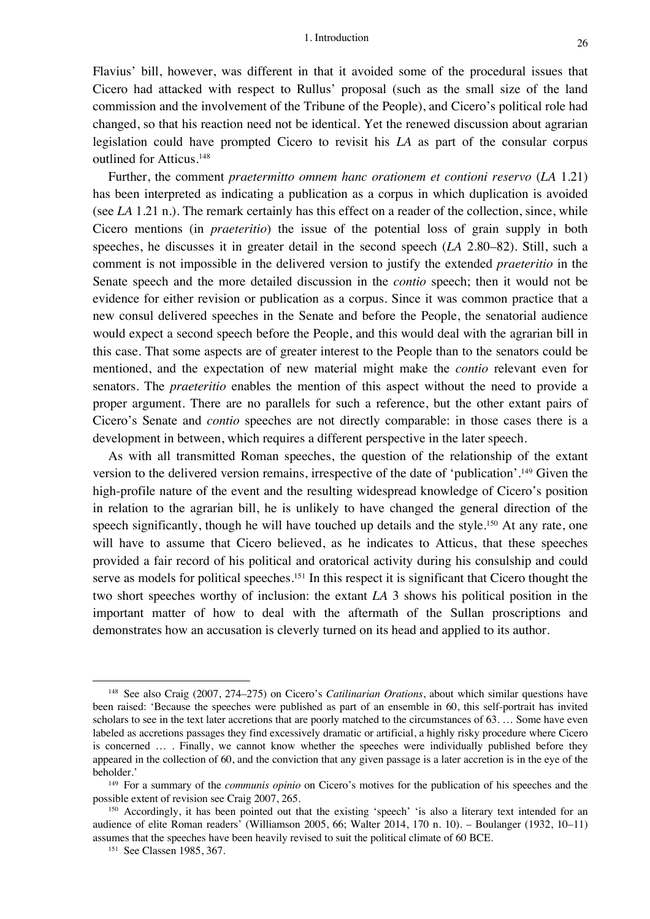Flavius' bill, however, was different in that it avoided some of the procedural issues that Cicero had attacked with respect to Rullus' proposal (such as the small size of the land commission and the involvement of the Tribune of the People), and Cicero's political role had changed, so that his reaction need not be identical. Yet the renewed discussion about agrarian legislation could have prompted Cicero to revisit his *LA* as part of the consular corpus outlined for Atticus.148

Further, the comment *praetermitto omnem hanc orationem et contioni reservo* (*LA* 1.21) has been interpreted as indicating a publication as a corpus in which duplication is avoided (see *LA* 1.21 n.). The remark certainly has this effect on a reader of the collection, since, while Cicero mentions (in *praeteritio*) the issue of the potential loss of grain supply in both speeches, he discusses it in greater detail in the second speech (*LA* 2.80–82). Still, such a comment is not impossible in the delivered version to justify the extended *praeteritio* in the Senate speech and the more detailed discussion in the *contio* speech; then it would not be evidence for either revision or publication as a corpus. Since it was common practice that a new consul delivered speeches in the Senate and before the People, the senatorial audience would expect a second speech before the People, and this would deal with the agrarian bill in this case. That some aspects are of greater interest to the People than to the senators could be mentioned, and the expectation of new material might make the *contio* relevant even for senators. The *praeteritio* enables the mention of this aspect without the need to provide a proper argument. There are no parallels for such a reference, but the other extant pairs of Cicero's Senate and *contio* speeches are not directly comparable: in those cases there is a development in between, which requires a different perspective in the later speech.

As with all transmitted Roman speeches, the question of the relationship of the extant version to the delivered version remains, irrespective of the date of 'publication'.149 Given the high-profile nature of the event and the resulting widespread knowledge of Cicero's position in relation to the agrarian bill, he is unlikely to have changed the general direction of the speech significantly, though he will have touched up details and the style.<sup>150</sup> At any rate, one will have to assume that Cicero believed, as he indicates to Atticus, that these speeches provided a fair record of his political and oratorical activity during his consulship and could serve as models for political speeches.<sup>151</sup> In this respect it is significant that Cicero thought the two short speeches worthy of inclusion: the extant *LA* 3 shows his political position in the important matter of how to deal with the aftermath of the Sullan proscriptions and demonstrates how an accusation is cleverly turned on its head and applied to its author.

<sup>148</sup> See also Craig (2007, 274–275) on Cicero's *Catilinarian Orations*, about which similar questions have been raised: 'Because the speeches were published as part of an ensemble in 60, this self-portrait has invited scholars to see in the text later accretions that are poorly matched to the circumstances of 63. … Some have even labeled as accretions passages they find excessively dramatic or artificial, a highly risky procedure where Cicero is concerned … . Finally, we cannot know whether the speeches were individually published before they appeared in the collection of 60, and the conviction that any given passage is a later accretion is in the eye of the beholder.'

<sup>149</sup> For a summary of the *communis opinio* on Cicero's motives for the publication of his speeches and the possible extent of revision see Craig 2007, 265.

<sup>&</sup>lt;sup>150</sup> Accordingly, it has been pointed out that the existing 'speech' 'is also a literary text intended for an audience of elite Roman readers' (Williamson 2005, 66; Walter 2014, 170 n. 10). – Boulanger (1932, 10–11) assumes that the speeches have been heavily revised to suit the political climate of 60 BCE.

<sup>151</sup> See Classen 1985, 367.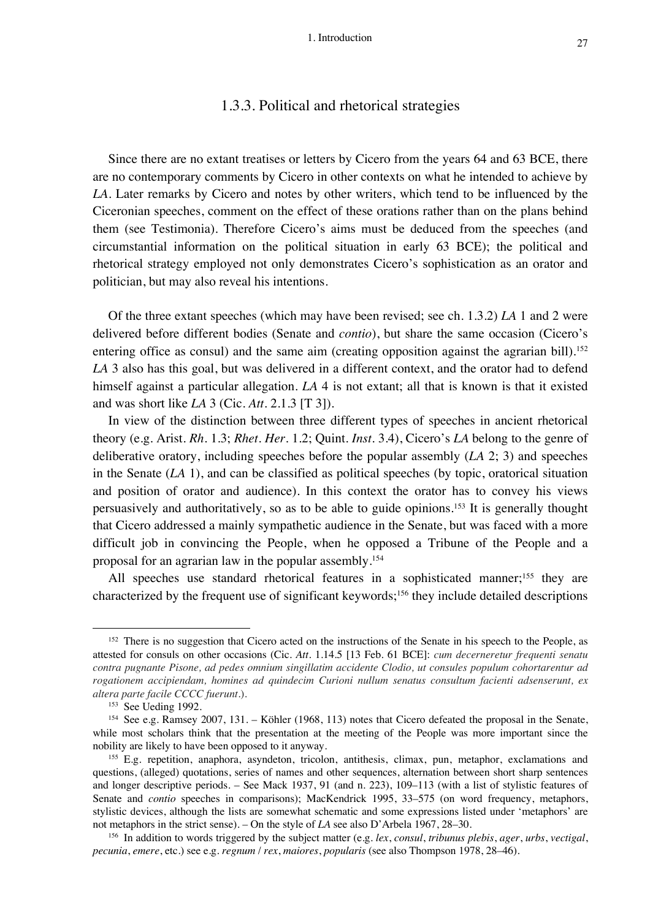## 1.3.3. Political and rhetorical strategies

Since there are no extant treatises or letters by Cicero from the years 64 and 63 BCE, there are no contemporary comments by Cicero in other contexts on what he intended to achieve by *LA*. Later remarks by Cicero and notes by other writers, which tend to be influenced by the Ciceronian speeches, comment on the effect of these orations rather than on the plans behind them (see Testimonia). Therefore Cicero's aims must be deduced from the speeches (and circumstantial information on the political situation in early 63 BCE); the political and rhetorical strategy employed not only demonstrates Cicero's sophistication as an orator and politician, but may also reveal his intentions.

Of the three extant speeches (which may have been revised; see ch. 1.3.2) *LA* 1 and 2 were delivered before different bodies (Senate and *contio*), but share the same occasion (Cicero's entering office as consul) and the same aim (creating opposition against the agrarian bill).<sup>152</sup> *LA* 3 also has this goal, but was delivered in a different context, and the orator had to defend himself against a particular allegation. *LA* 4 is not extant; all that is known is that it existed and was short like *LA* 3 (Cic. *Att.* 2.1.3 [T 3]).

In view of the distinction between three different types of speeches in ancient rhetorical theory (e.g. Arist. *Rh.* 1.3; *Rhet. Her.* 1.2; Quint. *Inst.* 3.4), Cicero's *LA* belong to the genre of deliberative oratory, including speeches before the popular assembly (*LA* 2; 3) and speeches in the Senate (*LA* 1), and can be classified as political speeches (by topic, oratorical situation and position of orator and audience). In this context the orator has to convey his views persuasively and authoritatively, so as to be able to guide opinions.153 It is generally thought that Cicero addressed a mainly sympathetic audience in the Senate, but was faced with a more difficult job in convincing the People, when he opposed a Tribune of the People and a proposal for an agrarian law in the popular assembly. 154

All speeches use standard rhetorical features in a sophisticated manner;<sup>155</sup> they are characterized by the frequent use of significant keywords;156 they include detailed descriptions

<sup>&</sup>lt;sup>152</sup> There is no suggestion that Cicero acted on the instructions of the Senate in his speech to the People, as attested for consuls on other occasions (Cic. *Att.* 1.14.5 [13 Feb. 61 BCE]: *cum decerneretur frequenti senatu contra pugnante Pisone, ad pedes omnium singillatim accidente Clodio, ut consules populum cohortarentur ad rogationem accipiendam, homines ad quindecim Curioni nullum senatus consultum facienti adsenserunt, ex altera parte facile CCCC fuerunt.*).

<sup>153</sup> See Ueding 1992.

<sup>154</sup> See e.g. Ramsey 2007, 131. – Köhler (1968, 113) notes that Cicero defeated the proposal in the Senate, while most scholars think that the presentation at the meeting of the People was more important since the nobility are likely to have been opposed to it anyway.

<sup>155</sup> E.g. repetition, anaphora, asyndeton, tricolon, antithesis, climax, pun, metaphor, exclamations and questions, (alleged) quotations, series of names and other sequences, alternation between short sharp sentences and longer descriptive periods. – See Mack 1937, 91 (and n. 223), 109–113 (with a list of stylistic features of Senate and *contio* speeches in comparisons); MacKendrick 1995, 33–575 (on word frequency, metaphors, stylistic devices, although the lists are somewhat schematic and some expressions listed under 'metaphors' are not metaphors in the strict sense). – On the style of *LA* see also D'Arbela 1967, 28–30.

<sup>156</sup> In addition to words triggered by the subject matter (e.g. *lex*, *consul*, *tribunus plebis*, *ager*, *urbs*, *vectigal*, *pecunia*, *emere*, etc.) see e.g. *regnum* / *rex*, *maiores*, *popularis* (see also Thompson 1978, 28–46).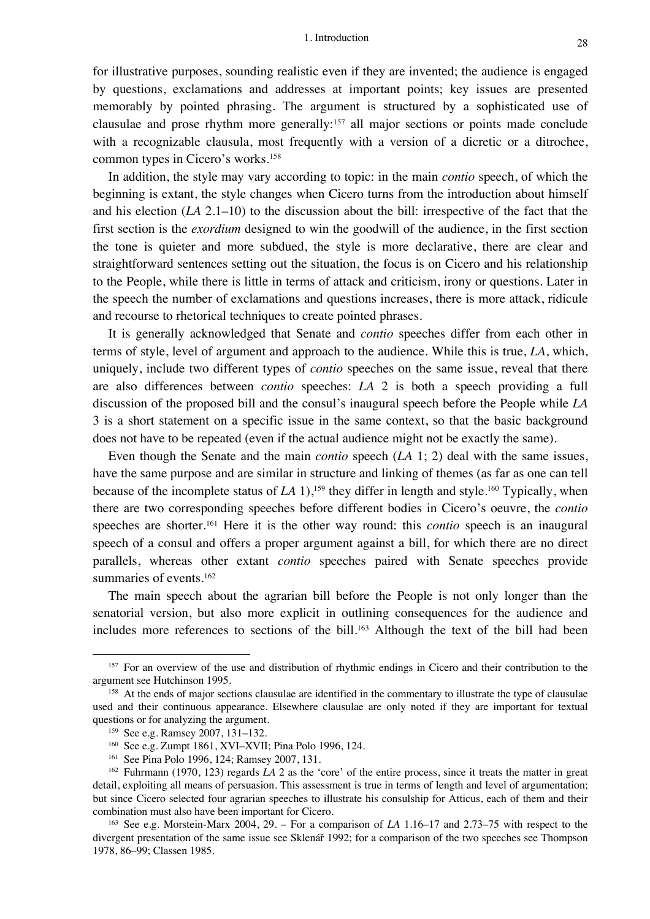for illustrative purposes, sounding realistic even if they are invented; the audience is engaged by questions, exclamations and addresses at important points; key issues are presented memorably by pointed phrasing. The argument is structured by a sophisticated use of clausulae and prose rhythm more generally: <sup>157</sup> all major sections or points made conclude with a recognizable clausula, most frequently with a version of a dicretic or a ditrochee, common types in Cicero's works. 158

In addition, the style may vary according to topic: in the main *contio* speech, of which the beginning is extant, the style changes when Cicero turns from the introduction about himself and his election (*LA* 2.1–10) to the discussion about the bill: irrespective of the fact that the first section is the *exordium* designed to win the goodwill of the audience, in the first section the tone is quieter and more subdued, the style is more declarative, there are clear and straightforward sentences setting out the situation, the focus is on Cicero and his relationship to the People, while there is little in terms of attack and criticism, irony or questions. Later in the speech the number of exclamations and questions increases, there is more attack, ridicule and recourse to rhetorical techniques to create pointed phrases.

It is generally acknowledged that Senate and *contio* speeches differ from each other in terms of style, level of argument and approach to the audience. While this is true, *LA*, which, uniquely, include two different types of *contio* speeches on the same issue, reveal that there are also differences between *contio* speeches: *LA* 2 is both a speech providing a full discussion of the proposed bill and the consul's inaugural speech before the People while *LA* 3 is a short statement on a specific issue in the same context, so that the basic background does not have to be repeated (even if the actual audience might not be exactly the same).

Even though the Senate and the main *contio* speech (*LA* 1; 2) deal with the same issues, have the same purpose and are similar in structure and linking of themes (as far as one can tell because of the incomplete status of *LA* 1),<sup>159</sup> they differ in length and style.<sup>160</sup> Typically, when there are two corresponding speeches before different bodies in Cicero's oeuvre, the *contio* speeches are shorter.161 Here it is the other way round: this *contio* speech is an inaugural speech of a consul and offers a proper argument against a bill, for which there are no direct parallels, whereas other extant *contio* speeches paired with Senate speeches provide summaries of events.<sup>162</sup>

The main speech about the agrarian bill before the People is not only longer than the senatorial version, but also more explicit in outlining consequences for the audience and includes more references to sections of the bill.<sup>163</sup> Although the text of the bill had been

<sup>&</sup>lt;sup>157</sup> For an overview of the use and distribution of rhythmic endings in Cicero and their contribution to the argument see Hutchinson 1995.

<sup>&</sup>lt;sup>158</sup> At the ends of major sections clausulae are identified in the commentary to illustrate the type of clausulae used and their continuous appearance. Elsewhere clausulae are only noted if they are important for textual questions or for analyzing the argument.

<sup>159</sup> See e.g. Ramsey 2007, 131–132.

<sup>160</sup> See e.g. Zumpt 1861, XVI–XVII; Pina Polo 1996, 124.

<sup>161</sup> See Pina Polo 1996, 124; Ramsey 2007, 131.

<sup>162</sup> Fuhrmann (1970, 123) regards *LA* 2 as the 'core' of the entire process, since it treats the matter in great detail, exploiting all means of persuasion. This assessment is true in terms of length and level of argumentation; but since Cicero selected four agrarian speeches to illustrate his consulship for Atticus, each of them and their combination must also have been important for Cicero.

<sup>163</sup> See e.g. Morstein-Marx 2004, 29. – For a comparison of *LA* 1.16–17 and 2.73–75 with respect to the divergent presentation of the same issue see Sklenář 1992; for a comparison of the two speeches see Thompson 1978, 86–99; Classen 1985.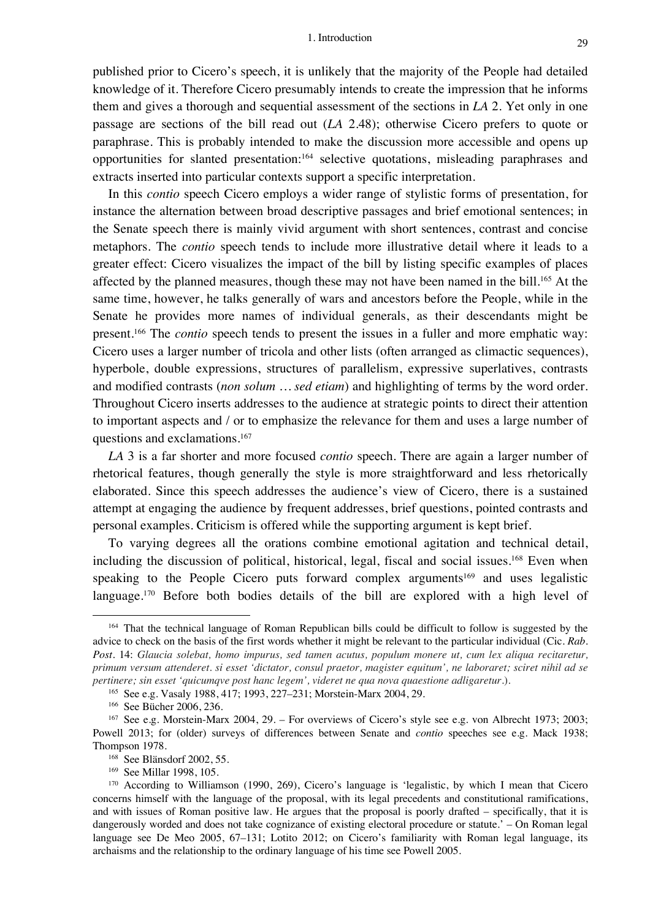published prior to Cicero's speech, it is unlikely that the majority of the People had detailed knowledge of it. Therefore Cicero presumably intends to create the impression that he informs them and gives a thorough and sequential assessment of the sections in *LA* 2. Yet only in one passage are sections of the bill read out (*LA* 2.48); otherwise Cicero prefers to quote or paraphrase. This is probably intended to make the discussion more accessible and opens up opportunities for slanted presentation:164 selective quotations, misleading paraphrases and extracts inserted into particular contexts support a specific interpretation.

In this *contio* speech Cicero employs a wider range of stylistic forms of presentation, for instance the alternation between broad descriptive passages and brief emotional sentences; in the Senate speech there is mainly vivid argument with short sentences, contrast and concise metaphors. The *contio* speech tends to include more illustrative detail where it leads to a greater effect: Cicero visualizes the impact of the bill by listing specific examples of places affected by the planned measures, though these may not have been named in the bill.<sup>165</sup> At the same time, however, he talks generally of wars and ancestors before the People, while in the Senate he provides more names of individual generals, as their descendants might be present.166 The *contio* speech tends to present the issues in a fuller and more emphatic way: Cicero uses a larger number of tricola and other lists (often arranged as climactic sequences), hyperbole, double expressions, structures of parallelism, expressive superlatives, contrasts and modified contrasts (*non solum … sed etiam*) and highlighting of terms by the word order. Throughout Cicero inserts addresses to the audience at strategic points to direct their attention to important aspects and / or to emphasize the relevance for them and uses a large number of questions and exclamations. 167

*LA* 3 is a far shorter and more focused *contio* speech. There are again a larger number of rhetorical features, though generally the style is more straightforward and less rhetorically elaborated. Since this speech addresses the audience's view of Cicero, there is a sustained attempt at engaging the audience by frequent addresses, brief questions, pointed contrasts and personal examples. Criticism is offered while the supporting argument is kept brief.

To varying degrees all the orations combine emotional agitation and technical detail, including the discussion of political, historical, legal, fiscal and social issues.<sup>168</sup> Even when speaking to the People Cicero puts forward complex arguments<sup>169</sup> and uses legalistic language.<sup>170</sup> Before both bodies details of the bill are explored with a high level of

<sup>164</sup> That the technical language of Roman Republican bills could be difficult to follow is suggested by the advice to check on the basis of the first words whether it might be relevant to the particular individual (Cic. *Rab. Post.* 14: *Glaucia solebat, homo impurus, sed tamen acutus, populum monere ut, cum lex aliqua recitaretur, primum versum attenderet. si esset 'dictator, consul praetor, magister equitum', ne laboraret; sciret nihil ad se pertinere; sin esset 'quicumqve post hanc legem', videret ne qua nova quaestione adligaretur.*).

<sup>165</sup> See e.g. Vasaly 1988, 417; 1993, 227–231; Morstein-Marx 2004, 29.

<sup>166</sup> See Bücher 2006, 236.

<sup>167</sup> See e.g. Morstein-Marx 2004, 29. – For overviews of Cicero's style see e.g. von Albrecht 1973; 2003; Powell 2013; for (older) surveys of differences between Senate and *contio* speeches see e.g. Mack 1938; Thompson 1978.

<sup>&</sup>lt;sup>168</sup> See Blänsdorf 2002, 55.

<sup>169</sup> See Millar 1998, 105.

<sup>170</sup> According to Williamson (1990, 269), Cicero's language is 'legalistic, by which I mean that Cicero concerns himself with the language of the proposal, with its legal precedents and constitutional ramifications, and with issues of Roman positive law. He argues that the proposal is poorly drafted – specifically, that it is dangerously worded and does not take cognizance of existing electoral procedure or statute.' – On Roman legal language see De Meo 2005, 67–131; Lotito 2012; on Cicero's familiarity with Roman legal language, its archaisms and the relationship to the ordinary language of his time see Powell 2005.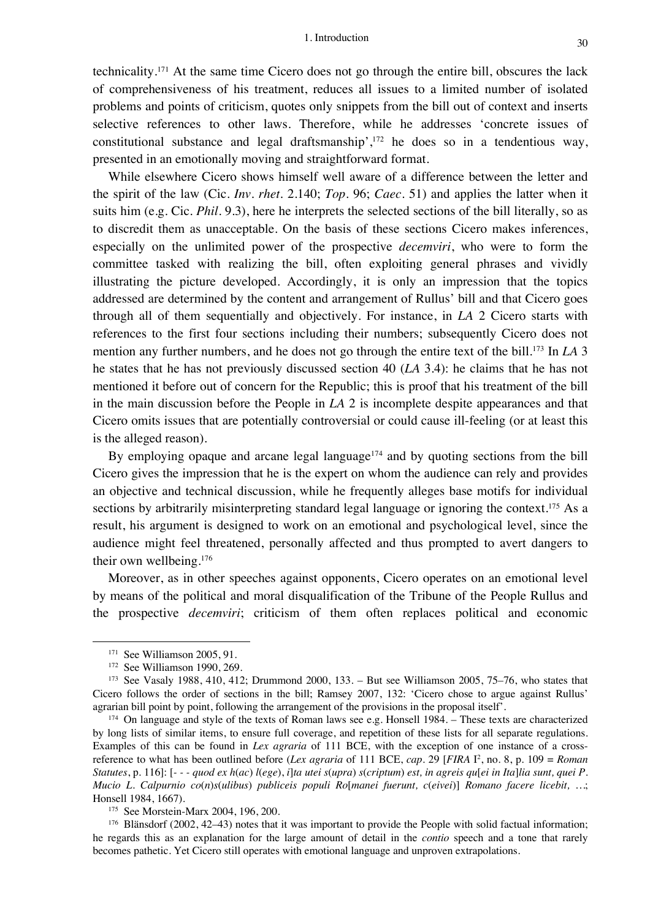technicality.171 At the same time Cicero does not go through the entire bill, obscures the lack of comprehensiveness of his treatment, reduces all issues to a limited number of isolated problems and points of criticism, quotes only snippets from the bill out of context and inserts selective references to other laws. Therefore, while he addresses 'concrete issues of constitutional substance and legal draftsmanship', <sup>172</sup> he does so in a tendentious way, presented in an emotionally moving and straightforward format.

While elsewhere Cicero shows himself well aware of a difference between the letter and the spirit of the law (Cic. *Inv. rhet.* 2.140; *Top.* 96; *Caec.* 51) and applies the latter when it suits him (e.g. Cic. *Phil.* 9.3), here he interprets the selected sections of the bill literally, so as to discredit them as unacceptable. On the basis of these sections Cicero makes inferences, especially on the unlimited power of the prospective *decemviri*, who were to form the committee tasked with realizing the bill, often exploiting general phrases and vividly illustrating the picture developed. Accordingly, it is only an impression that the topics addressed are determined by the content and arrangement of Rullus' bill and that Cicero goes through all of them sequentially and objectively. For instance, in *LA* 2 Cicero starts with references to the first four sections including their numbers; subsequently Cicero does not mention any further numbers, and he does not go through the entire text of the bill.173 In *LA* 3 he states that he has not previously discussed section 40 (*LA* 3.4): he claims that he has not mentioned it before out of concern for the Republic; this is proof that his treatment of the bill in the main discussion before the People in *LA* 2 is incomplete despite appearances and that Cicero omits issues that are potentially controversial or could cause ill-feeling (or at least this is the alleged reason).

By employing opaque and arcane legal language<sup> $174$ </sup> and by quoting sections from the bill Cicero gives the impression that he is the expert on whom the audience can rely and provides an objective and technical discussion, while he frequently alleges base motifs for individual sections by arbitrarily misinterpreting standard legal language or ignoring the context.<sup>175</sup> As a result, his argument is designed to work on an emotional and psychological level, since the audience might feel threatened, personally affected and thus prompted to avert dangers to their own wellbeing.176

Moreover, as in other speeches against opponents, Cicero operates on an emotional level by means of the political and moral disqualification of the Tribune of the People Rullus and the prospective *decemviri*; criticism of them often replaces political and economic

<sup>171</sup> See Williamson 2005, 91.

<sup>172</sup> See Williamson 1990, 269.

<sup>173</sup> See Vasaly 1988, 410, 412; Drummond 2000, 133. – But see Williamson 2005, 75–76, who states that Cicero follows the order of sections in the bill; Ramsey 2007, 132: 'Cicero chose to argue against Rullus' agrarian bill point by point, following the arrangement of the provisions in the proposal itself'.

<sup>174</sup> On language and style of the texts of Roman laws see e.g. Honsell 1984. – These texts are characterized by long lists of similar items, to ensure full coverage, and repetition of these lists for all separate regulations. Examples of this can be found in *Lex agraria* of 111 BCE, with the exception of one instance of a crossreference to what has been outlined before (*Lex agraria* of 111 BCE, *cap.* 29 [*FIRA* I2 , no. 8, p. 109 = *Roman*  Statutes, p. 116:  $[- -]$  quod ex  $h(ac)$  l(ege), i]ta utei s(upra) s(criptum) est, in agreis qu[ei in Ita]lia sunt, quei P. *Mucio L. Calpurnio co*(*n*)*s*(*ulibus*) *publiceis populi Ro*[*manei fuerunt, c*(*eivei*)] *Romano facere licebit, …*; Honsell 1984, 1667).

<sup>175</sup> See Morstein-Marx 2004, 196, 200.

<sup>176</sup> Blänsdorf (2002, 42–43) notes that it was important to provide the People with solid factual information; he regards this as an explanation for the large amount of detail in the *contio* speech and a tone that rarely becomes pathetic. Yet Cicero still operates with emotional language and unproven extrapolations.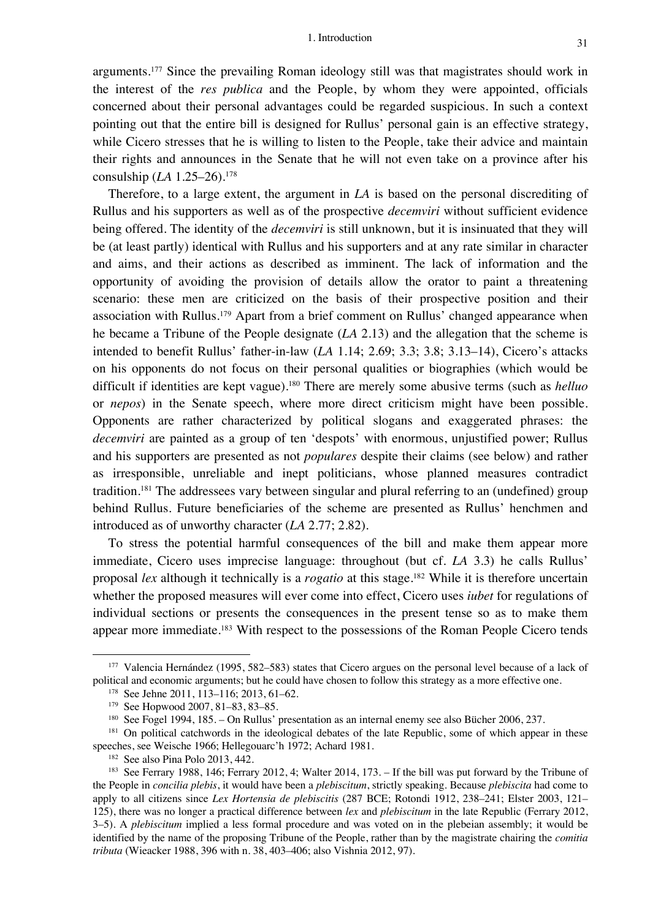arguments.177 Since the prevailing Roman ideology still was that magistrates should work in the interest of the *res publica* and the People, by whom they were appointed, officials concerned about their personal advantages could be regarded suspicious. In such a context pointing out that the entire bill is designed for Rullus' personal gain is an effective strategy, while Cicero stresses that he is willing to listen to the People, take their advice and maintain their rights and announces in the Senate that he will not even take on a province after his consulship (*LA* 1.25–26).178

Therefore, to a large extent, the argument in *LA* is based on the personal discrediting of Rullus and his supporters as well as of the prospective *decemviri* without sufficient evidence being offered. The identity of the *decemviri* is still unknown, but it is insinuated that they will be (at least partly) identical with Rullus and his supporters and at any rate similar in character and aims, and their actions as described as imminent. The lack of information and the opportunity of avoiding the provision of details allow the orator to paint a threatening scenario: these men are criticized on the basis of their prospective position and their association with Rullus.<sup>179</sup> Apart from a brief comment on Rullus' changed appearance when he became a Tribune of the People designate (*LA* 2.13) and the allegation that the scheme is intended to benefit Rullus' father-in-law (*LA* 1.14; 2.69; 3.3; 3.8; 3.13–14), Cicero's attacks on his opponents do not focus on their personal qualities or biographies (which would be difficult if identities are kept vague).180 There are merely some abusive terms (such as *helluo* or *nepos*) in the Senate speech, where more direct criticism might have been possible. Opponents are rather characterized by political slogans and exaggerated phrases: the *decemviri* are painted as a group of ten 'despots' with enormous, unjustified power; Rullus and his supporters are presented as not *populares* despite their claims (see below) and rather as irresponsible, unreliable and inept politicians, whose planned measures contradict tradition.<sup>181</sup> The addressees vary between singular and plural referring to an (undefined) group behind Rullus. Future beneficiaries of the scheme are presented as Rullus' henchmen and introduced as of unworthy character (*LA* 2.77; 2.82).

To stress the potential harmful consequences of the bill and make them appear more immediate, Cicero uses imprecise language: throughout (but cf. *LA* 3.3) he calls Rullus' proposal *lex* although it technically is a *rogatio* at this stage. <sup>182</sup> While it is therefore uncertain whether the proposed measures will ever come into effect, Cicero uses *iubet* for regulations of individual sections or presents the consequences in the present tense so as to make them appear more immediate. <sup>183</sup> With respect to the possessions of the Roman People Cicero tends

<sup>177</sup> Valencia Hernández (1995, 582–583) states that Cicero argues on the personal level because of a lack of political and economic arguments; but he could have chosen to follow this strategy as a more effective one.

<sup>178</sup> See Jehne 2011, 113–116; 2013, 61–62.

<sup>179</sup> See Hopwood 2007, 81–83, 83–85.

<sup>180</sup> See Fogel 1994, 185. – On Rullus' presentation as an internal enemy see also Bücher 2006, 237.

<sup>&</sup>lt;sup>181</sup> On political catchwords in the ideological debates of the late Republic, some of which appear in these speeches, see Weische 1966; Hellegouarc'h 1972; Achard 1981.

<sup>182</sup> See also Pina Polo 2013, 442.

<sup>183</sup> See Ferrary 1988, 146; Ferrary 2012, 4; Walter 2014, 173. – If the bill was put forward by the Tribune of the People in *concilia plebis*, it would have been a *plebiscitum*, strictly speaking. Because *plebiscita* had come to apply to all citizens since *Lex Hortensia de plebiscitis* (287 BCE; Rotondi 1912, 238–241; Elster 2003, 121– 125), there was no longer a practical difference between *lex* and *plebiscitum* in the late Republic (Ferrary 2012, 3–5). A *plebiscitum* implied a less formal procedure and was voted on in the plebeian assembly; it would be identified by the name of the proposing Tribune of the People, rather than by the magistrate chairing the *comitia tributa* (Wieacker 1988, 396 with n. 38, 403–406; also Vishnia 2012, 97).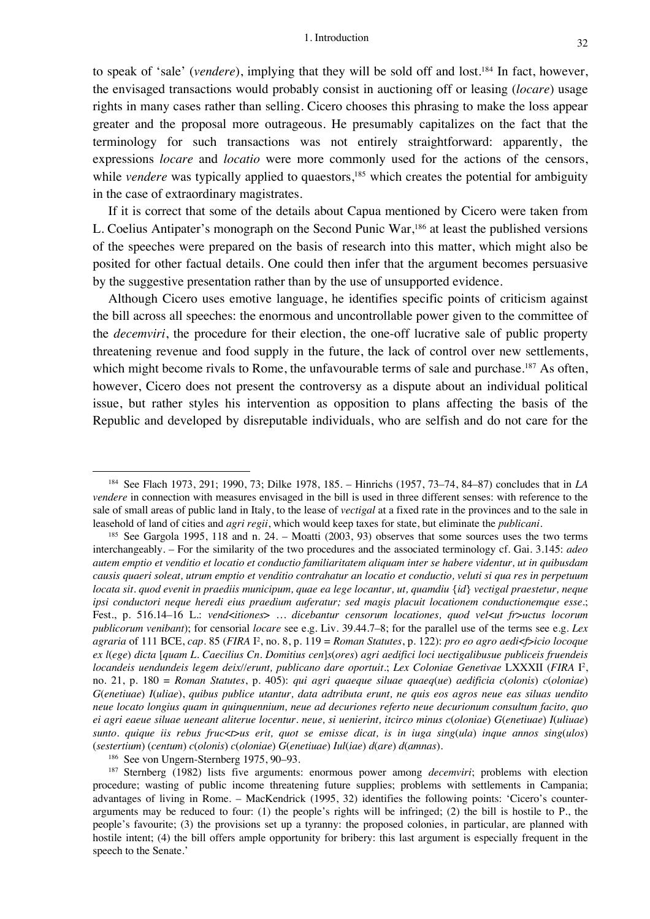to speak of 'sale' (*vendere*), implying that they will be sold off and lost.184 In fact, however, the envisaged transactions would probably consist in auctioning off or leasing (*locare*) usage rights in many cases rather than selling. Cicero chooses this phrasing to make the loss appear greater and the proposal more outrageous. He presumably capitalizes on the fact that the terminology for such transactions was not entirely straightforward: apparently, the expressions *locare* and *locatio* were more commonly used for the actions of the censors, while *vendere* was typically applied to quaestors,<sup>185</sup> which creates the potential for ambiguity in the case of extraordinary magistrates.

If it is correct that some of the details about Capua mentioned by Cicero were taken from L. Coelius Antipater's monograph on the Second Punic War,186 at least the published versions of the speeches were prepared on the basis of research into this matter, which might also be posited for other factual details. One could then infer that the argument becomes persuasive by the suggestive presentation rather than by the use of unsupported evidence.

Although Cicero uses emotive language, he identifies specific points of criticism against the bill across all speeches: the enormous and uncontrollable power given to the committee of the *decemviri*, the procedure for their election, the one-off lucrative sale of public property threatening revenue and food supply in the future, the lack of control over new settlements, which might become rivals to Rome, the unfavourable terms of sale and purchase.<sup>187</sup> As often, however, Cicero does not present the controversy as a dispute about an individual political issue, but rather styles his intervention as opposition to plans affecting the basis of the Republic and developed by disreputable individuals, who are selfish and do not care for the

<sup>186</sup> See von Ungern-Sternberg 1975, 90–93.

<sup>184</sup> See Flach 1973, 291; 1990, 73; Dilke 1978, 185. – Hinrichs (1957, 73–74, 84–87) concludes that in *LA vendere* in connection with measures envisaged in the bill is used in three different senses: with reference to the sale of small areas of public land in Italy, to the lease of *vectigal* at a fixed rate in the provinces and to the sale in leasehold of land of cities and *agri regii*, which would keep taxes for state, but eliminate the *publicani*.

<sup>185</sup> See Gargola 1995, 118 and n. 24. – Moatti (2003, 93) observes that some sources uses the two terms interchangeably. – For the similarity of the two procedures and the associated terminology cf. Gai. 3.145: *adeo autem emptio et venditio et locatio et conductio familiaritatem aliquam inter se habere videntur, ut in quibusdam causis quaeri soleat, utrum emptio et venditio contrahatur an locatio et conductio, veluti si qua res in perpetuum locata sit. quod evenit in praediis municipum, quae ea lege locantur, ut, quamdiu* {*id*} *vectigal praestetur, neque ipsi conductori neque heredi eius praedium auferatur; sed magis placuit locationem conductionemque esse*.; Fest., p. 516.14–16 L.: *vend*<*itiones*> *… dicebantur censorum locationes, quod vel*<*ut fr*>*uctus locorum publicorum venibant*); for censorial *locare* see e.g. Liv. 39.44.7–8; for the parallel use of the terms see e.g. *Lex agraria* of 111 BCE, *cap.* 85 (*FIRA* I2 , no. 8, p. 119 = *Roman Statutes*, p. 122): *pro eo agro aedi*<*f*>*icio locoque ex l*(*ege*) *dicta* [*quam L. Caecilius Cn. Domitius cen*]*s*(*ores*) *agri aedifici loci uectigalibusue publiceis fruendeis locandeis uendundeis legem deix//erunt, publicano dare oportuit*.; *Lex Coloniae Genetivae* LXXXII (*FIRA* I2 , no. 21, p. 180 = *Roman Statutes*, p. 405): *qui agri quaeque siluae quaeq*(*ue*) *aedificia c*(*olonis*) *c*(*oloniae*) *G*(*enetiuae*) *I*(*uliae*), *quibus publice utantur, data adtributa erunt, ne quis eos agros neue eas siluas uendito neue locato longius quam in quinquennium, neue ad decuriones referto neue decurionum consultum facito, quo ei agri eaeue siluae ueneant aliterue locentur. neue, si uenierint, itcirco minus c*(*oloniae*) *G*(*enetiuae*) *I*(*uliuae*) *sunto. quique iis rebus fruc*<*t*>*us erit, quot se emisse dicat, is in iuga sing*(*ula*) *inque annos sing*(*ulos*) (*sestertium*) (*centum*) *c*(*olonis*) *c*(*oloniae*) *G*(*enetiuae*) *Iul*(*iae*) *d*(*are*) *d*(*amnas*).

<sup>187</sup> Sternberg (1982) lists five arguments: enormous power among *decemviri*; problems with election procedure; wasting of public income threatening future supplies; problems with settlements in Campania; advantages of living in Rome. – MacKendrick (1995, 32) identifies the following points: 'Cicero's counterarguments may be reduced to four: (1) the people's rights will be infringed; (2) the bill is hostile to P., the people's favourite; (3) the provisions set up a tyranny: the proposed colonies, in particular, are planned with hostile intent; (4) the bill offers ample opportunity for bribery: this last argument is especially frequent in the speech to the Senate.'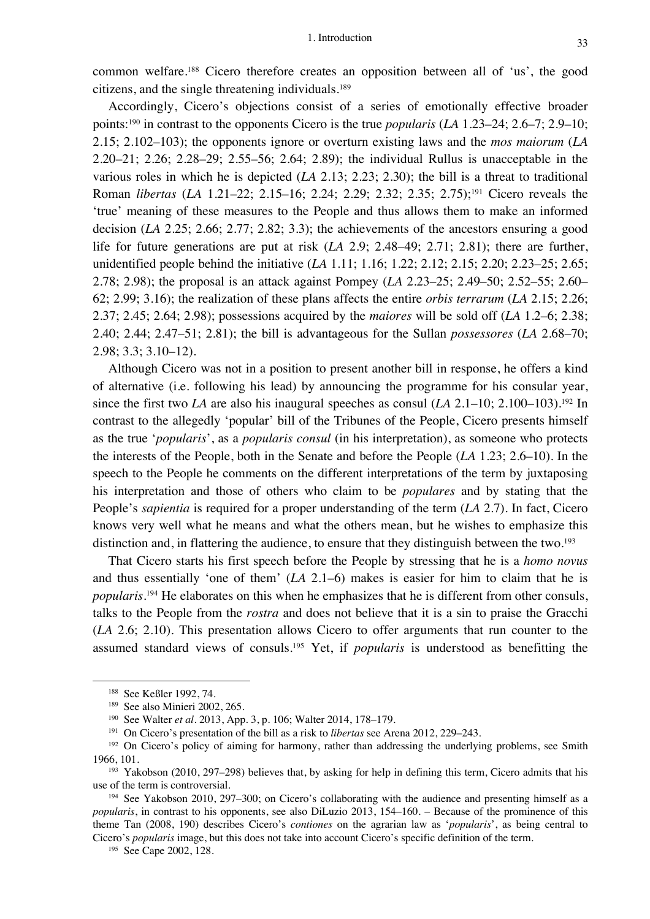common welfare. <sup>188</sup> Cicero therefore creates an opposition between all of 'us', the good citizens, and the single threatening individuals.189

Accordingly, Cicero's objections consist of a series of emotionally effective broader points: <sup>190</sup> in contrast to the opponents Cicero is the true *popularis* (*LA* 1.23–24; 2.6–7; 2.9–10; 2.15; 2.102–103); the opponents ignore or overturn existing laws and the *mos maiorum* (*LA* 2.20–21; 2.26; 2.28–29; 2.55–56; 2.64; 2.89); the individual Rullus is unacceptable in the various roles in which he is depicted (*LA* 2.13; 2.23; 2.30); the bill is a threat to traditional Roman *libertas* (*LA* 1.21–22; 2.15–16; 2.24; 2.29; 2.32; 2.35; 2.75); <sup>191</sup> Cicero reveals the 'true' meaning of these measures to the People and thus allows them to make an informed decision (*LA* 2.25; 2.66; 2.77; 2.82; 3.3); the achievements of the ancestors ensuring a good life for future generations are put at risk (*LA* 2.9; 2.48–49; 2.71; 2.81); there are further, unidentified people behind the initiative (*LA* 1.11; 1.16; 1.22; 2.12; 2.15; 2.20; 2.23–25; 2.65; 2.78; 2.98); the proposal is an attack against Pompey (*LA* 2.23–25; 2.49–50; 2.52–55; 2.60– 62; 2.99; 3.16); the realization of these plans affects the entire *orbis terrarum* (*LA* 2.15; 2.26; 2.37; 2.45; 2.64; 2.98); possessions acquired by the *maiores* will be sold off (*LA* 1.2–6; 2.38; 2.40; 2.44; 2.47–51; 2.81); the bill is advantageous for the Sullan *possessores* (*LA* 2.68–70; 2.98; 3.3; 3.10–12).

Although Cicero was not in a position to present another bill in response, he offers a kind of alternative (i.e. following his lead) by announcing the programme for his consular year, since the first two *LA* are also his inaugural speeches as consul (*LA* 2.1–10; 2.100–103). <sup>192</sup> In contrast to the allegedly 'popular' bill of the Tribunes of the People, Cicero presents himself as the true '*popularis*', as a *popularis consul* (in his interpretation), as someone who protects the interests of the People, both in the Senate and before the People (*LA* 1.23; 2.6–10). In the speech to the People he comments on the different interpretations of the term by juxtaposing his interpretation and those of others who claim to be *populares* and by stating that the People's *sapientia* is required for a proper understanding of the term (*LA* 2.7). In fact, Cicero knows very well what he means and what the others mean, but he wishes to emphasize this distinction and, in flattering the audience, to ensure that they distinguish between the two.<sup>193</sup>

That Cicero starts his first speech before the People by stressing that he is a *homo novus* and thus essentially 'one of them' (*LA* 2.1–6) makes is easier for him to claim that he is *popularis*. <sup>194</sup> He elaborates on this when he emphasizes that he is different from other consuls, talks to the People from the *rostra* and does not believe that it is a sin to praise the Gracchi (*LA* 2.6; 2.10). This presentation allows Cicero to offer arguments that run counter to the assumed standard views of consuls. <sup>195</sup> Yet, if *popularis* is understood as benefitting the

<sup>195</sup> See Cape 2002, 128.

<sup>188</sup> See Keßler 1992, 74.

<sup>189</sup> See also Minieri 2002, 265.

<sup>190</sup> See Walter *et al.* 2013, App. 3, p. 106; Walter 2014, 178–179.

<sup>191</sup> On Cicero's presentation of the bill as a risk to *libertas* see Arena 2012, 229–243.

<sup>&</sup>lt;sup>192</sup> On Cicero's policy of aiming for harmony, rather than addressing the underlying problems, see Smith 1966, 101.

<sup>193</sup> Yakobson (2010, 297–298) believes that, by asking for help in defining this term, Cicero admits that his use of the term is controversial.

<sup>194</sup> See Yakobson 2010, 297–300; on Cicero's collaborating with the audience and presenting himself as a *popularis*, in contrast to his opponents, see also DiLuzio 2013, 154–160. – Because of the prominence of this theme Tan (2008, 190) describes Cicero's *contiones* on the agrarian law as '*popularis*', as being central to Cicero's *popularis* image, but this does not take into account Cicero's specific definition of the term.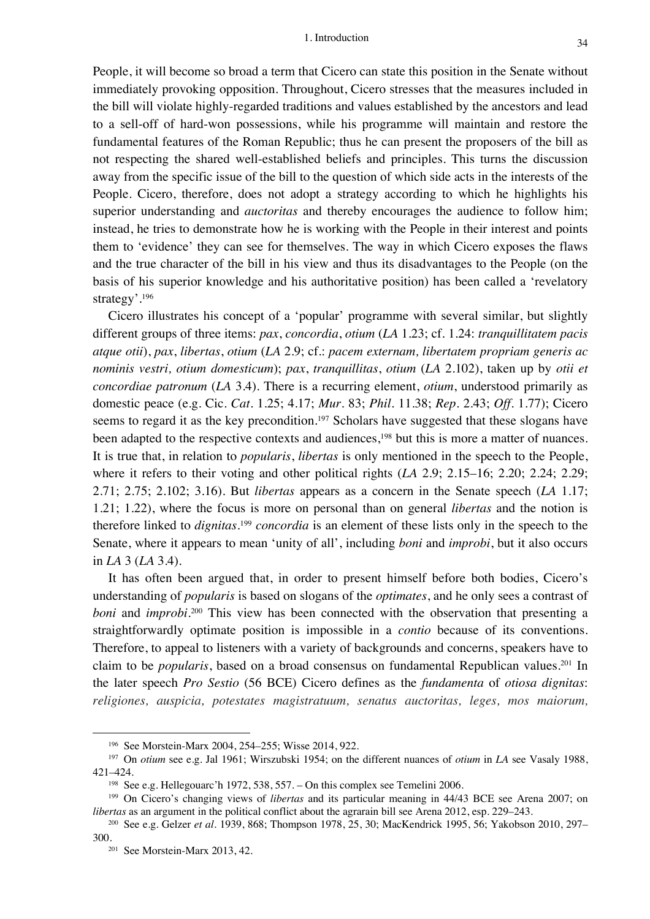People, it will become so broad a term that Cicero can state this position in the Senate without immediately provoking opposition. Throughout, Cicero stresses that the measures included in the bill will violate highly-regarded traditions and values established by the ancestors and lead to a sell-off of hard-won possessions, while his programme will maintain and restore the fundamental features of the Roman Republic; thus he can present the proposers of the bill as not respecting the shared well-established beliefs and principles. This turns the discussion away from the specific issue of the bill to the question of which side acts in the interests of the People. Cicero, therefore, does not adopt a strategy according to which he highlights his superior understanding and *auctoritas* and thereby encourages the audience to follow him; instead, he tries to demonstrate how he is working with the People in their interest and points them to 'evidence' they can see for themselves. The way in which Cicero exposes the flaws and the true character of the bill in his view and thus its disadvantages to the People (on the basis of his superior knowledge and his authoritative position) has been called a 'revelatory strategy'.196

Cicero illustrates his concept of a 'popular' programme with several similar, but slightly different groups of three items: *pax*, *concordia*, *otium* (*LA* 1.23; cf. 1.24: *tranquillitatem pacis atque otii*), *pax*, *libertas*, *otium* (*LA* 2.9; cf.: *pacem externam, libertatem propriam generis ac nominis vestri, otium domesticum*); *pax*, *tranquillitas*, *otium* (*LA* 2.102), taken up by *otii et concordiae patronum* (*LA* 3.4). There is a recurring element, *otium*, understood primarily as domestic peace (e.g. Cic. *Cat.* 1.25; 4.17; *Mur.* 83; *Phil.* 11.38; *Rep.* 2.43; *Off.* 1.77); Cicero seems to regard it as the key precondition.<sup>197</sup> Scholars have suggested that these slogans have been adapted to the respective contexts and audiences,<sup>198</sup> but this is more a matter of nuances. It is true that, in relation to *popularis*, *libertas* is only mentioned in the speech to the People, where it refers to their voting and other political rights (*LA* 2.9; 2.15–16; 2.20; 2.24; 2.29; 2.71; 2.75; 2.102; 3.16). But *libertas* appears as a concern in the Senate speech (*LA* 1.17; 1.21; 1.22), where the focus is more on personal than on general *libertas* and the notion is therefore linked to *dignitas*. <sup>199</sup> *concordia* is an element of these lists only in the speech to the Senate, where it appears to mean 'unity of all', including *boni* and *improbi*, but it also occurs in *LA* 3 (*LA* 3.4).

It has often been argued that, in order to present himself before both bodies, Cicero's understanding of *popularis* is based on slogans of the *optimates*, and he only sees a contrast of *boni* and *improbi*. <sup>200</sup> This view has been connected with the observation that presenting a straightforwardly optimate position is impossible in a *contio* because of its conventions. Therefore, to appeal to listeners with a variety of backgrounds and concerns, speakers have to claim to be *popularis*, based on a broad consensus on fundamental Republican values. <sup>201</sup> In the later speech *Pro Sestio* (56 BCE) Cicero defines as the *fundamenta* of *otiosa dignitas*: *religiones, auspicia, potestates magistratuum, senatus auctoritas, leges, mos maiorum,* 

<sup>196</sup> See Morstein-Marx 2004, 254–255; Wisse 2014, 922.

<sup>197</sup> On *otium* see e.g. Jal 1961; Wirszubski 1954; on the different nuances of *otium* in *LA* see Vasaly 1988, 421–424.

<sup>198</sup> See e.g. Hellegouarc'h 1972, 538, 557. – On this complex see Temelini 2006.

<sup>199</sup> On Cicero's changing views of *libertas* and its particular meaning in 44/43 BCE see Arena 2007; on *libertas* as an argument in the political conflict about the agrarain bill see Arena 2012, esp. 229–243.

<sup>200</sup> See e.g. Gelzer *et al.* 1939, 868; Thompson 1978, 25, 30; MacKendrick 1995, 56; Yakobson 2010, 297– 300.<br><sup>201</sup> See Morstein-Marx 2013, 42.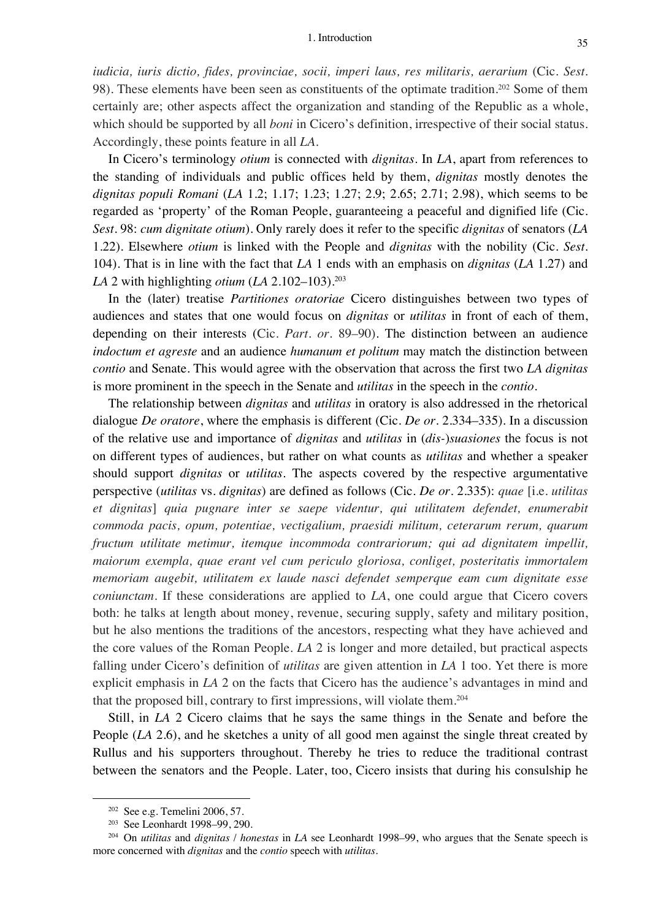*iudicia, iuris dictio, fides, provinciae, socii, imperi laus, res militaris, aerarium* (Cic. *Sest.* 98). These elements have been seen as constituents of the optimate tradition.<sup>202</sup> Some of them certainly are; other aspects affect the organization and standing of the Republic as a whole, which should be supported by all *boni* in Cicero's definition, irrespective of their social status. Accordingly, these points feature in all *LA*.

In Cicero's terminology *otium* is connected with *dignitas*. In *LA*, apart from references to the standing of individuals and public offices held by them, *dignitas* mostly denotes the *dignitas populi Romani* (*LA* 1.2; 1.17; 1.23; 1.27; 2.9; 2.65; 2.71; 2.98), which seems to be regarded as 'property' of the Roman People, guaranteeing a peaceful and dignified life (Cic. *Sest.* 98: *cum dignitate otium*). Only rarely does it refer to the specific *dignitas* of senators (*LA* 1.22). Elsewhere *otium* is linked with the People and *dignitas* with the nobility (Cic. *Sest.* 104). That is in line with the fact that *LA* 1 ends with an emphasis on *dignitas* (*LA* 1.27) and *LA* 2 with highlighting *otium* (*LA* 2.102–103).203

In the (later) treatise *Partitiones oratoriae* Cicero distinguishes between two types of audiences and states that one would focus on *dignitas* or *utilitas* in front of each of them, depending on their interests (Cic. *Part. or.* 89–90). The distinction between an audience *indoctum et agreste* and an audience *humanum et politum* may match the distinction between *contio* and Senate. This would agree with the observation that across the first two *LA dignitas*  is more prominent in the speech in the Senate and *utilitas* in the speech in the *contio*.

The relationship between *dignitas* and *utilitas* in oratory is also addressed in the rhetorical dialogue *De oratore*, where the emphasis is different (Cic. *De or.* 2.334–335). In a discussion of the relative use and importance of *dignitas* and *utilitas* in (*dis-*)*suasiones* the focus is not on different types of audiences, but rather on what counts as *utilitas* and whether a speaker should support *dignitas* or *utilitas*. The aspects covered by the respective argumentative perspective (*utilitas* vs. *dignitas*) are defined as follows (Cic. *De or.* 2.335): *quae* [i.e. *utilitas et dignitas*] *quia pugnare inter se saepe videntur, qui utilitatem defendet, enumerabit commoda pacis, opum, potentiae, vectigalium, praesidi militum, ceterarum rerum, quarum fructum utilitate metimur, itemque incommoda contrariorum; qui ad dignitatem impellit, maiorum exempla, quae erant vel cum periculo gloriosa, conliget, posteritatis immortalem memoriam augebit, utilitatem ex laude nasci defendet semperque eam cum dignitate esse coniunctam.* If these considerations are applied to *LA*, one could argue that Cicero covers both: he talks at length about money, revenue, securing supply, safety and military position, but he also mentions the traditions of the ancestors, respecting what they have achieved and the core values of the Roman People. *LA* 2 is longer and more detailed, but practical aspects falling under Cicero's definition of *utilitas* are given attention in *LA* 1 too. Yet there is more explicit emphasis in *LA* 2 on the facts that Cicero has the audience's advantages in mind and that the proposed bill, contrary to first impressions, will violate them. 204

Still, in *LA* 2 Cicero claims that he says the same things in the Senate and before the People (*LA* 2.6), and he sketches a unity of all good men against the single threat created by Rullus and his supporters throughout. Thereby he tries to reduce the traditional contrast between the senators and the People. Later, too, Cicero insists that during his consulship he

<sup>202</sup> See e.g. Temelini 2006, 57.

<sup>203</sup> See Leonhardt 1998–99, 290.

<sup>204</sup> On *utilitas* and *dignitas* / *honestas* in *LA* see Leonhardt 1998–99, who argues that the Senate speech is more concerned with *dignitas* and the *contio* speech with *utilitas*.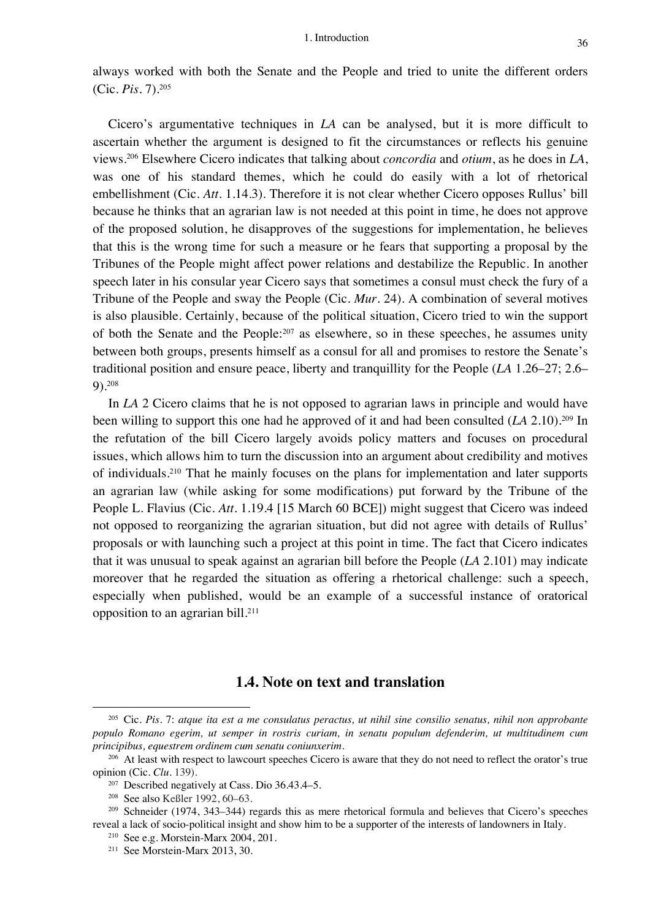always worked with both the Senate and the People and tried to unite the different orders (Cic. *Pis.* 7).205

Cicero's argumentative techniques in *LA* can be analysed, but it is more difficult to ascertain whether the argument is designed to fit the circumstances or reflects his genuine views.206 Elsewhere Cicero indicates that talking about *concordia* and *otium*, as he does in *LA*, was one of his standard themes, which he could do easily with a lot of rhetorical embellishment (Cic. *Att.* 1.14.3). Therefore it is not clear whether Cicero opposes Rullus' bill because he thinks that an agrarian law is not needed at this point in time, he does not approve of the proposed solution, he disapproves of the suggestions for implementation, he believes that this is the wrong time for such a measure or he fears that supporting a proposal by the Tribunes of the People might affect power relations and destabilize the Republic. In another speech later in his consular year Cicero says that sometimes a consul must check the fury of a Tribune of the People and sway the People (Cic. *Mur.* 24). A combination of several motives is also plausible. Certainly, because of the political situation, Cicero tried to win the support of both the Senate and the People:207 as elsewhere, so in these speeches, he assumes unity between both groups, presents himself as a consul for all and promises to restore the Senate's traditional position and ensure peace, liberty and tranquillity for the People (*LA* 1.26–27; 2.6– 9).208

In *LA* 2 Cicero claims that he is not opposed to agrarian laws in principle and would have been willing to support this one had he approved of it and had been consulted (*LA* 2.10).209 In the refutation of the bill Cicero largely avoids policy matters and focuses on procedural issues, which allows him to turn the discussion into an argument about credibility and motives of individuals.210 That he mainly focuses on the plans for implementation and later supports an agrarian law (while asking for some modifications) put forward by the Tribune of the People L. Flavius (Cic. *Att.* 1.19.4 [15 March 60 BCE]) might suggest that Cicero was indeed not opposed to reorganizing the agrarian situation, but did not agree with details of Rullus' proposals or with launching such a project at this point in time. The fact that Cicero indicates that it was unusual to speak against an agrarian bill before the People (*LA* 2.101) may indicate moreover that he regarded the situation as offering a rhetorical challenge: such a speech, especially when published, would be an example of a successful instance of oratorical opposition to an agrarian bill. 211

#### **1.4. Note on text and translation**

<sup>205</sup> Cic. *Pis.* 7: *atque ita est a me consulatus peractus, ut nihil sine consilio senatus, nihil non approbante populo Romano egerim, ut semper in rostris curiam, in senatu populum defenderim, ut multitudinem cum principibus, equestrem ordinem cum senatu coniunxerim*.

<sup>&</sup>lt;sup>206</sup> At least with respect to lawcourt speeches Cicero is aware that they do not need to reflect the orator's true opinion (Cic. *Clu.* 139).

<sup>207</sup> Described negatively at Cass. Dio 36.43.4–5.

<sup>208</sup> See also Keßler 1992, 60–63.

<sup>209</sup> Schneider (1974, 343–344) regards this as mere rhetorical formula and believes that Cicero's speeches reveal a lack of socio-political insight and show him to be a supporter of the interests of landowners in Italy.

<sup>210</sup> See e.g. Morstein-Marx 2004, 201.

<sup>211</sup> See Morstein-Marx 2013, 30.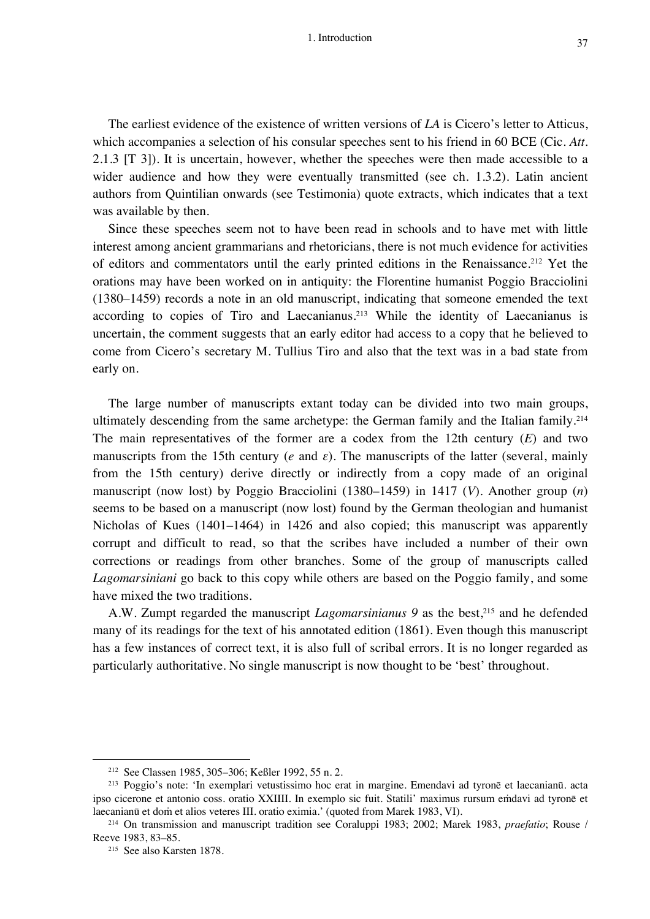The earliest evidence of the existence of written versions of *LA* is Cicero's letter to Atticus, which accompanies a selection of his consular speeches sent to his friend in 60 BCE (Cic. *Att.* 2.1.3 [T 3]). It is uncertain, however, whether the speeches were then made accessible to a wider audience and how they were eventually transmitted (see ch. 1.3.2). Latin ancient authors from Quintilian onwards (see Testimonia) quote extracts, which indicates that a text was available by then.

Since these speeches seem not to have been read in schools and to have met with little interest among ancient grammarians and rhetoricians, there is not much evidence for activities of editors and commentators until the early printed editions in the Renaissance. <sup>212</sup> Yet the orations may have been worked on in antiquity: the Florentine humanist Poggio Bracciolini (1380–1459) records a note in an old manuscript, indicating that someone emended the text according to copies of Tiro and Laecanianus.<sup>213</sup> While the identity of Laecanianus is uncertain, the comment suggests that an early editor had access to a copy that he believed to come from Cicero's secretary M. Tullius Tiro and also that the text was in a bad state from early on.

The large number of manuscripts extant today can be divided into two main groups, ultimately descending from the same archetype: the German family and the Italian family. 214 The main representatives of the former are a codex from the 12th century (*E*) and two manuscripts from the 15th century (*e* and  $\varepsilon$ ). The manuscripts of the latter (several, mainly from the 15th century) derive directly or indirectly from a copy made of an original manuscript (now lost) by Poggio Bracciolini (1380–1459) in 1417 (*V*). Another group (*n*) seems to be based on a manuscript (now lost) found by the German theologian and humanist Nicholas of Kues (1401–1464) in 1426 and also copied; this manuscript was apparently corrupt and difficult to read, so that the scribes have included a number of their own corrections or readings from other branches. Some of the group of manuscripts called *Lagomarsiniani* go back to this copy while others are based on the Poggio family, and some have mixed the two traditions.

A.W. Zumpt regarded the manuscript *Lagomarsinianus* 9 as the best,<sup>215</sup> and he defended many of its readings for the text of his annotated edition (1861). Even though this manuscript has a few instances of correct text, it is also full of scribal errors. It is no longer regarded as particularly authoritative. No single manuscript is now thought to be 'best' throughout.

<sup>212</sup> See Classen 1985, 305–306; Keßler 1992, 55 n. 2.

<sup>213</sup> Poggio's note: 'In exemplari vetustissimo hoc erat in margine. Emendavi ad tyronē et laecanianū. acta ipso cicerone et antonio coss. oratio XXIIII. In exemplo sic fuit. Statili' maximus rursum eṁdavi ad tyronē et laecanianū et doṁ et alios veteres III. oratio eximia.' (quoted from Marek 1983, VI).

<sup>214</sup> On transmission and manuscript tradition see Coraluppi 1983; 2002; Marek 1983, *praefatio*; Rouse / Reeve 1983, 83–85.

<sup>215</sup> See also Karsten 1878.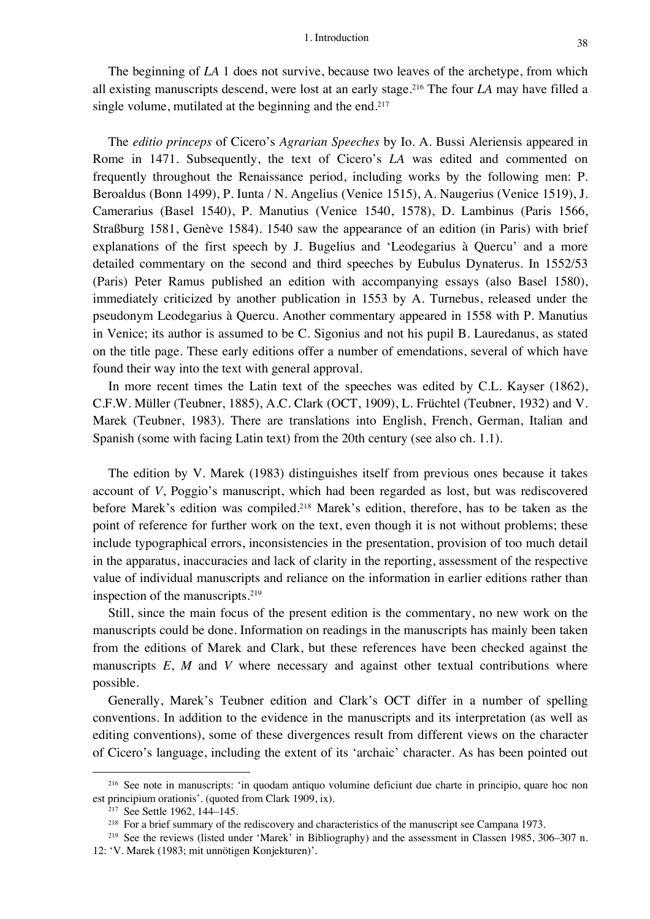The beginning of *LA* 1 does not survive, because two leaves of the archetype, from which all existing manuscripts descend, were lost at an early stage. <sup>216</sup> The four *LA* may have filled a single volume, mutilated at the beginning and the end.<sup>217</sup>

The *editio princeps* of Cicero's *Agrarian Speeches* by Io. A. Bussi Aleriensis appeared in Rome in 1471. Subsequently, the text of Cicero's *LA* was edited and commented on frequently throughout the Renaissance period, including works by the following men: P. Beroaldus (Bonn 1499), P. Iunta / N. Angelius (Venice 1515), A. Naugerius (Venice 1519), J. Camerarius (Basel 1540), P. Manutius (Venice 1540, 1578), D. Lambinus (Paris 1566, Straßburg 1581, Genève 1584). 1540 saw the appearance of an edition (in Paris) with brief explanations of the first speech by J. Bugelius and 'Leodegarius à Quercu' and a more detailed commentary on the second and third speeches by Eubulus Dynaterus. In 1552/53 (Paris) Peter Ramus published an edition with accompanying essays (also Basel 1580), immediately criticized by another publication in 1553 by A. Turnebus, released under the pseudonym Leodegarius à Quercu. Another commentary appeared in 1558 with P. Manutius in Venice; its author is assumed to be C. Sigonius and not his pupil B. Lauredanus, as stated on the title page. These early editions offer a number of emendations, several of which have found their way into the text with general approval.

In more recent times the Latin text of the speeches was edited by C.L. Kayser (1862), C.F.W. Müller (Teubner, 1885), A.C. Clark (OCT, 1909), L. Früchtel (Teubner, 1932) and V. Marek (Teubner, 1983). There are translations into English, French, German, Italian and Spanish (some with facing Latin text) from the 20th century (see also ch. 1.1).

The edition by V. Marek (1983) distinguishes itself from previous ones because it takes account of *V*, Poggio's manuscript, which had been regarded as lost, but was rediscovered before Marek's edition was compiled.218 Marek's edition, therefore, has to be taken as the point of reference for further work on the text, even though it is not without problems; these include typographical errors, inconsistencies in the presentation, provision of too much detail in the apparatus, inaccuracies and lack of clarity in the reporting, assessment of the respective value of individual manuscripts and reliance on the information in earlier editions rather than inspection of the manuscripts.<sup>219</sup>

Still, since the main focus of the present edition is the commentary, no new work on the manuscripts could be done. Information on readings in the manuscripts has mainly been taken from the editions of Marek and Clark, but these references have been checked against the manuscripts *E*, *M* and *V* where necessary and against other textual contributions where possible.

Generally, Marek's Teubner edition and Clark's OCT differ in a number of spelling conventions. In addition to the evidence in the manuscripts and its interpretation (as well as editing conventions), some of these divergences result from different views on the character of Cicero's language, including the extent of its 'archaic' character. As has been pointed out

<sup>216</sup> See note in manuscripts: 'in quodam antiquo volumine deficiunt due charte in principio, quare hoc non est principium orationis'. (quoted from Clark 1909, ix).

<sup>217</sup> See Settle 1962, 144–145.

<sup>&</sup>lt;sup>218</sup> For a brief summary of the rediscovery and characteristics of the manuscript see Campana 1973.

<sup>&</sup>lt;sup>219</sup> See the reviews (listed under 'Marek' in Bibliography) and the assessment in Classen 1985, 306–307 n. 12: 'V. Marek (1983; mit unnötigen Konjekturen)'.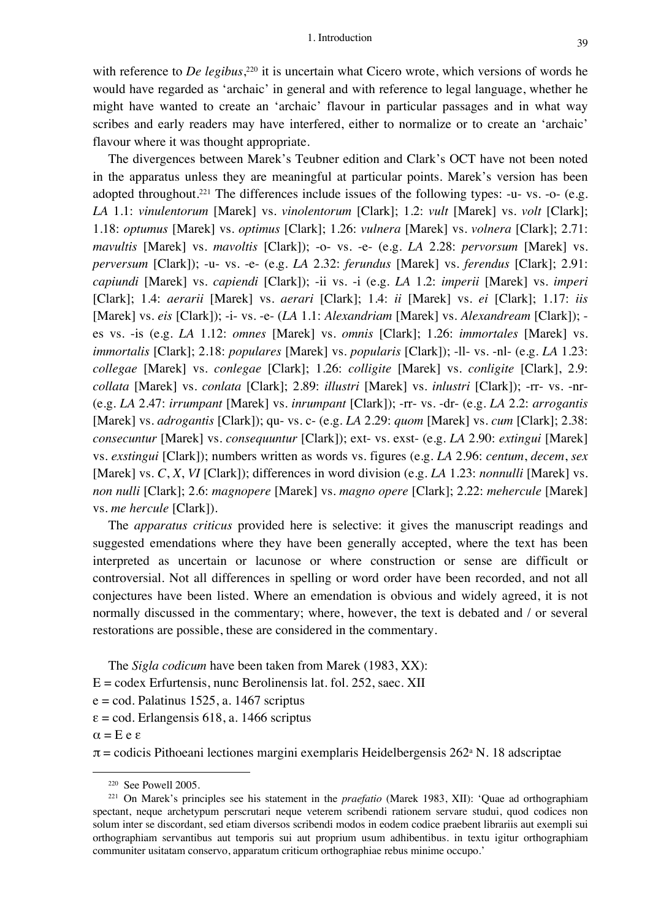with reference to *De legibus*<sup>220</sup> it is uncertain what Cicero wrote, which versions of words he would have regarded as 'archaic' in general and with reference to legal language, whether he might have wanted to create an 'archaic' flavour in particular passages and in what way scribes and early readers may have interfered, either to normalize or to create an 'archaic' flavour where it was thought appropriate.

The divergences between Marek's Teubner edition and Clark's OCT have not been noted in the apparatus unless they are meaningful at particular points. Marek's version has been adopted throughout.<sup>221</sup> The differences include issues of the following types: -u- vs. -o- (e.g. *LA* 1.1: *vinulentorum* [Marek] vs. *vinolentorum* [Clark]; 1.2: *vult* [Marek] vs. *volt* [Clark]; 1.18: *optumus* [Marek] vs. *optimus* [Clark]; 1.26: *vulnera* [Marek] vs. *volnera* [Clark]; 2.71: *mavultis* [Marek] vs. *mavoltis* [Clark]); -o- vs. -e- (e.g. *LA* 2.28: *pervorsum* [Marek] vs. *perversum* [Clark]); -u- vs. -e- (e.g. *LA* 2.32: *ferundus* [Marek] vs. *ferendus* [Clark]; 2.91: *capiundi* [Marek] vs. *capiendi* [Clark]); -ii vs. -i (e.g. *LA* 1.2: *imperii* [Marek] vs. *imperi*  [Clark]; 1.4: *aerarii* [Marek] vs. *aerari* [Clark]; 1.4: *ii* [Marek] vs. *ei* [Clark]; 1.17: *iis* [Marek] vs. *eis* [Clark]); -i- vs. -e- (*LA* 1.1: *Alexandriam* [Marek] vs. *Alexandream* [Clark]); es vs. -is (e.g. *LA* 1.12: *omnes* [Marek] vs. *omnis* [Clark]; 1.26: *immortales* [Marek] vs. *immortalis* [Clark]; 2.18: *populares* [Marek] vs. *popularis* [Clark]); -ll- vs. -nl- (e.g. *LA* 1.23: *collegae* [Marek] vs. *conlegae* [Clark]; 1.26: *colligite* [Marek] vs. *conligite* [Clark], 2.9: *collata* [Marek] vs. *conlata* [Clark]; 2.89: *illustri* [Marek] vs. *inlustri* [Clark]); -rr- vs. -nr- (e.g. *LA* 2.47: *irrumpant* [Marek] vs. *inrumpant* [Clark]); -rr- vs. -dr- (e.g. *LA* 2.2: *arrogantis* [Marek] vs. *adrogantis* [Clark]); qu- vs. c- (e.g. *LA* 2.29: *quom* [Marek] vs. *cum* [Clark]; 2.38: *consecuntur* [Marek] vs. *consequuntur* [Clark]); ext- vs. exst- (e.g. *LA* 2.90: *extingui* [Marek] vs. *exstingui* [Clark]); numbers written as words vs. figures (e.g. *LA* 2.96: *centum*, *decem*, *sex* [Marek] vs. *C*, *X*, *VI* [Clark]); differences in word division (e.g. *LA* 1.23: *nonnulli* [Marek] vs. *non nulli* [Clark]; 2.6: *magnopere* [Marek] vs. *magno opere* [Clark]; 2.22: *mehercule* [Marek] vs. *me hercule* [Clark]).

The *apparatus criticus* provided here is selective: it gives the manuscript readings and suggested emendations where they have been generally accepted, where the text has been interpreted as uncertain or lacunose or where construction or sense are difficult or controversial. Not all differences in spelling or word order have been recorded, and not all conjectures have been listed. Where an emendation is obvious and widely agreed, it is not normally discussed in the commentary; where, however, the text is debated and / or several restorations are possible, these are considered in the commentary.

The *Sigla codicum* have been taken from Marek (1983, XX):

 $E = \text{codex}$  Erfurtensis, nunc Berolinensis lat. fol. 252, saec. XII

 $e = cod$ . Palatinus 1525, a. 1467 scriptus

 $\epsilon$  = cod. Erlangensis 618, a. 1466 scriptus

α = E e ε

 $\pi$  = codicis Pithoeani lectiones margini exemplaris Heidelbergensis 262<sup>a</sup> N. 18 adscriptae

<sup>220</sup> See Powell 2005.

<sup>221</sup> On Marek's principles see his statement in the *praefatio* (Marek 1983, XII): 'Quae ad orthographiam spectant, neque archetypum perscrutari neque veterem scribendi rationem servare studui, quod codices non solum inter se discordant, sed etiam diversos scribendi modos in eodem codice praebent librariis aut exempli sui orthographiam servantibus aut temporis sui aut proprium usum adhibentibus. in textu igitur orthographiam communiter usitatam conservo, apparatum criticum orthographiae rebus minime occupo.'